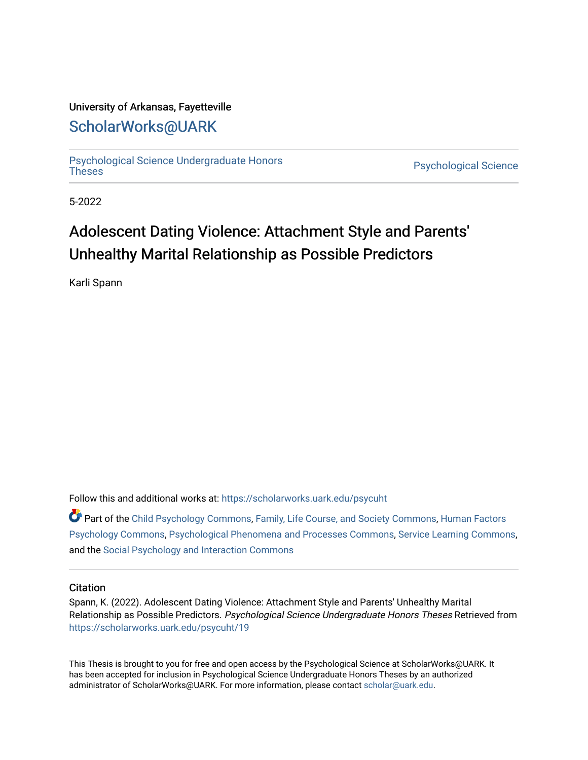## University of Arkansas, Fayetteville

## [ScholarWorks@UARK](https://scholarworks.uark.edu/)

[Psychological Science Undergraduate Honors](https://scholarworks.uark.edu/psycuht) 

Psychological Science

5-2022

## Adolescent Dating Violence: Attachment Style and Parents' Unhealthy Marital Relationship as Possible Predictors

Karli Spann

Follow this and additional works at: [https://scholarworks.uark.edu/psycuht](https://scholarworks.uark.edu/psycuht?utm_source=scholarworks.uark.edu%2Fpsycuht%2F19&utm_medium=PDF&utm_campaign=PDFCoverPages)

Part of the [Child Psychology Commons,](http://network.bepress.com/hgg/discipline/1023?utm_source=scholarworks.uark.edu%2Fpsycuht%2F19&utm_medium=PDF&utm_campaign=PDFCoverPages) [Family, Life Course, and Society Commons,](http://network.bepress.com/hgg/discipline/419?utm_source=scholarworks.uark.edu%2Fpsycuht%2F19&utm_medium=PDF&utm_campaign=PDFCoverPages) [Human Factors](http://network.bepress.com/hgg/discipline/1412?utm_source=scholarworks.uark.edu%2Fpsycuht%2F19&utm_medium=PDF&utm_campaign=PDFCoverPages) [Psychology Commons,](http://network.bepress.com/hgg/discipline/1412?utm_source=scholarworks.uark.edu%2Fpsycuht%2F19&utm_medium=PDF&utm_campaign=PDFCoverPages) [Psychological Phenomena and Processes Commons](http://network.bepress.com/hgg/discipline/914?utm_source=scholarworks.uark.edu%2Fpsycuht%2F19&utm_medium=PDF&utm_campaign=PDFCoverPages), [Service Learning Commons](http://network.bepress.com/hgg/discipline/1024?utm_source=scholarworks.uark.edu%2Fpsycuht%2F19&utm_medium=PDF&utm_campaign=PDFCoverPages), and the [Social Psychology and Interaction Commons](http://network.bepress.com/hgg/discipline/430?utm_source=scholarworks.uark.edu%2Fpsycuht%2F19&utm_medium=PDF&utm_campaign=PDFCoverPages) 

#### **Citation**

Spann, K. (2022). Adolescent Dating Violence: Attachment Style and Parents' Unhealthy Marital Relationship as Possible Predictors. Psychological Science Undergraduate Honors Theses Retrieved from [https://scholarworks.uark.edu/psycuht/19](https://scholarworks.uark.edu/psycuht/19?utm_source=scholarworks.uark.edu%2Fpsycuht%2F19&utm_medium=PDF&utm_campaign=PDFCoverPages) 

This Thesis is brought to you for free and open access by the Psychological Science at ScholarWorks@UARK. It has been accepted for inclusion in Psychological Science Undergraduate Honors Theses by an authorized administrator of ScholarWorks@UARK. For more information, please contact [scholar@uark.edu](mailto:scholar@uark.edu).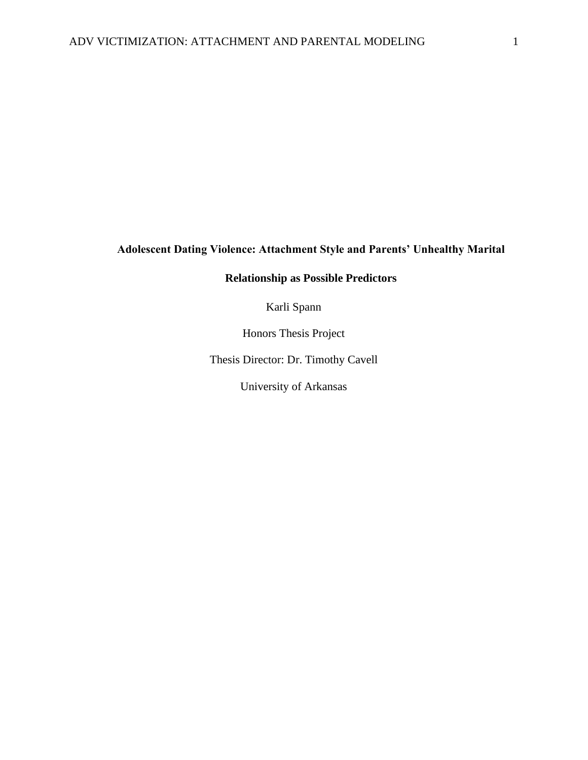## **Adolescent Dating Violence: Attachment Style and Parents' Unhealthy Marital**

## **Relationship as Possible Predictors**

Karli Spann

Honors Thesis Project

Thesis Director: Dr. Timothy Cavell

University of Arkansas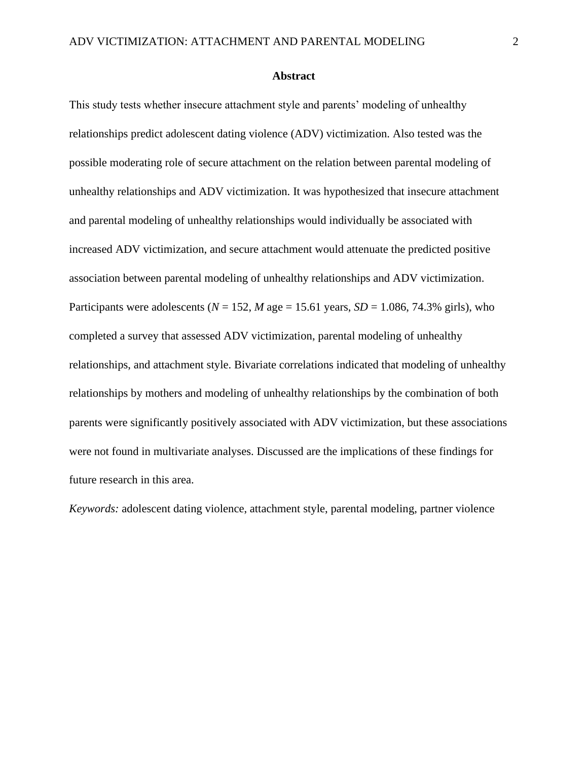#### **Abstract**

This study tests whether insecure attachment style and parents' modeling of unhealthy relationships predict adolescent dating violence (ADV) victimization. Also tested was the possible moderating role of secure attachment on the relation between parental modeling of unhealthy relationships and ADV victimization. It was hypothesized that insecure attachment and parental modeling of unhealthy relationships would individually be associated with increased ADV victimization, and secure attachment would attenuate the predicted positive association between parental modeling of unhealthy relationships and ADV victimization. Participants were adolescents ( $N = 152$ ,  $M$  age = 15.61 years,  $SD = 1.086$ , 74.3% girls), who completed a survey that assessed ADV victimization, parental modeling of unhealthy relationships, and attachment style. Bivariate correlations indicated that modeling of unhealthy relationships by mothers and modeling of unhealthy relationships by the combination of both parents were significantly positively associated with ADV victimization, but these associations were not found in multivariate analyses. Discussed are the implications of these findings for future research in this area.

*Keywords:* adolescent dating violence, attachment style, parental modeling, partner violence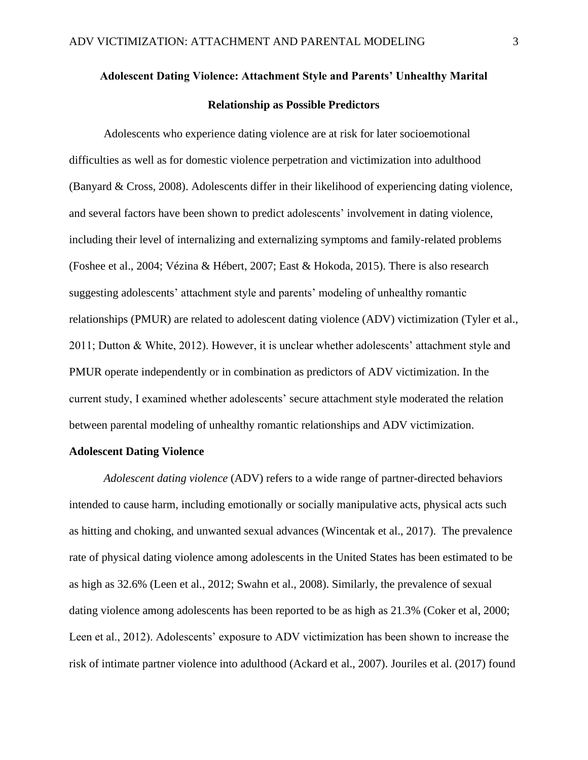# **Adolescent Dating Violence: Attachment Style and Parents' Unhealthy Marital**

**Relationship as Possible Predictors**

Adolescents who experience dating violence are at risk for later socioemotional difficulties as well as for domestic violence perpetration and victimization into adulthood (Banyard & Cross, 2008). Adolescents differ in their likelihood of experiencing dating violence, and several factors have been shown to predict adolescents' involvement in dating violence, including their level of internalizing and externalizing symptoms and family-related problems (Foshee et al., 2004; Vézina & Hébert, 2007; East & Hokoda, 2015). There is also research suggesting adolescents' attachment style and parents' modeling of unhealthy romantic relationships (PMUR) are related to adolescent dating violence (ADV) victimization (Tyler et al., 2011; Dutton & White, 2012). However, it is unclear whether adolescents' attachment style and PMUR operate independently or in combination as predictors of ADV victimization. In the current study, I examined whether adolescents' secure attachment style moderated the relation between parental modeling of unhealthy romantic relationships and ADV victimization.

#### **Adolescent Dating Violence**

*Adolescent dating violence* (ADV) refers to a wide range of partner-directed behaviors intended to cause harm, including emotionally or socially manipulative acts, physical acts such as hitting and choking, and unwanted sexual advances (Wincentak et al., 2017). The prevalence rate of physical dating violence among adolescents in the United States has been estimated to be as high as 32.6% (Leen et al., 2012; Swahn et al., 2008). Similarly, the prevalence of sexual dating violence among adolescents has been reported to be as high as 21.3% (Coker et al, 2000; Leen et al., 2012). Adolescents' exposure to ADV victimization has been shown to increase the risk of intimate partner violence into adulthood (Ackard et al., 2007). Jouriles et al. (2017) found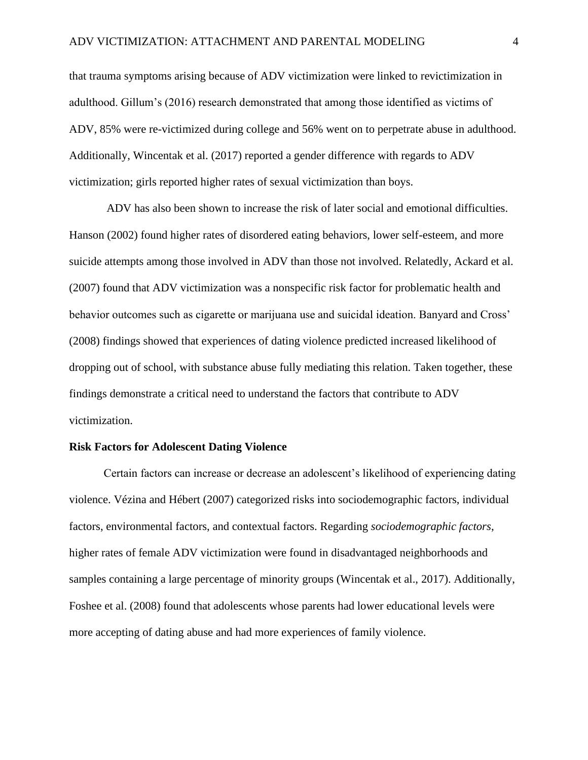that trauma symptoms arising because of ADV victimization were linked to revictimization in adulthood. Gillum's (2016) research demonstrated that among those identified as victims of ADV, 85% were re-victimized during college and 56% went on to perpetrate abuse in adulthood. Additionally, Wincentak et al. (2017) reported a gender difference with regards to ADV victimization; girls reported higher rates of sexual victimization than boys.

ADV has also been shown to increase the risk of later social and emotional difficulties. Hanson (2002) found higher rates of disordered eating behaviors, lower self-esteem, and more suicide attempts among those involved in ADV than those not involved. Relatedly, Ackard et al. (2007) found that ADV victimization was a nonspecific risk factor for problematic health and behavior outcomes such as cigarette or marijuana use and suicidal ideation. Banyard and Cross' (2008) findings showed that experiences of dating violence predicted increased likelihood of dropping out of school, with substance abuse fully mediating this relation. Taken together, these findings demonstrate a critical need to understand the factors that contribute to ADV victimization.

#### **Risk Factors for Adolescent Dating Violence**

Certain factors can increase or decrease an adolescent's likelihood of experiencing dating violence. Vézina and Hébert (2007) categorized risks into sociodemographic factors, individual factors, environmental factors, and contextual factors. Regarding *sociodemographic factors*, higher rates of female ADV victimization were found in disadvantaged neighborhoods and samples containing a large percentage of minority groups (Wincentak et al., 2017). Additionally, Foshee et al. (2008) found that adolescents whose parents had lower educational levels were more accepting of dating abuse and had more experiences of family violence.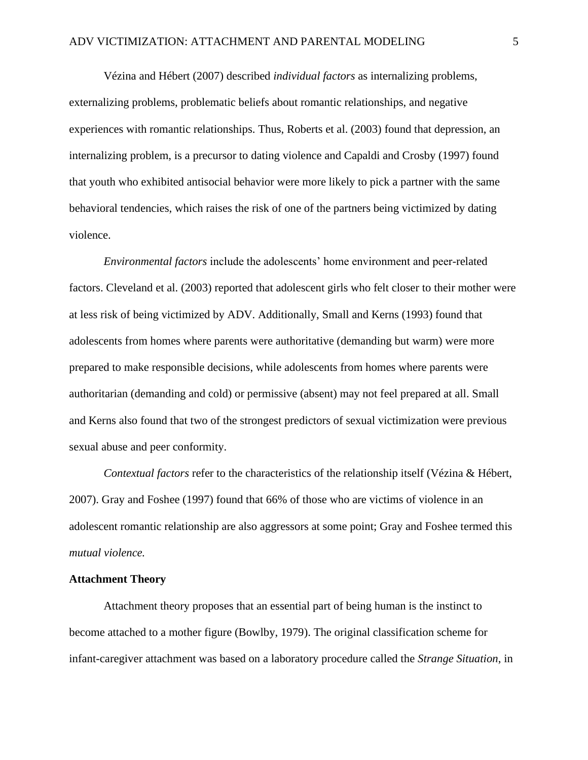Vézina and Hébert (2007) described *individual factors* as internalizing problems, externalizing problems, problematic beliefs about romantic relationships, and negative experiences with romantic relationships. Thus, Roberts et al. (2003) found that depression, an internalizing problem, is a precursor to dating violence and Capaldi and Crosby (1997) found that youth who exhibited antisocial behavior were more likely to pick a partner with the same behavioral tendencies, which raises the risk of one of the partners being victimized by dating violence.

*Environmental factors* include the adolescents' home environment and peer-related factors. Cleveland et al. (2003) reported that adolescent girls who felt closer to their mother were at less risk of being victimized by ADV. Additionally, Small and Kerns (1993) found that adolescents from homes where parents were authoritative (demanding but warm) were more prepared to make responsible decisions, while adolescents from homes where parents were authoritarian (demanding and cold) or permissive (absent) may not feel prepared at all. Small and Kerns also found that two of the strongest predictors of sexual victimization were previous sexual abuse and peer conformity.

*Contextual factors* refer to the characteristics of the relationship itself (Vézina & Hébert, 2007). Gray and Foshee (1997) found that 66% of those who are victims of violence in an adolescent romantic relationship are also aggressors at some point; Gray and Foshee termed this *mutual violence.* 

#### **Attachment Theory**

Attachment theory proposes that an essential part of being human is the instinct to become attached to a mother figure (Bowlby, 1979). The original classification scheme for infant-caregiver attachment was based on a laboratory procedure called the *Strange Situation*, in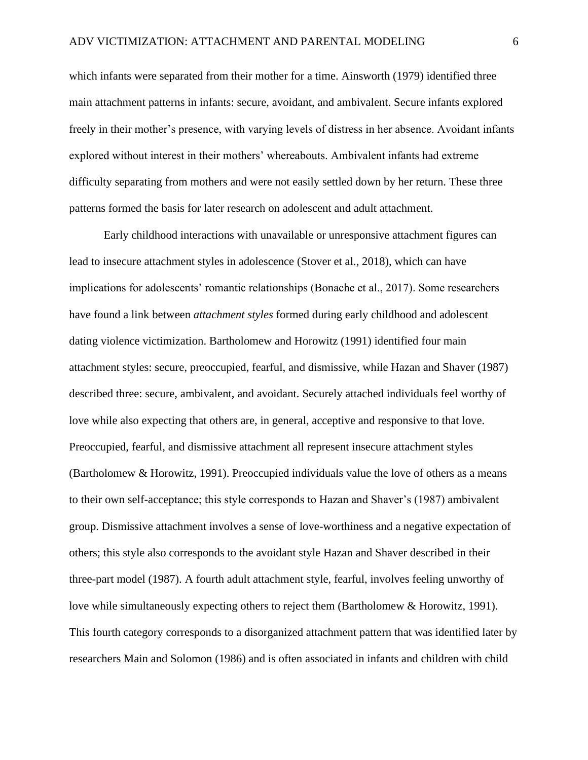which infants were separated from their mother for a time. Ainsworth (1979) identified three main attachment patterns in infants: secure, avoidant, and ambivalent. Secure infants explored freely in their mother's presence, with varying levels of distress in her absence. Avoidant infants explored without interest in their mothers' whereabouts. Ambivalent infants had extreme difficulty separating from mothers and were not easily settled down by her return. These three patterns formed the basis for later research on adolescent and adult attachment.

Early childhood interactions with unavailable or unresponsive attachment figures can lead to insecure attachment styles in adolescence (Stover et al., 2018), which can have implications for adolescents' romantic relationships (Bonache et al., 2017). Some researchers have found a link between *attachment styles* formed during early childhood and adolescent dating violence victimization. Bartholomew and Horowitz (1991) identified four main attachment styles: secure, preoccupied, fearful, and dismissive, while Hazan and Shaver (1987) described three: secure, ambivalent, and avoidant. Securely attached individuals feel worthy of love while also expecting that others are, in general, acceptive and responsive to that love. Preoccupied, fearful, and dismissive attachment all represent insecure attachment styles (Bartholomew & Horowitz, 1991). Preoccupied individuals value the love of others as a means to their own self-acceptance; this style corresponds to Hazan and Shaver's (1987) ambivalent group. Dismissive attachment involves a sense of love-worthiness and a negative expectation of others; this style also corresponds to the avoidant style Hazan and Shaver described in their three-part model (1987). A fourth adult attachment style, fearful, involves feeling unworthy of love while simultaneously expecting others to reject them (Bartholomew & Horowitz, 1991). This fourth category corresponds to a disorganized attachment pattern that was identified later by researchers Main and Solomon (1986) and is often associated in infants and children with child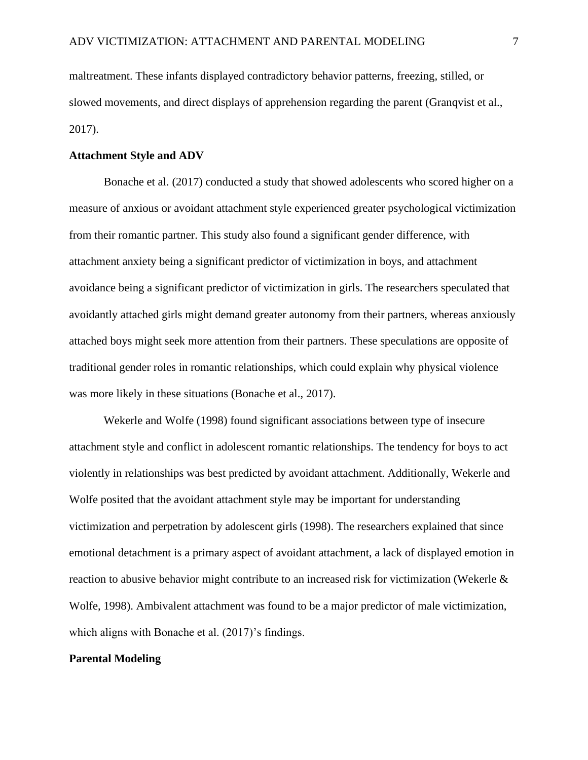maltreatment. These infants displayed contradictory behavior patterns, freezing, stilled, or slowed movements, and direct displays of apprehension regarding the parent (Granqvist et al., 2017).

#### **Attachment Style and ADV**

Bonache et al. (2017) conducted a study that showed adolescents who scored higher on a measure of anxious or avoidant attachment style experienced greater psychological victimization from their romantic partner. This study also found a significant gender difference, with attachment anxiety being a significant predictor of victimization in boys, and attachment avoidance being a significant predictor of victimization in girls. The researchers speculated that avoidantly attached girls might demand greater autonomy from their partners, whereas anxiously attached boys might seek more attention from their partners. These speculations are opposite of traditional gender roles in romantic relationships, which could explain why physical violence was more likely in these situations (Bonache et al., 2017).

Wekerle and Wolfe (1998) found significant associations between type of insecure attachment style and conflict in adolescent romantic relationships. The tendency for boys to act violently in relationships was best predicted by avoidant attachment. Additionally, Wekerle and Wolfe posited that the avoidant attachment style may be important for understanding victimization and perpetration by adolescent girls (1998). The researchers explained that since emotional detachment is a primary aspect of avoidant attachment, a lack of displayed emotion in reaction to abusive behavior might contribute to an increased risk for victimization (Wekerle & Wolfe, 1998). Ambivalent attachment was found to be a major predictor of male victimization, which aligns with Bonache et al. (2017)'s findings.

#### **Parental Modeling**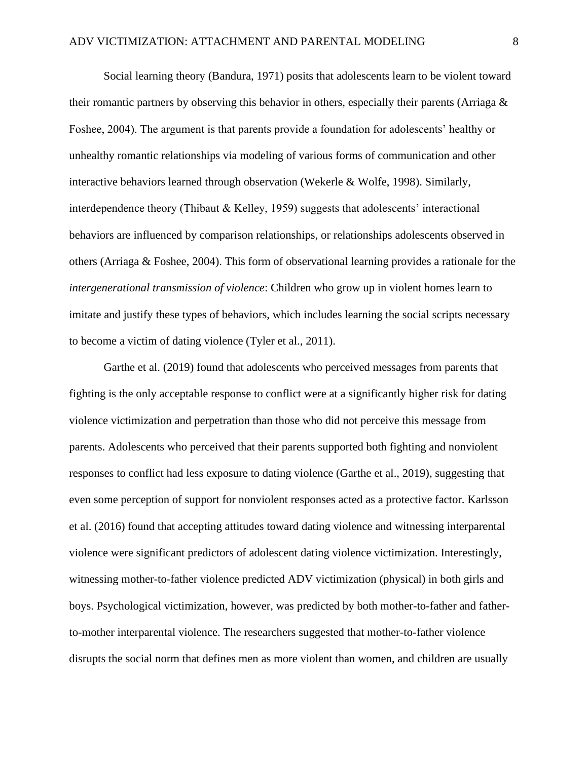Social learning theory (Bandura, 1971) posits that adolescents learn to be violent toward their romantic partners by observing this behavior in others, especially their parents (Arriaga  $\&$ Foshee, 2004). The argument is that parents provide a foundation for adolescents' healthy or unhealthy romantic relationships via modeling of various forms of communication and other interactive behaviors learned through observation (Wekerle & Wolfe, 1998). Similarly, interdependence theory (Thibaut & Kelley, 1959) suggests that adolescents' interactional behaviors are influenced by comparison relationships, or relationships adolescents observed in others (Arriaga & Foshee, 2004). This form of observational learning provides a rationale for the *intergenerational transmission of violence*: Children who grow up in violent homes learn to imitate and justify these types of behaviors, which includes learning the social scripts necessary to become a victim of dating violence (Tyler et al., 2011).

Garthe et al. (2019) found that adolescents who perceived messages from parents that fighting is the only acceptable response to conflict were at a significantly higher risk for dating violence victimization and perpetration than those who did not perceive this message from parents. Adolescents who perceived that their parents supported both fighting and nonviolent responses to conflict had less exposure to dating violence (Garthe et al., 2019), suggesting that even some perception of support for nonviolent responses acted as a protective factor. Karlsson et al. (2016) found that accepting attitudes toward dating violence and witnessing interparental violence were significant predictors of adolescent dating violence victimization. Interestingly, witnessing mother-to-father violence predicted ADV victimization (physical) in both girls and boys. Psychological victimization, however, was predicted by both mother-to-father and fatherto-mother interparental violence. The researchers suggested that mother-to-father violence disrupts the social norm that defines men as more violent than women, and children are usually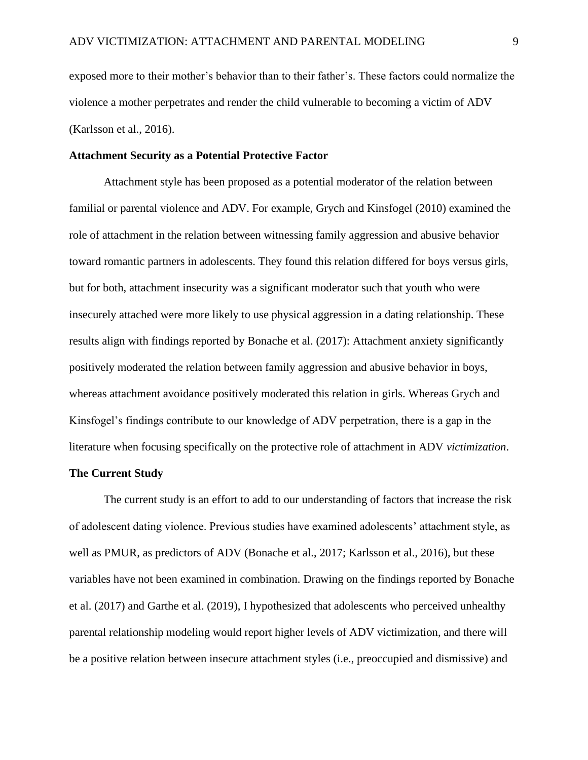exposed more to their mother's behavior than to their father's. These factors could normalize the violence a mother perpetrates and render the child vulnerable to becoming a victim of ADV (Karlsson et al., 2016).

#### **Attachment Security as a Potential Protective Factor**

Attachment style has been proposed as a potential moderator of the relation between familial or parental violence and ADV. For example, Grych and Kinsfogel (2010) examined the role of attachment in the relation between witnessing family aggression and abusive behavior toward romantic partners in adolescents. They found this relation differed for boys versus girls, but for both, attachment insecurity was a significant moderator such that youth who were insecurely attached were more likely to use physical aggression in a dating relationship. These results align with findings reported by Bonache et al. (2017): Attachment anxiety significantly positively moderated the relation between family aggression and abusive behavior in boys, whereas attachment avoidance positively moderated this relation in girls. Whereas Grych and Kinsfogel's findings contribute to our knowledge of ADV perpetration, there is a gap in the literature when focusing specifically on the protective role of attachment in ADV *victimization*.

#### **The Current Study**

The current study is an effort to add to our understanding of factors that increase the risk of adolescent dating violence. Previous studies have examined adolescents' attachment style, as well as PMUR, as predictors of ADV (Bonache et al., 2017; Karlsson et al., 2016), but these variables have not been examined in combination. Drawing on the findings reported by Bonache et al. (2017) and Garthe et al. (2019), I hypothesized that adolescents who perceived unhealthy parental relationship modeling would report higher levels of ADV victimization, and there will be a positive relation between insecure attachment styles (i.e., preoccupied and dismissive) and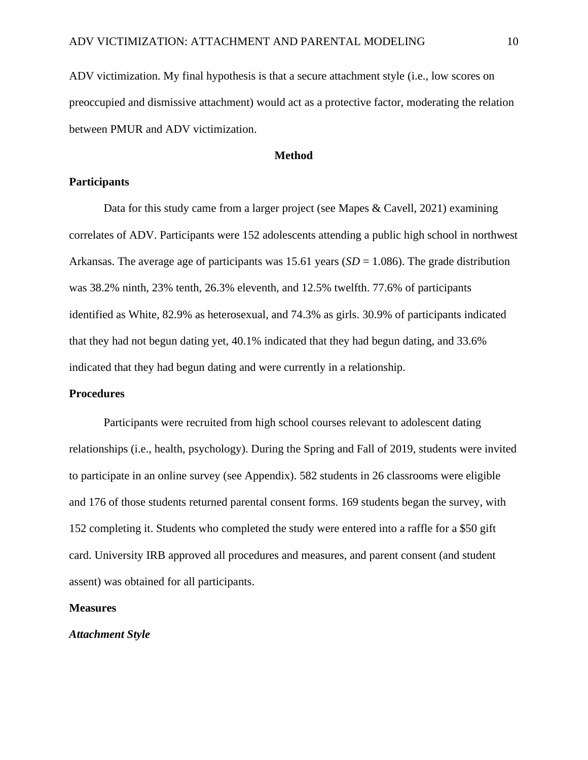ADV victimization. My final hypothesis is that a secure attachment style (i.e., low scores on preoccupied and dismissive attachment) would act as a protective factor, moderating the relation between PMUR and ADV victimization.

#### **Method**

#### **Participants**

Data for this study came from a larger project (see Mapes & Cavell, 2021) examining correlates of ADV. Participants were 152 adolescents attending a public high school in northwest Arkansas. The average age of participants was 15.61 years (*SD* = 1.086). The grade distribution was 38.2% ninth, 23% tenth, 26.3% eleventh, and 12.5% twelfth. 77.6% of participants identified as White, 82.9% as heterosexual, and 74.3% as girls. 30.9% of participants indicated that they had not begun dating yet, 40.1% indicated that they had begun dating, and 33.6% indicated that they had begun dating and were currently in a relationship.

#### **Procedures**

Participants were recruited from high school courses relevant to adolescent dating relationships (i.e., health, psychology). During the Spring and Fall of 2019, students were invited to participate in an online survey (see Appendix). 582 students in 26 classrooms were eligible and 176 of those students returned parental consent forms. 169 students began the survey, with 152 completing it. Students who completed the study were entered into a raffle for a \$50 gift card. University IRB approved all procedures and measures, and parent consent (and student assent) was obtained for all participants.

#### **Measures**

#### *Attachment Style*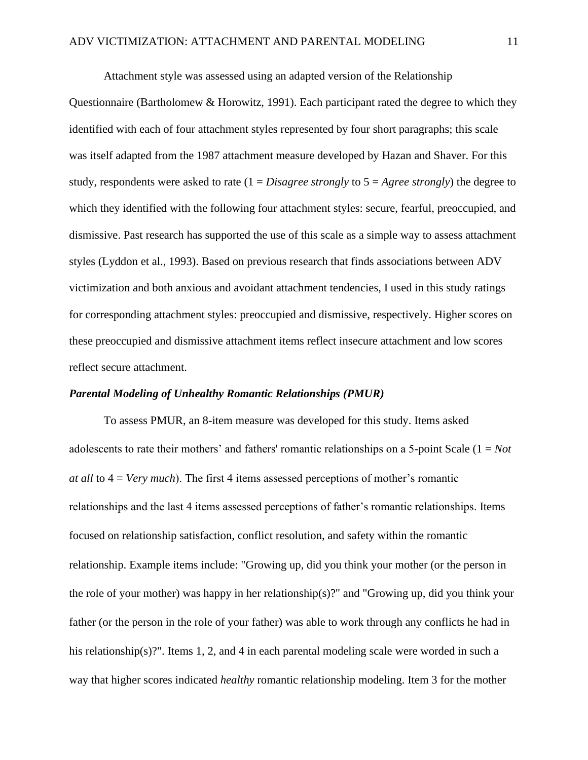Attachment style was assessed using an adapted version of the Relationship

Questionnaire (Bartholomew & Horowitz, 1991). Each participant rated the degree to which they identified with each of four attachment styles represented by four short paragraphs; this scale was itself adapted from the 1987 attachment measure developed by Hazan and Shaver. For this study, respondents were asked to rate (1 = *Disagree strongly* to 5 = *Agree strongly*) the degree to which they identified with the following four attachment styles: secure, fearful, preoccupied, and dismissive. Past research has supported the use of this scale as a simple way to assess attachment styles (Lyddon et al., 1993). Based on previous research that finds associations between ADV victimization and both anxious and avoidant attachment tendencies, I used in this study ratings for corresponding attachment styles: preoccupied and dismissive, respectively. Higher scores on these preoccupied and dismissive attachment items reflect insecure attachment and low scores reflect secure attachment.

#### *Parental Modeling of Unhealthy Romantic Relationships (PMUR)*

To assess PMUR, an 8-item measure was developed for this study. Items asked adolescents to rate their mothers' and fathers' romantic relationships on a 5-point Scale (1 = *Not at all* to 4 = *Very much*). The first 4 items assessed perceptions of mother's romantic relationships and the last 4 items assessed perceptions of father's romantic relationships. Items focused on relationship satisfaction, conflict resolution, and safety within the romantic relationship. Example items include: "Growing up, did you think your mother (or the person in the role of your mother) was happy in her relationship(s)?" and "Growing up, did you think your father (or the person in the role of your father) was able to work through any conflicts he had in his relationship(s)?". Items 1, 2, and 4 in each parental modeling scale were worded in such a way that higher scores indicated *healthy* romantic relationship modeling. Item 3 for the mother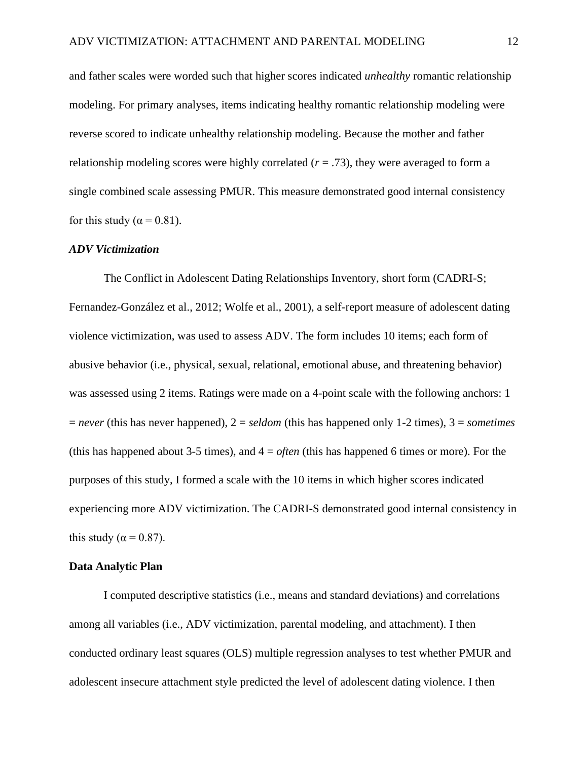and father scales were worded such that higher scores indicated *unhealthy* romantic relationship modeling. For primary analyses, items indicating healthy romantic relationship modeling were reverse scored to indicate unhealthy relationship modeling. Because the mother and father relationship modeling scores were highly correlated  $(r = .73)$ , they were averaged to form a single combined scale assessing PMUR. This measure demonstrated good internal consistency for this study ( $\alpha$  = 0.81).

#### *ADV Victimization*

The Conflict in Adolescent Dating Relationships Inventory, short form (CADRI-S; Fernandez-González et al., 2012; Wolfe et al., 2001), a self-report measure of adolescent dating violence victimization, was used to assess ADV. The form includes 10 items; each form of abusive behavior (i.e., physical, sexual, relational, emotional abuse, and threatening behavior) was assessed using 2 items. Ratings were made on a 4-point scale with the following anchors: 1  $=$  *never* (this has never happened),  $2 =$  *seldom* (this has happened only 1-2 times),  $3 =$  *sometimes* (this has happened about 3-5 times), and 4 = *often* (this has happened 6 times or more). For the purposes of this study, I formed a scale with the 10 items in which higher scores indicated experiencing more ADV victimization. The CADRI-S demonstrated good internal consistency in this study ( $\alpha$  = 0.87).

#### **Data Analytic Plan**

I computed descriptive statistics (i.e., means and standard deviations) and correlations among all variables (i.e., ADV victimization, parental modeling, and attachment). I then conducted ordinary least squares (OLS) multiple regression analyses to test whether PMUR and adolescent insecure attachment style predicted the level of adolescent dating violence. I then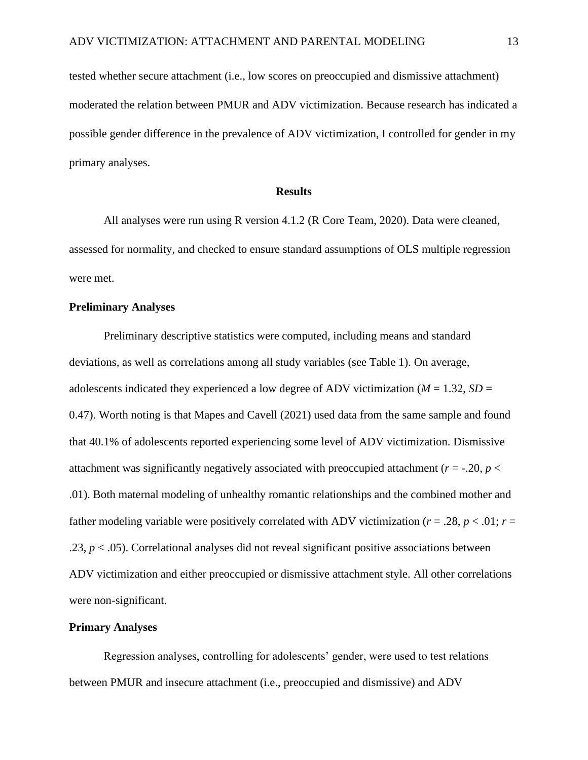tested whether secure attachment (i.e., low scores on preoccupied and dismissive attachment) moderated the relation between PMUR and ADV victimization. Because research has indicated a possible gender difference in the prevalence of ADV victimization, I controlled for gender in my primary analyses.

#### **Results**

All analyses were run using R version 4.1.2 (R Core Team, 2020). Data were cleaned, assessed for normality, and checked to ensure standard assumptions of OLS multiple regression were met.

#### **Preliminary Analyses**

Preliminary descriptive statistics were computed, including means and standard deviations, as well as correlations among all study variables (see Table 1). On average, adolescents indicated they experienced a low degree of ADV victimization ( $M = 1.32$ ,  $SD =$ 0.47). Worth noting is that Mapes and Cavell (2021) used data from the same sample and found that 40.1% of adolescents reported experiencing some level of ADV victimization. Dismissive attachment was significantly negatively associated with preoccupied attachment  $(r = -0.20, p <$ .01). Both maternal modeling of unhealthy romantic relationships and the combined mother and father modeling variable were positively correlated with ADV victimization ( $r = .28$ ,  $p < .01$ ;  $r =$ .23, *p* < .05). Correlational analyses did not reveal significant positive associations between ADV victimization and either preoccupied or dismissive attachment style. All other correlations were non-significant.

#### **Primary Analyses**

Regression analyses, controlling for adolescents' gender, were used to test relations between PMUR and insecure attachment (i.e., preoccupied and dismissive) and ADV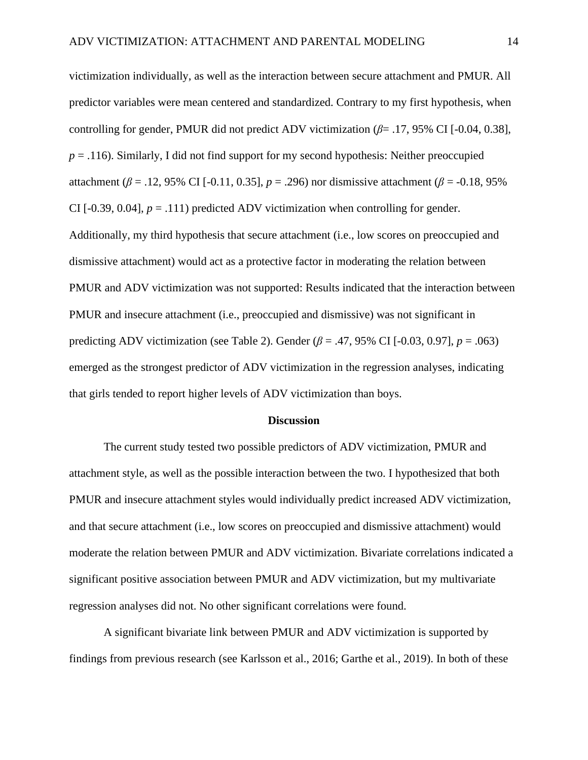victimization individually, as well as the interaction between secure attachment and PMUR. All predictor variables were mean centered and standardized. Contrary to my first hypothesis, when controlling for gender, PMUR did not predict ADV victimization (*β*= .17, 95% CI [-0.04, 0.38],  $p = .116$ ). Similarly, I did not find support for my second hypothesis: Neither preoccupied attachment ( $\beta$  = .12, 95% CI [-0.11, 0.35],  $p = .296$ ) nor dismissive attachment ( $\beta$  = -0.18, 95% CI  $[-0.39, 0.04]$ ,  $p = .111$ ) predicted ADV victimization when controlling for gender. Additionally, my third hypothesis that secure attachment (i.e., low scores on preoccupied and dismissive attachment) would act as a protective factor in moderating the relation between PMUR and ADV victimization was not supported: Results indicated that the interaction between PMUR and insecure attachment (i.e., preoccupied and dismissive) was not significant in predicting ADV victimization (see Table 2). Gender (*β* = .47, 95% CI [-0.03, 0.97], *p* = .063) emerged as the strongest predictor of ADV victimization in the regression analyses, indicating that girls tended to report higher levels of ADV victimization than boys.

#### **Discussion**

The current study tested two possible predictors of ADV victimization, PMUR and attachment style, as well as the possible interaction between the two. I hypothesized that both PMUR and insecure attachment styles would individually predict increased ADV victimization, and that secure attachment (i.e., low scores on preoccupied and dismissive attachment) would moderate the relation between PMUR and ADV victimization. Bivariate correlations indicated a significant positive association between PMUR and ADV victimization, but my multivariate regression analyses did not. No other significant correlations were found.

A significant bivariate link between PMUR and ADV victimization is supported by findings from previous research (see Karlsson et al., 2016; Garthe et al., 2019). In both of these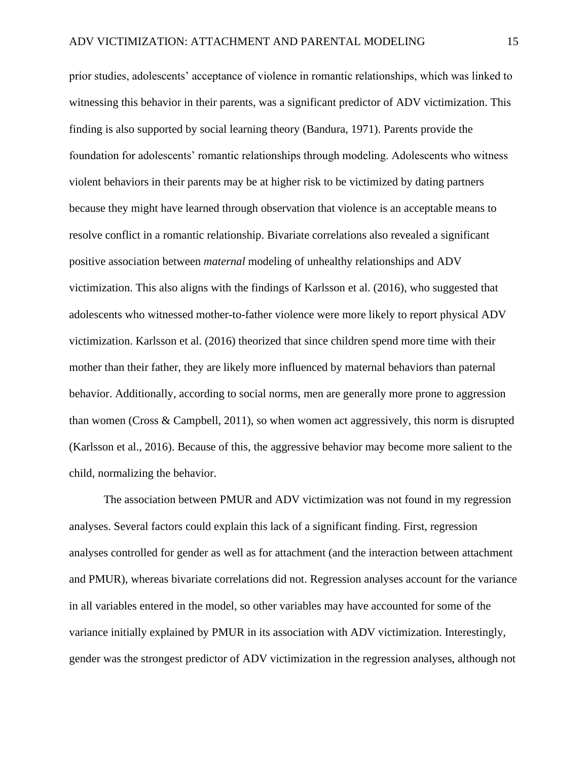prior studies, adolescents' acceptance of violence in romantic relationships, which was linked to witnessing this behavior in their parents, was a significant predictor of ADV victimization. This finding is also supported by social learning theory (Bandura, 1971). Parents provide the foundation for adolescents' romantic relationships through modeling. Adolescents who witness violent behaviors in their parents may be at higher risk to be victimized by dating partners because they might have learned through observation that violence is an acceptable means to resolve conflict in a romantic relationship. Bivariate correlations also revealed a significant positive association between *maternal* modeling of unhealthy relationships and ADV victimization. This also aligns with the findings of Karlsson et al. (2016), who suggested that adolescents who witnessed mother-to-father violence were more likely to report physical ADV victimization. Karlsson et al. (2016) theorized that since children spend more time with their mother than their father, they are likely more influenced by maternal behaviors than paternal behavior. Additionally, according to social norms, men are generally more prone to aggression than women (Cross & Campbell, 2011), so when women act aggressively, this norm is disrupted (Karlsson et al., 2016). Because of this, the aggressive behavior may become more salient to the child, normalizing the behavior.

The association between PMUR and ADV victimization was not found in my regression analyses. Several factors could explain this lack of a significant finding. First, regression analyses controlled for gender as well as for attachment (and the interaction between attachment and PMUR), whereas bivariate correlations did not. Regression analyses account for the variance in all variables entered in the model, so other variables may have accounted for some of the variance initially explained by PMUR in its association with ADV victimization. Interestingly, gender was the strongest predictor of ADV victimization in the regression analyses, although not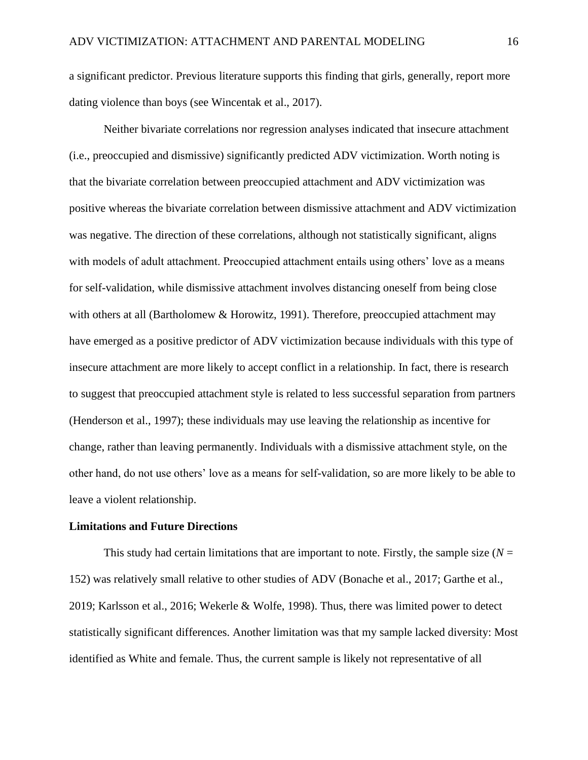a significant predictor. Previous literature supports this finding that girls, generally, report more dating violence than boys (see Wincentak et al., 2017).

Neither bivariate correlations nor regression analyses indicated that insecure attachment (i.e., preoccupied and dismissive) significantly predicted ADV victimization. Worth noting is that the bivariate correlation between preoccupied attachment and ADV victimization was positive whereas the bivariate correlation between dismissive attachment and ADV victimization was negative. The direction of these correlations, although not statistically significant, aligns with models of adult attachment. Preoccupied attachment entails using others' love as a means for self-validation, while dismissive attachment involves distancing oneself from being close with others at all (Bartholomew & Horowitz, 1991). Therefore, preoccupied attachment may have emerged as a positive predictor of ADV victimization because individuals with this type of insecure attachment are more likely to accept conflict in a relationship. In fact, there is research to suggest that preoccupied attachment style is related to less successful separation from partners (Henderson et al., 1997); these individuals may use leaving the relationship as incentive for change, rather than leaving permanently. Individuals with a dismissive attachment style, on the other hand, do not use others' love as a means for self-validation, so are more likely to be able to leave a violent relationship.

#### **Limitations and Future Directions**

This study had certain limitations that are important to note. Firstly, the sample size  $(N =$ 152) was relatively small relative to other studies of ADV (Bonache et al., 2017; Garthe et al., 2019; Karlsson et al., 2016; Wekerle & Wolfe, 1998). Thus, there was limited power to detect statistically significant differences. Another limitation was that my sample lacked diversity: Most identified as White and female. Thus, the current sample is likely not representative of all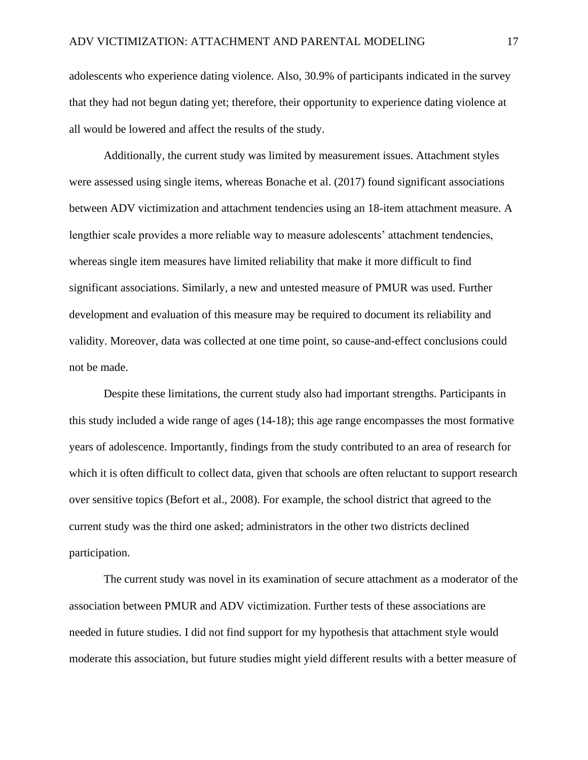adolescents who experience dating violence. Also, 30.9% of participants indicated in the survey that they had not begun dating yet; therefore, their opportunity to experience dating violence at all would be lowered and affect the results of the study.

Additionally, the current study was limited by measurement issues. Attachment styles were assessed using single items, whereas Bonache et al. (2017) found significant associations between ADV victimization and attachment tendencies using an 18-item attachment measure. A lengthier scale provides a more reliable way to measure adolescents' attachment tendencies, whereas single item measures have limited reliability that make it more difficult to find significant associations. Similarly, a new and untested measure of PMUR was used. Further development and evaluation of this measure may be required to document its reliability and validity. Moreover, data was collected at one time point, so cause-and-effect conclusions could not be made.

Despite these limitations, the current study also had important strengths. Participants in this study included a wide range of ages (14-18); this age range encompasses the most formative years of adolescence. Importantly, findings from the study contributed to an area of research for which it is often difficult to collect data, given that schools are often reluctant to support research over sensitive topics (Befort et al., 2008). For example, the school district that agreed to the current study was the third one asked; administrators in the other two districts declined participation.

The current study was novel in its examination of secure attachment as a moderator of the association between PMUR and ADV victimization. Further tests of these associations are needed in future studies. I did not find support for my hypothesis that attachment style would moderate this association, but future studies might yield different results with a better measure of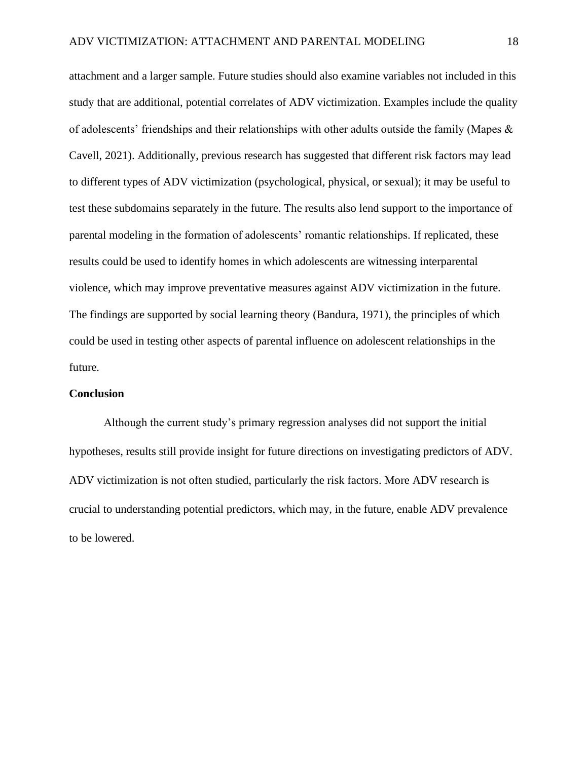attachment and a larger sample. Future studies should also examine variables not included in this study that are additional, potential correlates of ADV victimization. Examples include the quality of adolescents' friendships and their relationships with other adults outside the family (Mapes  $\&$ Cavell, 2021). Additionally, previous research has suggested that different risk factors may lead to different types of ADV victimization (psychological, physical, or sexual); it may be useful to test these subdomains separately in the future. The results also lend support to the importance of parental modeling in the formation of adolescents' romantic relationships. If replicated, these results could be used to identify homes in which adolescents are witnessing interparental violence, which may improve preventative measures against ADV victimization in the future. The findings are supported by social learning theory (Bandura, 1971), the principles of which could be used in testing other aspects of parental influence on adolescent relationships in the future.

#### **Conclusion**

Although the current study's primary regression analyses did not support the initial hypotheses, results still provide insight for future directions on investigating predictors of ADV. ADV victimization is not often studied, particularly the risk factors. More ADV research is crucial to understanding potential predictors, which may, in the future, enable ADV prevalence to be lowered.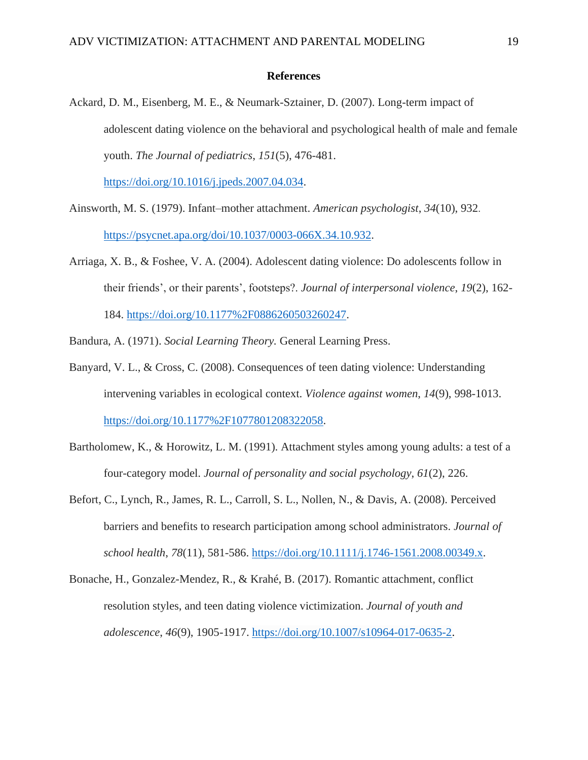#### **References**

Ackard, D. M., Eisenberg, M. E., & Neumark-Sztainer, D. (2007). Long-term impact of adolescent dating violence on the behavioral and psychological health of male and female youth. *The Journal of pediatrics*, *151*(5), 476-481.

[https://doi.org/10.1016/j.jpeds.2007.04.034.](https://doi.org/10.1016/j.jpeds.2007.04.034)

- Ainsworth, M. S. (1979). Infant–mother attachment. *American psychologist*, *34*(10), 932. [https://psycnet.apa.org/doi/10.1037/0003-066X.34.10.932.](https://psycnet.apa.org/doi/10.1037/0003-066X.34.10.932)
- Arriaga, X. B., & Foshee, V. A. (2004). Adolescent dating violence: Do adolescents follow in their friends', or their parents', footsteps?. *Journal of interpersonal violence*, *19*(2), 162- 184. [https://doi.org/10.1177%2F0886260503260247.](https://doi.org/10.1177%2F0886260503260247)
- Bandura, A. (1971). *Social Learning Theory.* General Learning Press.
- Banyard, V. L., & Cross, C. (2008). Consequences of teen dating violence: Understanding intervening variables in ecological context. *Violence against women*, *14*(9), 998-1013. [https://doi.org/10.1177%2F1077801208322058.](https://doi.org/10.1177%2F1077801208322058)
- Bartholomew, K., & Horowitz, L. M. (1991). Attachment styles among young adults: a test of a four-category model. *Journal of personality and social psychology*, *61*(2), 226.
- Befort, C., Lynch, R., James, R. L., Carroll, S. L., Nollen, N., & Davis, A. (2008). Perceived barriers and benefits to research participation among school administrators. *Journal of school health*, *78*(11), 581-586. [https://doi.org/10.1111/j.1746-1561.2008.00349.x.](https://doi.org/10.1111/j.1746-1561.2008.00349.x)
- Bonache, H., Gonzalez-Mendez, R., & Krahé, B. (2017). Romantic attachment, conflict resolution styles, and teen dating violence victimization. *Journal of youth and adolescence*, *46*(9), 1905-1917. [https://doi.org/10.1007/s10964-017-0635-2.](https://doi.org/10.1007/s10964-017-0635-2)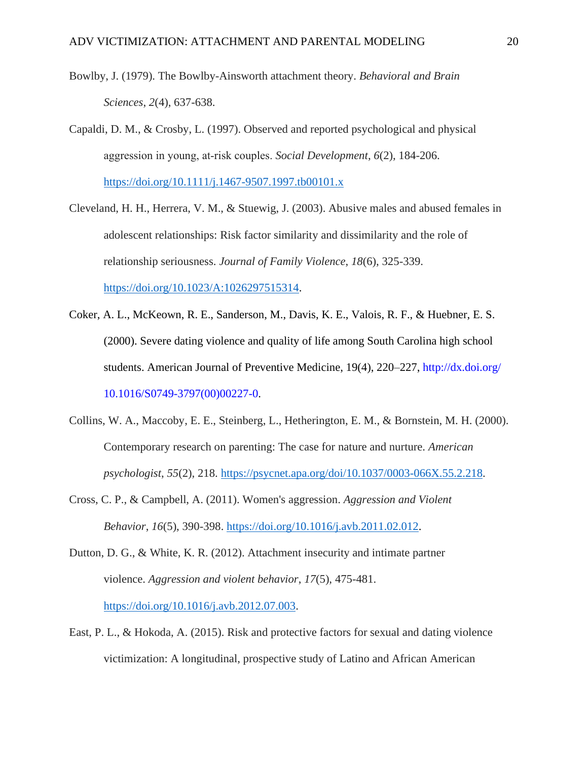- Bowlby, J. (1979). The Bowlby-Ainsworth attachment theory. *Behavioral and Brain Sciences*, *2*(4), 637-638.
- Capaldi, D. M., & Crosby, L. (1997). Observed and reported psychological and physical aggression in young, at‐risk couples. *Social Development*, *6*(2), 184-206. <https://doi.org/10.1111/j.1467-9507.1997.tb00101.x>
- Cleveland, H. H., Herrera, V. M., & Stuewig, J. (2003). Abusive males and abused females in adolescent relationships: Risk factor similarity and dissimilarity and the role of relationship seriousness. *Journal of Family Violence*, *18*(6), 325-339. [https://doi.org/10.1023/A:1026297515314.](https://doi.org/10.1023/A:1026297515314)
- Coker, A. L., McKeown, R. E., Sanderson, M., Davis, K. E., Valois, R. F., & Huebner, E. S. (2000). Severe dating violence and quality of life among South Carolina high school students. American Journal of Preventive Medicine, 19(4), 220–227, http://dx.doi.org/ 10.1016/S0749-3797(00)00227-0.
- Collins, W. A., Maccoby, E. E., Steinberg, L., Hetherington, E. M., & Bornstein, M. H. (2000). Contemporary research on parenting: The case for nature and nurture. *American psychologist*, *55*(2), 218. [https://psycnet.apa.org/doi/10.1037/0003-066X.55.2.218.](https://psycnet.apa.org/doi/10.1037/0003-066X.55.2.218)
- Cross, C. P., & Campbell, A. (2011). Women's aggression. *Aggression and Violent Behavior*, *16*(5), 390-398. [https://doi.org/10.1016/j.avb.2011.02.012.](https://doi.org/10.1016/j.avb.2011.02.012)
- Dutton, D. G., & White, K. R. (2012). Attachment insecurity and intimate partner violence. *Aggression and violent behavior*, *17*(5), 475-481. [https://doi.org/10.1016/j.avb.2012.07.003.](https://doi.org/10.1016/j.avb.2012.07.003)
- East, P. L., & Hokoda, A. (2015). Risk and protective factors for sexual and dating violence victimization: A longitudinal, prospective study of Latino and African American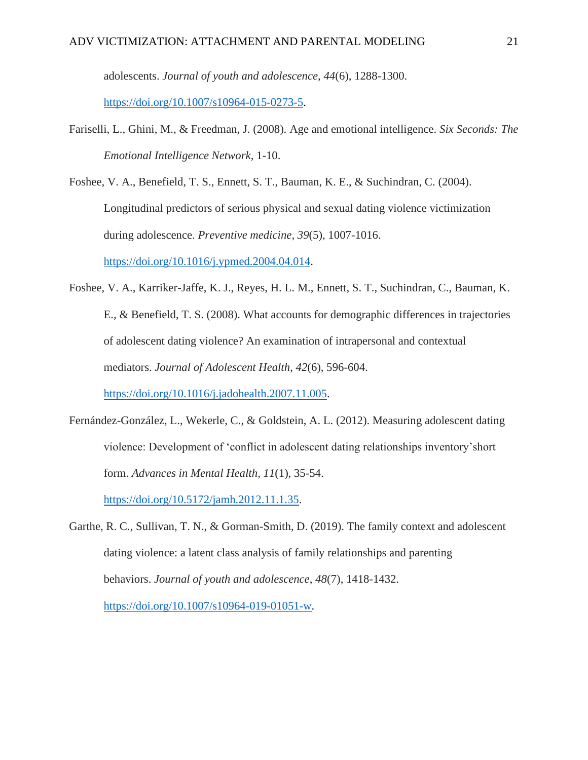adolescents. *Journal of youth and adolescence*, *44*(6), 1288-1300.

[https://doi.org/10.1007/s10964-015-0273-5.](https://doi.org/10.1007/s10964-015-0273-5)

Fariselli, L., Ghini, M., & Freedman, J. (2008). Age and emotional intelligence. *Six Seconds: The Emotional Intelligence Network*, 1-10.

Foshee, V. A., Benefield, T. S., Ennett, S. T., Bauman, K. E., & Suchindran, C. (2004). Longitudinal predictors of serious physical and sexual dating violence victimization during adolescence. *Preventive medicine*, *39*(5), 1007-1016.

[https://doi.org/10.1016/j.ypmed.2004.04.014.](https://doi.org/10.1016/j.ypmed.2004.04.014)

Foshee, V. A., Karriker-Jaffe, K. J., Reyes, H. L. M., Ennett, S. T., Suchindran, C., Bauman, K. E., & Benefield, T. S. (2008). What accounts for demographic differences in trajectories of adolescent dating violence? An examination of intrapersonal and contextual mediators. *Journal of Adolescent Health*, *42*(6), 596-604.

[https://doi.org/10.1016/j.jadohealth.2007.11.005.](https://doi.org/10.1016/j.jadohealth.2007.11.005)

Fernández-González, L., Wekerle, C., & Goldstein, A. L. (2012). Measuring adolescent dating violence: Development of 'conflict in adolescent dating relationships inventory'short form. *Advances in Mental Health*, *11*(1), 35-54.

[https://doi.org/10.5172/jamh.2012.11.1.35.](https://doi.org/10.5172/jamh.2012.11.1.35)

Garthe, R. C., Sullivan, T. N., & Gorman-Smith, D. (2019). The family context and adolescent dating violence: a latent class analysis of family relationships and parenting behaviors. *Journal of youth and adolescence*, *48*(7), 1418-1432.

[https://doi.org/10.1007/s10964-019-01051-w.](https://doi.org/10.1007/s10964-019-01051-w)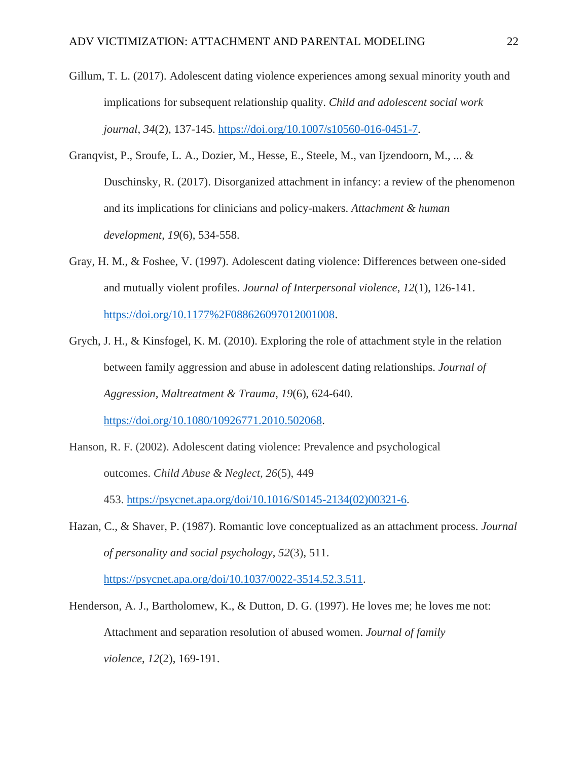- Gillum, T. L. (2017). Adolescent dating violence experiences among sexual minority youth and implications for subsequent relationship quality. *Child and adolescent social work journal*, *34*(2), 137-145. [https://doi.org/10.1007/s10560-016-0451-7.](https://doi.org/10.1007/s10560-016-0451-7)
- Granqvist, P., Sroufe, L. A., Dozier, M., Hesse, E., Steele, M., van Ijzendoorn, M., ... & Duschinsky, R. (2017). Disorganized attachment in infancy: a review of the phenomenon and its implications for clinicians and policy-makers. *Attachment & human development*, *19*(6), 534-558.
- Gray, H. M., & Foshee, V. (1997). Adolescent dating violence: Differences between one-sided and mutually violent profiles. *Journal of Interpersonal violence*, *12*(1), 126-141. [https://doi.org/10.1177%2F088626097012001008.](https://doi.org/10.1177%2F088626097012001008)
- Grych, J. H., & Kinsfogel, K. M. (2010). Exploring the role of attachment style in the relation between family aggression and abuse in adolescent dating relationships. *Journal of Aggression, Maltreatment & Trauma*, *19*(6), 624-640. [https://doi.org/10.1080/10926771.2010.502068.](https://doi.org/10.1080/10926771.2010.502068)
- Hanson, R. F. (2002). Adolescent dating violence: Prevalence and psychological outcomes. *Child Abuse & Neglect, 26*(5), 449– 453. [https://psycnet.apa.org/doi/10.1016/S0145-2134\(02\)00321-6.](https://psycnet.apa.org/doi/10.1016/S0145-2134(02)00321-6)
- Hazan, C., & Shaver, P. (1987). Romantic love conceptualized as an attachment process. *Journal of personality and social psychology*, *52*(3), 511.

[https://psycnet.apa.org/doi/10.1037/0022-3514.52.3.511.](https://psycnet.apa.org/doi/10.1037/0022-3514.52.3.511)

Henderson, A. J., Bartholomew, K., & Dutton, D. G. (1997). He loves me; he loves me not: Attachment and separation resolution of abused women. *Journal of family violence*, *12*(2), 169-191.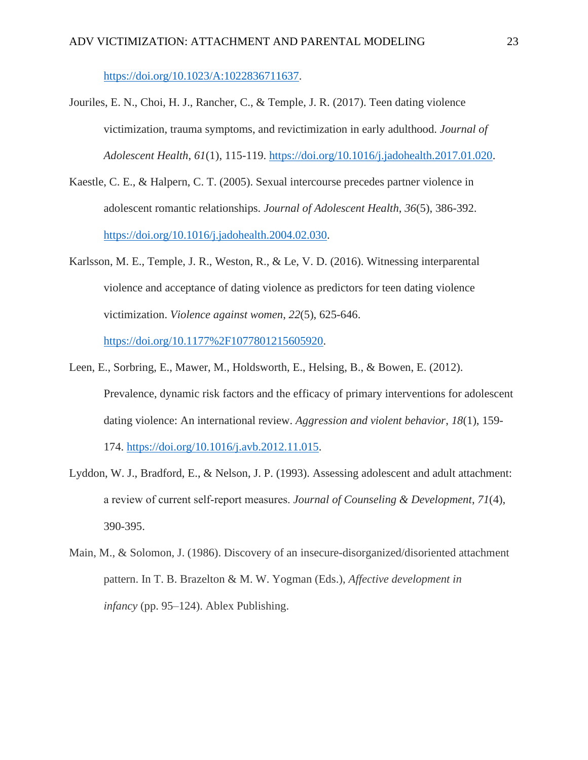[https://doi.org/10.1023/A:1022836711637.](https://doi.org/10.1023/A:1022836711637)

- Jouriles, E. N., Choi, H. J., Rancher, C., & Temple, J. R. (2017). Teen dating violence victimization, trauma symptoms, and revictimization in early adulthood. *Journal of Adolescent Health*, *61*(1), 115-119. [https://doi.org/10.1016/j.jadohealth.2017.01.020.](https://doi.org/10.1016/j.jadohealth.2017.01.020)
- Kaestle, C. E., & Halpern, C. T. (2005). Sexual intercourse precedes partner violence in adolescent romantic relationships. *Journal of Adolescent Health*, *36*(5), 386-392. [https://doi.org/10.1016/j.jadohealth.2004.02.030.](https://doi.org/10.1016/j.jadohealth.2004.02.030)
- Karlsson, M. E., Temple, J. R., Weston, R., & Le, V. D. (2016). Witnessing interparental violence and acceptance of dating violence as predictors for teen dating violence victimization. *Violence against women*, *22*(5), 625-646.

[https://doi.org/10.1177%2F1077801215605920.](https://doi.org/10.1177%2F1077801215605920)

- Leen, E., Sorbring, E., Mawer, M., Holdsworth, E., Helsing, B., & Bowen, E. (2012). Prevalence, dynamic risk factors and the efficacy of primary interventions for adolescent dating violence: An international review. *Aggression and violent behavior*, *18*(1), 159- 174. [https://doi.org/10.1016/j.avb.2012.11.015.](https://doi.org/10.1016/j.avb.2012.11.015)
- Lyddon, W. J., Bradford, E., & Nelson, J. P. (1993). Assessing adolescent and adult attachment: a review of current self‐report measures. *Journal of Counseling & Development*, *71*(4), 390-395.
- Main, M., & Solomon, J. (1986). Discovery of an insecure-disorganized/disoriented attachment pattern. In T. B. Brazelton & M. W. Yogman (Eds.), *Affective development in infancy* (pp. 95–124). Ablex Publishing.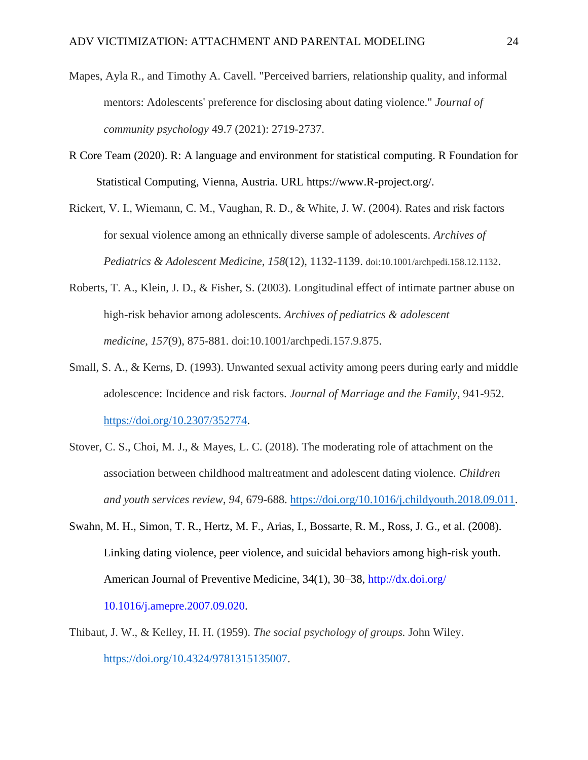- Mapes, Ayla R., and Timothy A. Cavell. "Perceived barriers, relationship quality, and informal mentors: Adolescents' preference for disclosing about dating violence." *Journal of community psychology* 49.7 (2021): 2719-2737.
- R Core Team (2020). R: A language and environment for statistical computing. R Foundation for Statistical Computing, Vienna, Austria. URL https://www.R-project.org/.
- Rickert, V. I., Wiemann, C. M., Vaughan, R. D., & White, J. W. (2004). Rates and risk factors for sexual violence among an ethnically diverse sample of adolescents. *Archives of Pediatrics & Adolescent Medicine*, *158*(12), 1132-1139. doi:10.1001/archpedi.158.12.1132.
- Roberts, T. A., Klein, J. D., & Fisher, S. (2003). Longitudinal effect of intimate partner abuse on high-risk behavior among adolescents. *Archives of pediatrics & adolescent medicine*, *157*(9), 875-881. doi:10.1001/archpedi.157.9.875.
- Small, S. A., & Kerns, D. (1993). Unwanted sexual activity among peers during early and middle adolescence: Incidence and risk factors. *Journal of Marriage and the Family*, 941-952. [https://doi.org/10.2307/352774.](https://doi.org/10.2307/352774)
- Stover, C. S., Choi, M. J., & Mayes, L. C. (2018). The moderating role of attachment on the association between childhood maltreatment and adolescent dating violence. *Children and youth services review*, *94*, 679-688. [https://doi.org/10.1016/j.childyouth.2018.09.011.](https://doi.org/10.1016/j.childyouth.2018.09.011)
- Swahn, M. H., Simon, T. R., Hertz, M. F., Arias, I., Bossarte, R. M., Ross, J. G., et al. (2008). Linking dating violence, peer violence, and suicidal behaviors among high-risk youth. American Journal of Preventive Medicine, 34(1), 30–38, http://dx.doi.org/ 10.1016/j.amepre.2007.09.020.
- Thibaut, J. W., & Kelley, H. H. (1959). *The social psychology of groups.* John Wiley. [https://doi.org/10.4324/9781315135007.](https://doi.org/10.4324/9781315135007)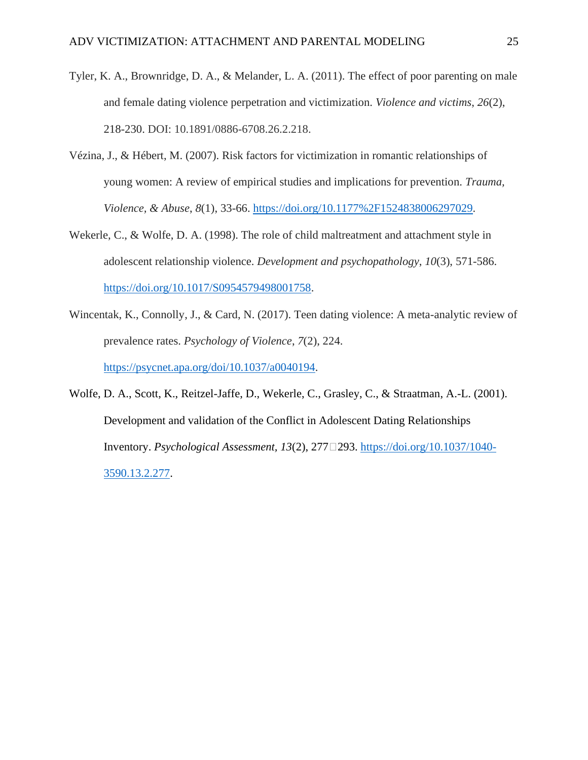- Tyler, K. A., Brownridge, D. A., & Melander, L. A. (2011). The effect of poor parenting on male and female dating violence perpetration and victimization. *Violence and victims*, *26*(2), 218-230. DOI: 10.1891/0886-6708.26.2.218.
- Vézina, J., & Hébert, M. (2007). Risk factors for victimization in romantic relationships of young women: A review of empirical studies and implications for prevention. *Trauma, Violence, & Abuse*, *8*(1), 33-66. [https://doi.org/10.1177%2F1524838006297029.](https://doi.org/10.1177%2F1524838006297029)
- Wekerle, C., & Wolfe, D. A. (1998). The role of child maltreatment and attachment style in adolescent relationship violence. *Development and psychopathology*, *10*(3), 571-586. [https://doi.org/10.1017/S0954579498001758.](https://doi.org/10.1017/S0954579498001758)
- Wincentak, K., Connolly, J., & Card, N. (2017). Teen dating violence: A meta-analytic review of prevalence rates. *Psychology of Violence*, *7*(2), 224. [https://psycnet.apa.org/doi/10.1037/a0040194.](https://psycnet.apa.org/doi/10.1037/a0040194)
- Wolfe, D. A., Scott, K., Reitzel-Jaffe, D., Wekerle, C., Grasley, C., & Straatman, A.-L. (2001). Development and validation of the Conflict in Adolescent Dating Relationships Inventory. *Psychological Assessment, 13*(2), 277293. [https://doi.org/10.1037/1040-](https://doi.org/10.1037/1040-3590.13.2.277) [3590.13.2.277.](https://doi.org/10.1037/1040-3590.13.2.277)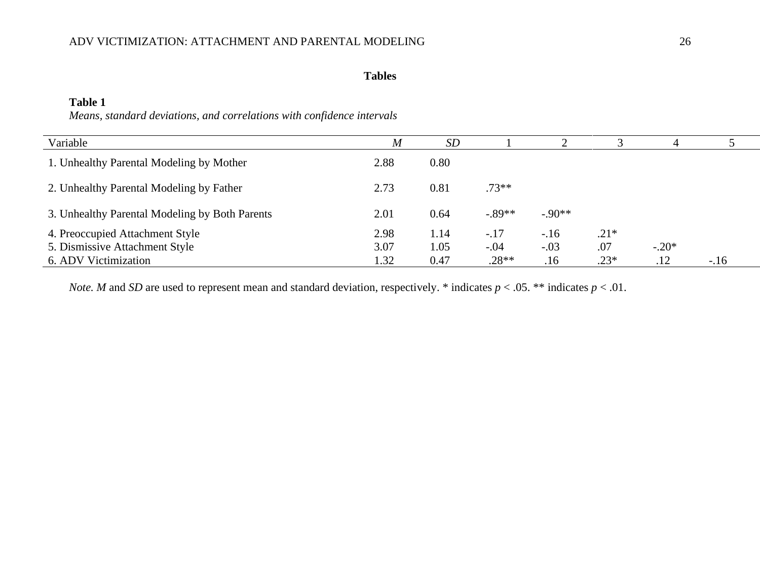## **Tables**

## **Table 1**

*Means, standard deviations, and correlations with confidence intervals*

| Variable                                       | $\boldsymbol{M}$ | <i>SD</i> |          |           |        |         |       |
|------------------------------------------------|------------------|-----------|----------|-----------|--------|---------|-------|
| 1. Unhealthy Parental Modeling by Mother       | 2.88             | 0.80      |          |           |        |         |       |
| 2. Unhealthy Parental Modeling by Father       | 2.73             | 0.81      | $.73**$  |           |        |         |       |
| 3. Unhealthy Parental Modeling by Both Parents | 2.01             | 0.64      | $-.89**$ | $-0.90**$ |        |         |       |
| 4. Preoccupied Attachment Style                | 2.98             | 1.14      | $-.17$   | $-16$     | $.21*$ |         |       |
| 5. Dismissive Attachment Style                 | 3.07             | 1.05      | $-.04$   | $-.03$    | .07    | $-.20*$ |       |
| 6. ADV Victimization                           | 1.32             | 0.47      | $.28**$  | .16       | $.23*$ | .12     | $-16$ |

*Note. M* and *SD* are used to represent mean and standard deviation, respectively. \* indicates  $p < .05$ . \*\* indicates  $p < .01$ .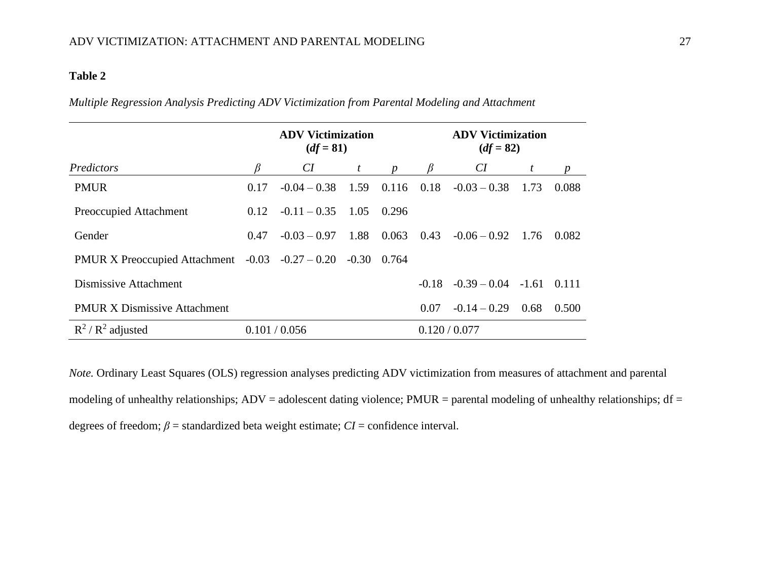## **Table 2**

*Multiple Regression Analysis Predicting ADV Victimization from Parental Modeling and Attachment* 

|                                                                |      | <b>ADV Victimization</b><br>$(df = 81)$ |   |                  | <b>ADV Victimization</b><br>$(df = 82)$ |                            |      |       |
|----------------------------------------------------------------|------|-----------------------------------------|---|------------------|-----------------------------------------|----------------------------|------|-------|
| Predictors                                                     | β    | CI                                      | t | $\boldsymbol{p}$ | β                                       | CI                         | t    | p     |
| <b>PMUR</b>                                                    | 0.17 | $-0.04 - 0.38$ 1.59                     |   | $0.116$ $0.18$   |                                         | $-0.03 - 0.38$             | 1.73 | 0.088 |
| Preoccupied Attachment                                         | 0.12 | $-0.11 - 0.35$ 1.05                     |   | 0.296            |                                         |                            |      |       |
| Gender                                                         | 0.47 | $-0.03 - 0.97$ 1.88                     |   | $0.063$ 0.43     |                                         | $-0.06 - 0.92$ 1.76        |      | 0.082 |
| PMUR X Preoccupied Attachment $-0.03 -0.27 - 0.20 -0.30$ 0.764 |      |                                         |   |                  |                                         |                            |      |       |
| Dismissive Attachment                                          |      |                                         |   |                  | $-0.18$                                 | $-0.39 - 0.04 -1.61$ 0.111 |      |       |
| <b>PMUR X Dismissive Attachment</b>                            |      |                                         |   |                  | 0.07                                    | $-0.14 - 0.29$             | 0.68 | 0.500 |
| $R^2/R^2$ adjusted                                             |      | 0.101 / 0.056                           |   |                  | 0.120 / 0.077                           |                            |      |       |

*Note.* Ordinary Least Squares (OLS) regression analyses predicting ADV victimization from measures of attachment and parental modeling of unhealthy relationships;  $ADV =$  adolescent dating violence;  $PMUR =$  parental modeling of unhealthy relationships; df = degrees of freedom;  $\beta$  = standardized beta weight estimate;  $CI$  = confidence interval.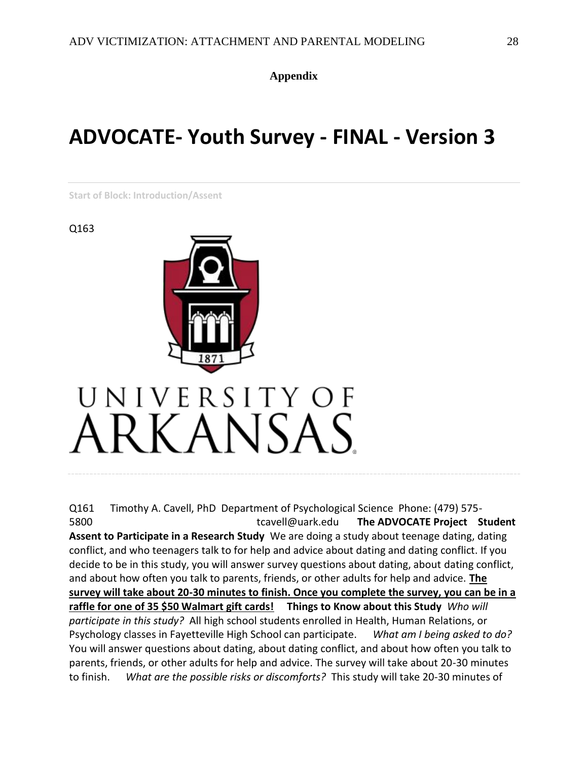**Appendix**

# **ADVOCATE- Youth Survey - FINAL - Version 3**

**Start of Block: Introduction/Assent**

Q163



Q161 Timothy A. Cavell, PhD Department of Psychological Science Phone: (479) 575- 5800 tcavell@uark.edu **The ADVOCATE Project Student Assent to Participate in a Research Study** We are doing a study about teenage dating, dating conflict, and who teenagers talk to for help and advice about dating and dating conflict. If you decide to be in this study, you will answer survey questions about dating, about dating conflict, and about how often you talk to parents, friends, or other adults for help and advice. **The survey will take about 20-30 minutes to finish. Once you complete the survey, you can be in a raffle for one of 35 \$50 Walmart gift cards! Things to Know about this Study** *Who will participate in this study?* All high school students enrolled in Health, Human Relations, or Psychology classes in Fayetteville High School can participate. *What am I being asked to do?* You will answer questions about dating, about dating conflict, and about how often you talk to parents, friends, or other adults for help and advice. The survey will take about 20-30 minutes to finish. *What are the possible risks or discomforts?* This study will take 20-30 minutes of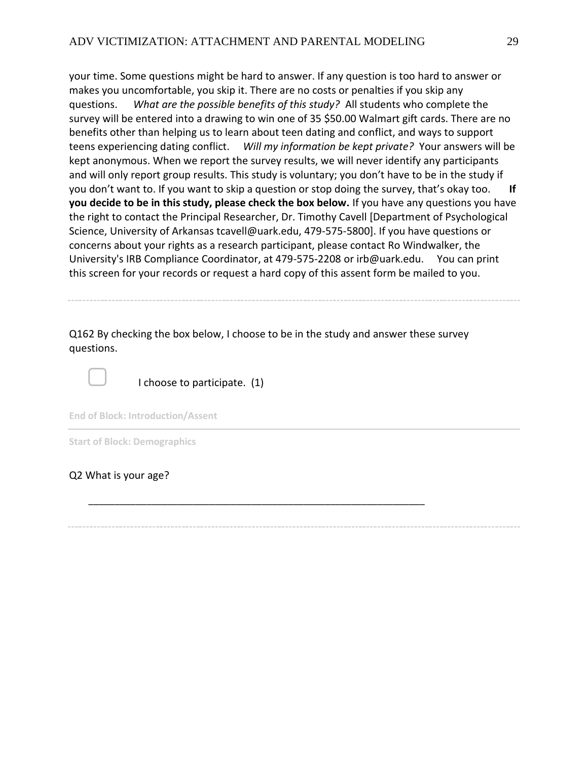your time. Some questions might be hard to answer. If any question is too hard to answer or makes you uncomfortable, you skip it. There are no costs or penalties if you skip any questions. *What are the possible benefits of this study?* All students who complete the survey will be entered into a drawing to win one of 35 \$50.00 Walmart gift cards. There are no benefits other than helping us to learn about teen dating and conflict, and ways to support teens experiencing dating conflict. *Will my information be kept private?* Your answers will be kept anonymous. When we report the survey results, we will never identify any participants and will only report group results. This study is voluntary; you don't have to be in the study if you don't want to. If you want to skip a question or stop doing the survey, that's okay too. **If you decide to be in this study, please check the box below.** If you have any questions you have the right to contact the Principal Researcher, Dr. Timothy Cavell [Department of Psychological Science, University of Arkansas tcavell@uark.edu, 479-575-5800]. If you have questions or concerns about your rights as a research participant, please contact Ro Windwalker, the University's IRB Compliance Coordinator, at 479-575-2208 or irb@uark.edu. You can print this screen for your records or request a hard copy of this assent form be mailed to you.

Q162 By checking the box below, I choose to be in the study and answer these survey questions.

\_\_\_\_\_\_\_\_\_\_\_\_\_\_\_\_\_\_\_\_\_\_\_\_\_\_\_\_\_\_\_\_\_\_\_\_\_\_\_\_\_\_\_\_\_\_\_\_\_\_\_\_\_\_\_\_\_\_\_\_\_\_\_\_



I choose to participate. (1)

**End of Block: Introduction/Assent**

**Start of Block: Demographics**

Q2 What is your age?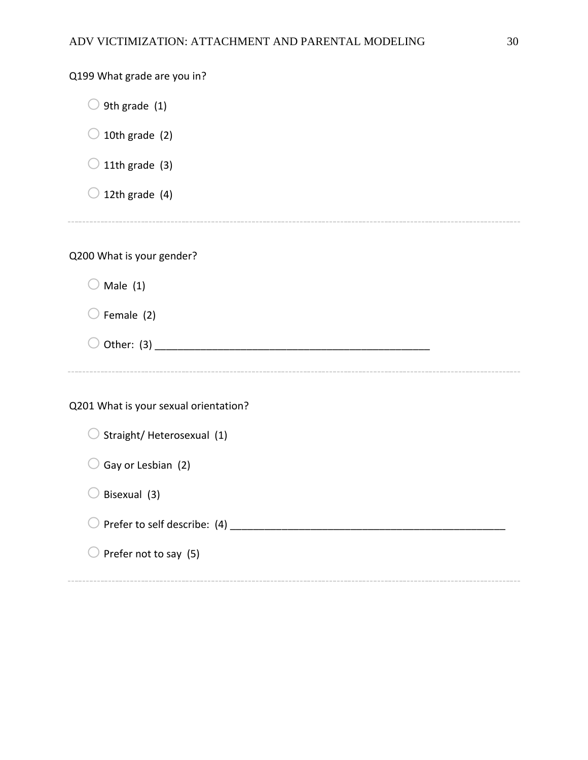| Q199 What grade are you in?           |
|---------------------------------------|
| 9th grade (1)                         |
| 10th grade (2)                        |
| 11th grade (3)                        |
| 12th grade (4)                        |
|                                       |
| Q200 What is your gender?             |
| Male $(1)$                            |
| Female (2)                            |
|                                       |
|                                       |
| Q201 What is your sexual orientation? |
| Straight/Heterosexual (1)             |
| Gay or Lesbian (2)                    |
| Bisexual (3)                          |
|                                       |
| Prefer not to say (5)                 |
|                                       |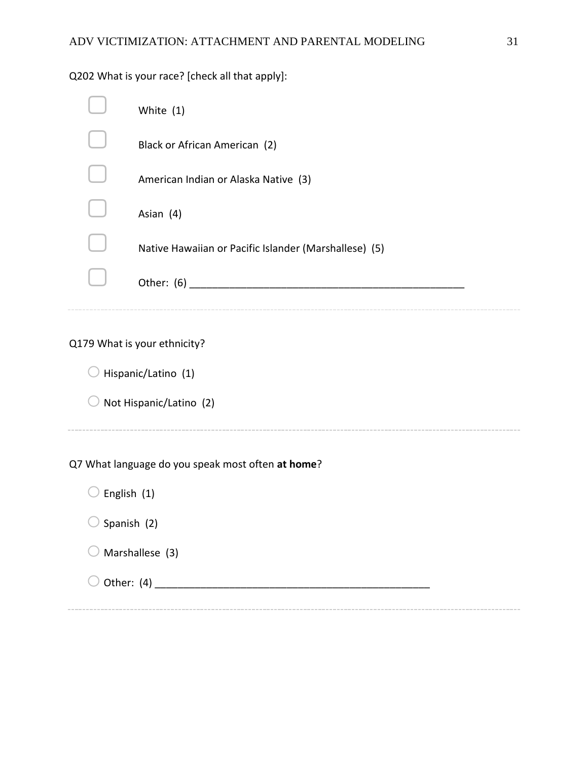## Q202 What is your race? [check all that apply]:

|                         | White $(1)$                                           |  |  |  |  |
|-------------------------|-------------------------------------------------------|--|--|--|--|
|                         | Black or African American (2)                         |  |  |  |  |
|                         | American Indian or Alaska Native (3)                  |  |  |  |  |
|                         | Asian (4)                                             |  |  |  |  |
|                         | Native Hawaiian or Pacific Islander (Marshallese) (5) |  |  |  |  |
|                         |                                                       |  |  |  |  |
|                         |                                                       |  |  |  |  |
|                         | Q179 What is your ethnicity?                          |  |  |  |  |
|                         | Hispanic/Latino (1)                                   |  |  |  |  |
| Not Hispanic/Latino (2) |                                                       |  |  |  |  |
|                         |                                                       |  |  |  |  |
|                         | Q7 What language do you speak most often at home?     |  |  |  |  |
| English (1)             |                                                       |  |  |  |  |
| Spanish (2)             |                                                       |  |  |  |  |
|                         | Marshallese (3)                                       |  |  |  |  |
|                         |                                                       |  |  |  |  |

o Other: (4) \_\_\_\_\_\_\_\_\_\_\_\_\_\_\_\_\_\_\_\_\_\_\_\_\_\_\_\_\_\_\_\_\_\_\_\_\_\_\_\_\_\_\_\_\_\_\_\_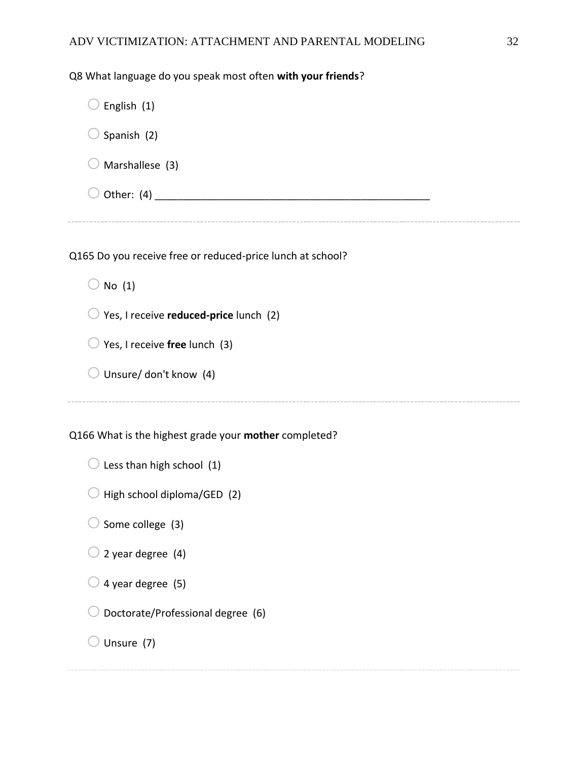Q8 What language do you speak most often **with your friends**?

 $\bigcirc$  English (1)  $\bigcirc$  Spanish (2)  $\bigcirc$  Marshallese (3) o Other: (4) \_\_\_\_\_\_\_\_\_\_\_\_\_\_\_\_\_\_\_\_\_\_\_\_\_\_\_\_\_\_\_\_\_\_\_\_\_\_\_\_\_\_\_\_\_\_\_\_

Q165 Do you receive free or reduced-price lunch at school?

 $\bigcirc$  No (1)

 $\bigcirc$  Yes, I receive **reduced-price** lunch (2)

O Yes, I receive free lunch (3)

 $\bigcirc$  Unsure/ don't know (4)

Q166 What is the highest grade your **mother** completed?

|  |  | $\bigcirc$ Less than high school (1) |  |
|--|--|--------------------------------------|--|

- $\bigcirc$  High school diploma/GED (2)
- $\bigcirc$  Some college (3)
- $\bigcirc$  2 year degree (4)
- $\bigcirc$  4 year degree (5)
- $\bigcirc$  Doctorate/Professional degree (6)

 $\bigcirc$  Unsure (7)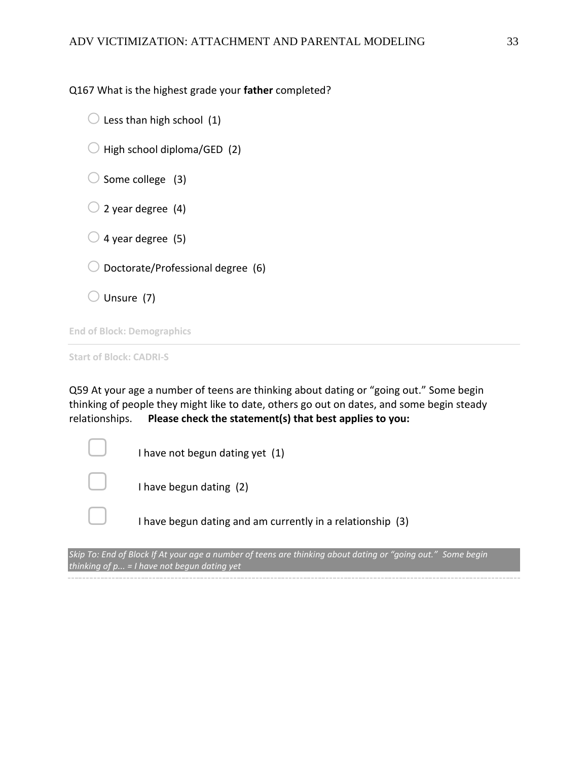### Q167 What is the highest grade your **father** completed?

| $\bigcirc$ Less than high school (1)         |  |  |  |  |  |
|----------------------------------------------|--|--|--|--|--|
| $\bigcirc$ High school diploma/GED (2)       |  |  |  |  |  |
| $\bigcirc$ Some college (3)                  |  |  |  |  |  |
| $\bigcirc$ 2 year degree (4)                 |  |  |  |  |  |
| $\bigcirc$ 4 year degree (5)                 |  |  |  |  |  |
| $\bigcirc$ Doctorate/Professional degree (6) |  |  |  |  |  |
| $\bigcirc$ Unsure (7)                        |  |  |  |  |  |
|                                              |  |  |  |  |  |

**End of Block: Demographics**

**Start of Block: CADRI-S**

Q59 At your age a number of teens are thinking about dating or "going out." Some begin thinking of people they might like to date, others go out on dates, and some begin steady relationships. **Please check the statement(s) that best applies to you:**

| I have not begun dating yet (1)                            |
|------------------------------------------------------------|
| $\Box$ I have begun dating (2)                             |
| I have begun dating and am currently in a relationship (3) |

*Skip To: End of Block If At your age a number of teens are thinking about dating or "going out." Some begin thinking of p... = I have not begun dating yet*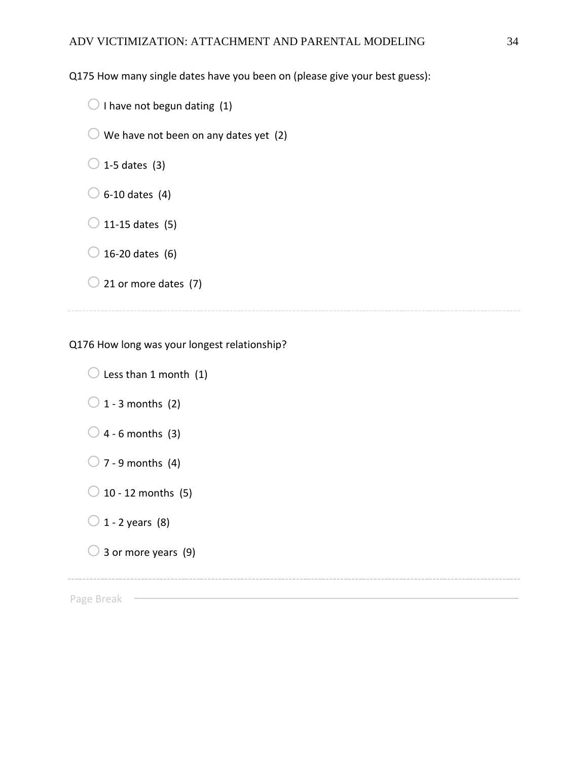Q175 How many single dates have you been on (please give your best guess):

| $\bigcirc$ I have not begun dating (1) |  |
|----------------------------------------|--|

 $\bigcirc$  We have not been on any dates yet (2)

 $\bigcirc$  1-5 dates (3)

 $\bigcirc$  6-10 dates (4)

 $\bigcirc$  11-15 dates (5)

 $\bigcirc$  16-20 dates (6)

 $\bigcirc$  21 or more dates (7)

Q176 How long was your longest relationship?

|  |  | $\bigcirc$ Less than 1 month (1) |  |
|--|--|----------------------------------|--|

 $\bigcirc$  1 - 3 months (2)

 $\bigcirc$  4 - 6 months (3)

 $\bigcirc$  7 - 9 months (4)

 $\bigcirc$  10 - 12 months (5)

 $\bigcirc$  1 - 2 years (8)

 $\bigcirc$  3 or more years (9)

Page Break –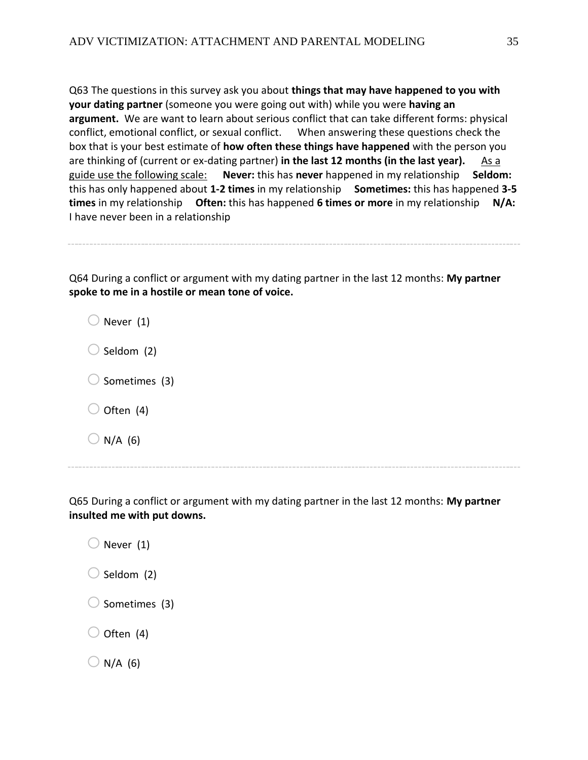Q63 The questions in this survey ask you about **things that may have happened to you with your dating partner** (someone you were going out with) while you were **having an argument.** We are want to learn about serious conflict that can take different forms: physical conflict, emotional conflict, or sexual conflict. When answering these questions check the box that is your best estimate of **how often these things have happened** with the person you are thinking of (current or ex-dating partner) **in the last 12 months (in the last year).** As a guide use the following scale: **Never:** this has **never** happened in my relationship **Seldom:**  this has only happened about **1-2 times** in my relationship **Sometimes:** this has happened **3-5 times** in my relationship **Often:** this has happened **6 times or more** in my relationship **N/A:** I have never been in a relationship

Q64 During a conflict or argument with my dating partner in the last 12 months: **My partner spoke to me in a hostile or mean tone of voice.**

 $\bigcirc$  Never (1)

 $\bigcirc$  Seldom (2)

 $\bigcirc$  Sometimes (3)

 $\bigcirc$  Often (4)

 $\bigcirc$  N/A (6)

Q65 During a conflict or argument with my dating partner in the last 12 months: **My partner insulted me with put downs.**

 $\bigcirc$  Never (1)  $\bigcirc$  Seldom (2)  $\bigcirc$  Sometimes (3)  $\bigcirc$  Often (4)  $\bigcirc$  N/A (6)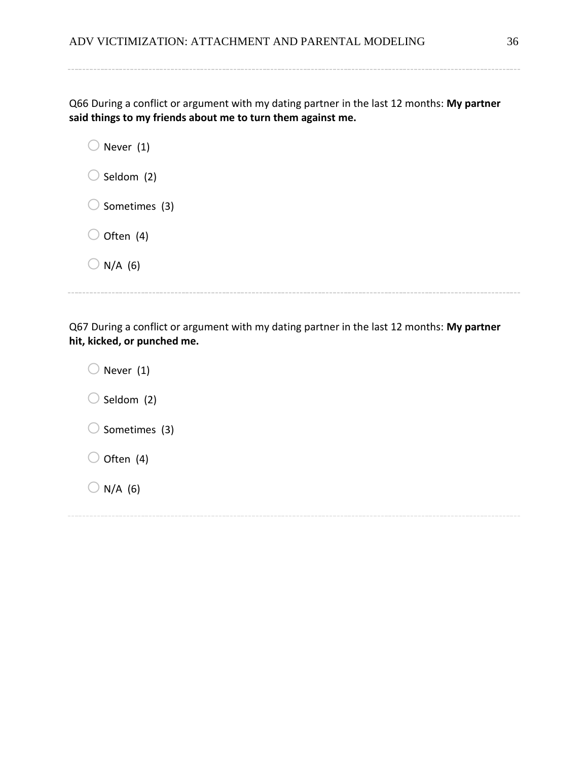Q66 During a conflict or argument with my dating partner in the last 12 months: **My partner said things to my friends about me to turn them against me.**

| $\bigcirc$ Never (1)     |
|--------------------------|
| $\bigcirc$ Seldom (2)    |
| $\bigcirc$ Sometimes (3) |
| $\bigcirc$ Often (4)     |
| $\bigcirc$ N/A (6)       |

Q67 During a conflict or argument with my dating partner in the last 12 months: **My partner hit, kicked, or punched me.**

| $\bigcirc$ Never (1)     |
|--------------------------|
| $\bigcirc$ Seldom (2)    |
| $\bigcirc$ Sometimes (3) |
| $\bigcirc$ Often (4)     |
| $\bigcirc$ N/A (6)       |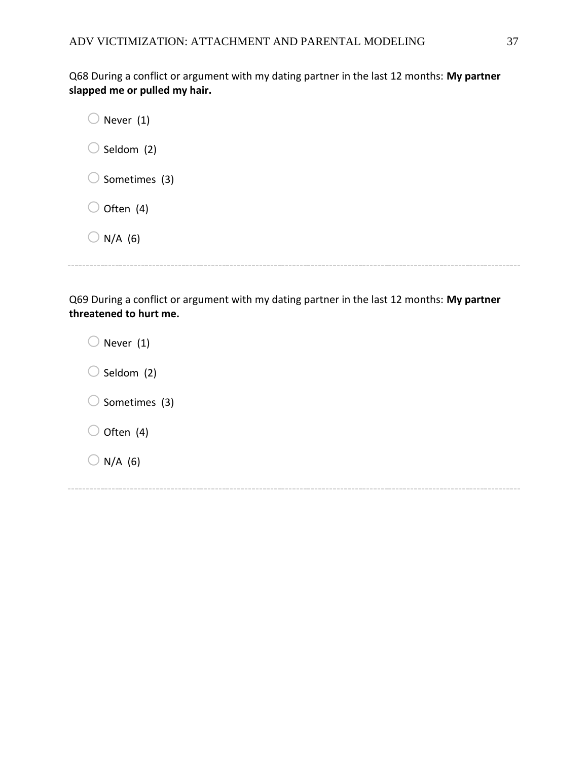Q68 During a conflict or argument with my dating partner in the last 12 months: **My partner slapped me or pulled my hair.**

 $\bigcirc$  Never (1)  $\bigcirc$  Seldom (2)  $\bigcirc$  Sometimes (3)  $\bigcirc$  Often (4)  $\bigcirc$  N/A (6)

Q69 During a conflict or argument with my dating partner in the last 12 months: **My partner threatened to hurt me.**

 $\bigcirc$  Never (1)  $\bigcirc$  Seldom (2)  $\bigcirc$  Sometimes (3)  $\bigcirc$  Often (4)  $\bigcirc$  N/A (6)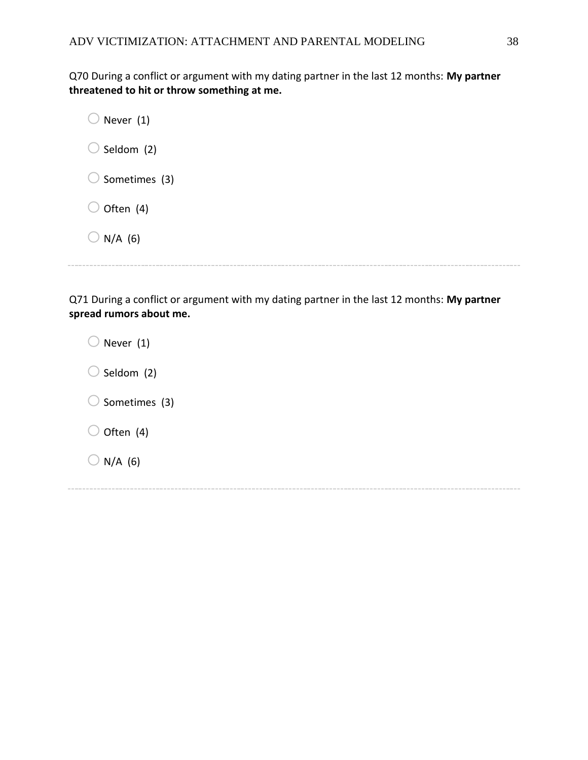Q70 During a conflict or argument with my dating partner in the last 12 months: **My partner threatened to hit or throw something at me.**

| Never (1)     |  |  |
|---------------|--|--|
| Seldom (2)    |  |  |
| Sometimes (3) |  |  |
| Often (4)     |  |  |
| $N/A$ (6)     |  |  |
|               |  |  |

Q71 During a conflict or argument with my dating partner in the last 12 months: **My partner spread rumors about me.**

 $\bigcirc$  Never (1)  $\bigcirc$  Seldom (2)  $\bigcirc$  Sometimes (3)  $\bigcirc$  Often (4)  $\bigcirc$  N/A (6)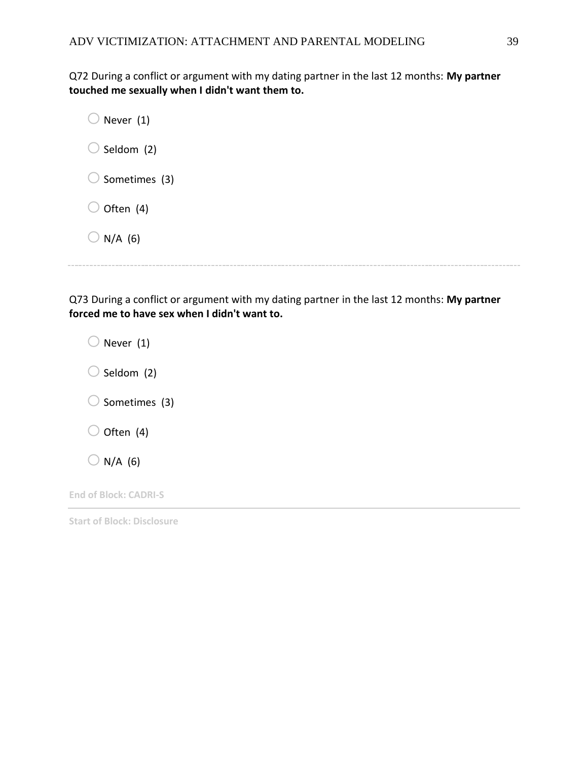Q72 During a conflict or argument with my dating partner in the last 12 months: **My partner touched me sexually when I didn't want them to.**

| Never (1)     |  |  |
|---------------|--|--|
| Seldom (2)    |  |  |
| Sometimes (3) |  |  |
| Often (4)     |  |  |
| $N/A$ (6)     |  |  |
|               |  |  |

Q73 During a conflict or argument with my dating partner in the last 12 months: **My partner forced me to have sex when I didn't want to.**

 $\bigcirc$  Never (1)  $\bigcirc$  Seldom (2)  $\bigcirc$  Sometimes (3)  $\bigcirc$  Often (4)  $\bigcirc$  N/A (6) **End of Block: CADRI-S**

**Start of Block: Disclosure**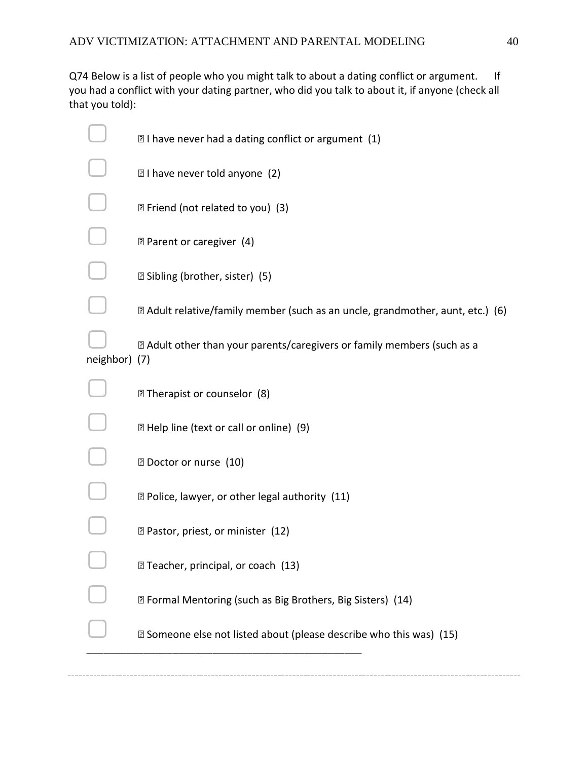Q74 Below is a list of people who you might talk to about a dating conflict or argument. If you had a conflict with your dating partner, who did you talk to about it, if anyone (check all that you told):

|               | • I have never had a dating conflict or argument (1)                           |
|---------------|--------------------------------------------------------------------------------|
|               | • I have never told anyone (2)                                                 |
|               | • Friend (not related to you) (3)                                              |
|               | • Parent or caregiver (4)                                                      |
|               | • Sibling (brother, sister) (5)                                                |
|               | • Adult relative/family member (such as an uncle, grandmother, aunt, etc.) (6) |
| neighbor) (7) | • Adult other than your parents/caregivers or family members (such as a        |
|               | • Therapist or counselor (8)                                                   |
|               | • Help line (text or call or online) (9)                                       |
|               | • Doctor or nurse (10)                                                         |
|               | • Police, lawyer, or other legal authority (11)                                |
|               | • Pastor, priest, or minister (12)                                             |
|               | • Teacher, principal, or coach (13)                                            |
|               | • Formal Mentoring (such as Big Brothers, Big Sisters) (14)                    |
|               | • Someone else not listed about (please describe who this was) (15)            |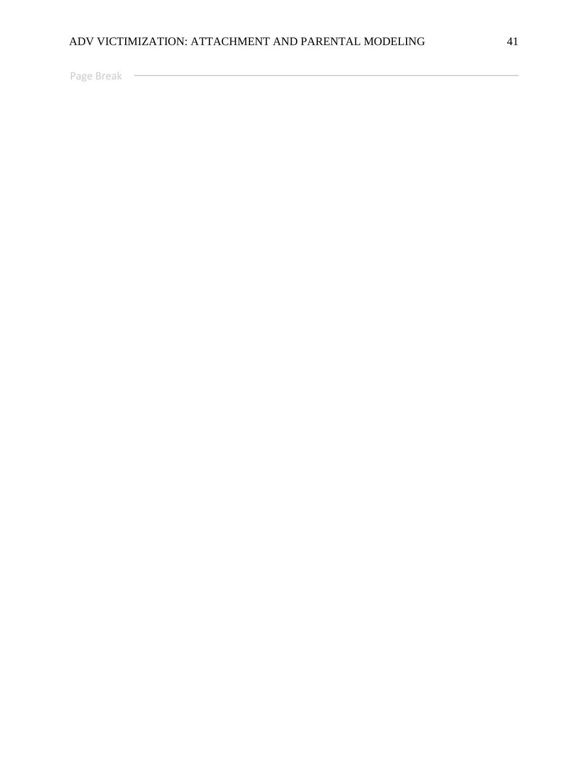Page Break – <u>Electron Communist Communist Communist Communist Communist Communist Communist</u>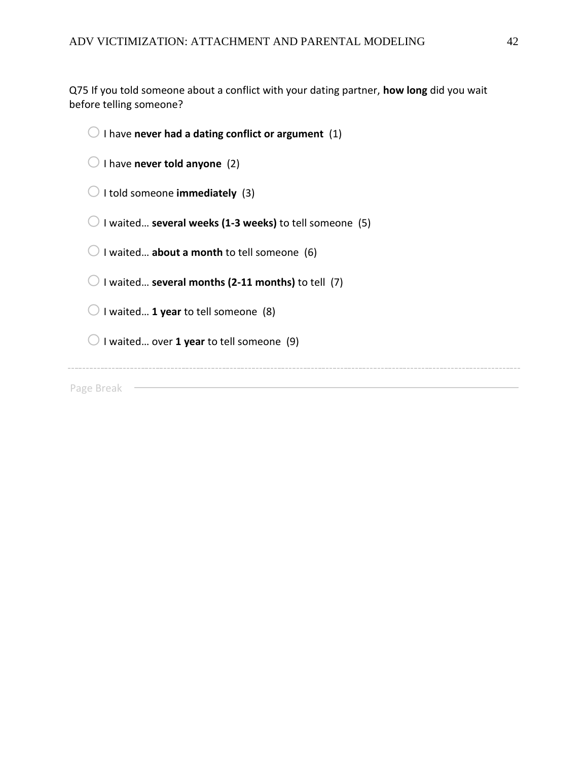Q75 If you told someone about a conflict with your dating partner, **how long** did you wait before telling someone?

| I have never had a dating conflict or argument (1)     |
|--------------------------------------------------------|
| I have never told anyone (2)                           |
| I told someone immediately (3)                         |
| I waited several weeks (1-3 weeks) to tell someone (5) |
| I waited about a month to tell someone (6)             |
| I waited several months (2-11 months) to tell (7)      |
| I waited 1 year to tell someone (8)                    |
| I waited over 1 year to tell someone (9)               |
|                                                        |

Page Break –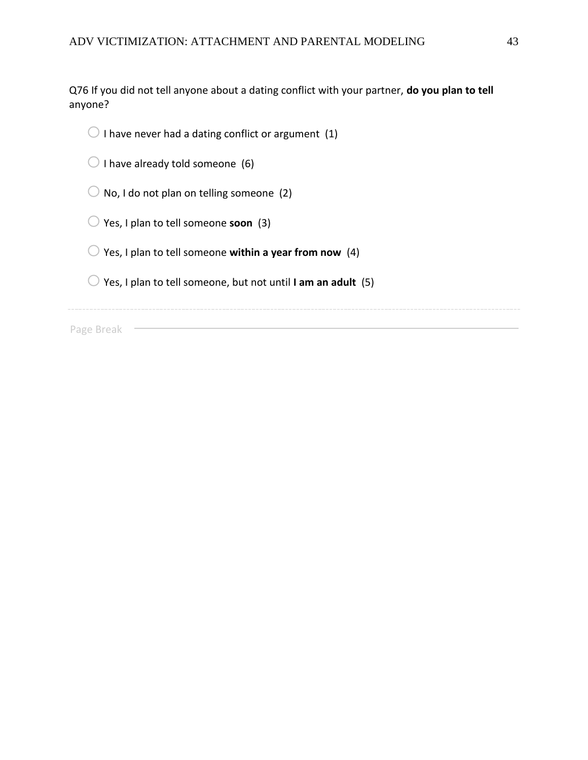Q76 If you did not tell anyone about a dating conflict with your partner, **do you plan to tell** anyone?

| I have never had a dating conflict or argument (1)           |
|--------------------------------------------------------------|
| I have already told someone (6)                              |
| No, I do not plan on telling someone (2)                     |
| Yes, I plan to tell someone soon (3)                         |
| Yes, I plan to tell someone within a year from now (4)       |
| Yes, I plan to tell someone, but not until I am an adult (5) |
|                                                              |
| Page Break                                                   |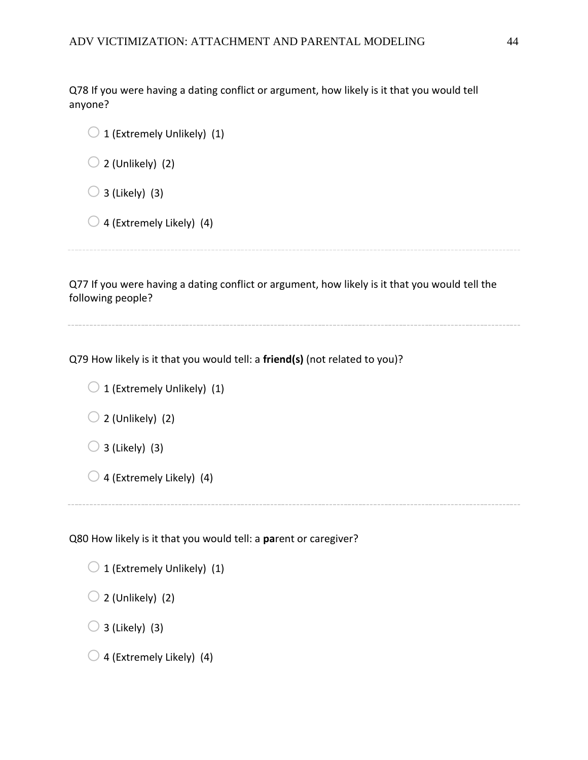Q78 If you were having a dating conflict or argument, how likely is it that you would tell anyone?

 $\bigcirc$  1 (Extremely Unlikely) (1)

 $\bigcirc$  2 (Unlikely) (2)

 $\bigcirc$  3 (Likely) (3)

 $\bigcirc$  4 (Extremely Likely) (4)

Q77 If you were having a dating conflict or argument, how likely is it that you would tell the following people?

Q79 How likely is it that you would tell: a **friend(s)** (not related to you)?

 $\bigcirc$  1 (Extremely Unlikely) (1)

 $\bigcirc$  2 (Unlikely) (2)

 $\bigcirc$  3 (Likely) (3)

 $\bigcirc$  4 (Extremely Likely) (4)

Q80 How likely is it that you would tell: a **pa**rent or caregiver?

 $\bigcirc$  1 (Extremely Unlikely) (1)

 $\bigcirc$  2 (Unlikely) (2)

 $\bigcirc$  3 (Likely) (3)

 $\bigcirc$  4 (Extremely Likely) (4)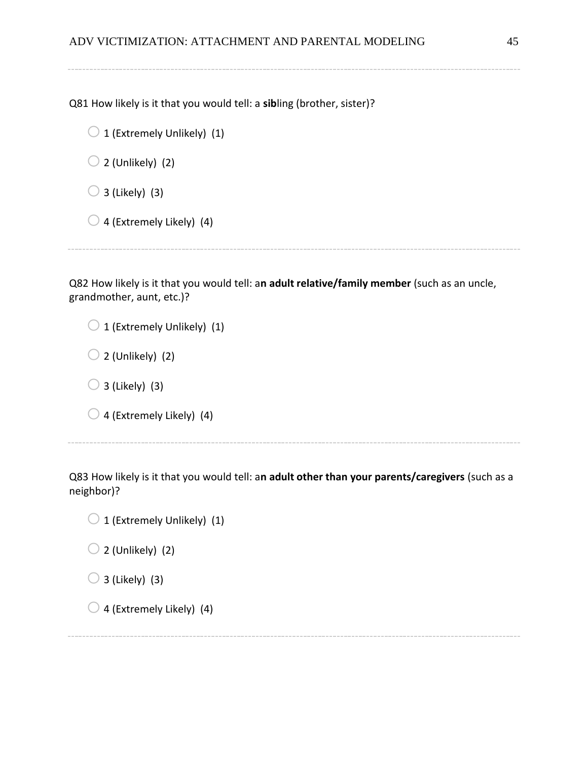Q81 How likely is it that you would tell: a **sib**ling (brother, sister)?

| $\bigcirc$ 1 (Extremely Unlikely) (1) |  |
|---------------------------------------|--|
| $\bigcirc$ 2 (Unlikely) (2)           |  |
| $\bigcirc$ 3 (Likely) (3)             |  |
| $\bigcirc$ 4 (Extremely Likely) (4)   |  |
|                                       |  |

Q82 How likely is it that you would tell: a**n adult relative/family member** (such as an uncle, grandmother, aunt, etc.)?

 $\bigcirc$  1 (Extremely Unlikely) (1)  $\bigcirc$  2 (Unlikely) (2)  $\bigcirc$  3 (Likely) (3)  $\bigcirc$  4 (Extremely Likely) (4)

Q83 How likely is it that you would tell: a**n adult other than your parents/caregivers** (such as a neighbor)?

 $\bigcirc$  1 (Extremely Unlikely) (1)

 $\bigcirc$  2 (Unlikely) (2)

 $\bigcirc$  3 (Likely) (3)

 $\bigcirc$  4 (Extremely Likely) (4)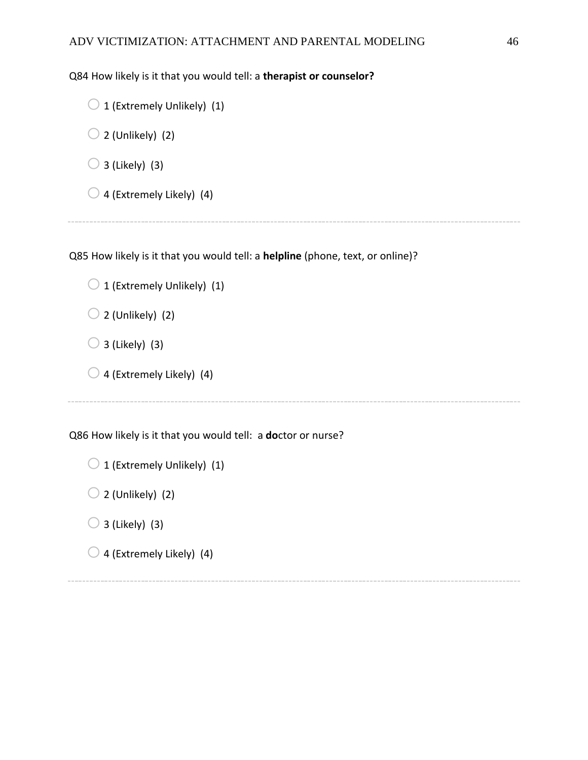Q84 How likely is it that you would tell: a **therapist or counselor?**

 $\bigcirc$  1 (Extremely Unlikely) (1)

 $\bigcirc$  2 (Unlikely) (2)

 $\bigcirc$  3 (Likely) (3)

 $\bigcirc$  4 (Extremely Likely) (4)

Q85 How likely is it that you would tell: a **helpline** (phone, text, or online)?

|  | $\bigcirc$ 1 (Extremely Unlikely) (1) |  |
|--|---------------------------------------|--|

- $\bigcirc$  2 (Unlikely) (2)
- $\bigcirc$  3 (Likely) (3)
- $\bigcirc$  4 (Extremely Likely) (4)

Q86 How likely is it that you would tell: a **do**ctor or nurse?

 $\bigcirc$  1 (Extremely Unlikely) (1)

- $\bigcirc$  2 (Unlikely) (2)
- $\bigcirc$  3 (Likely) (3)
- $\bigcirc$  4 (Extremely Likely) (4)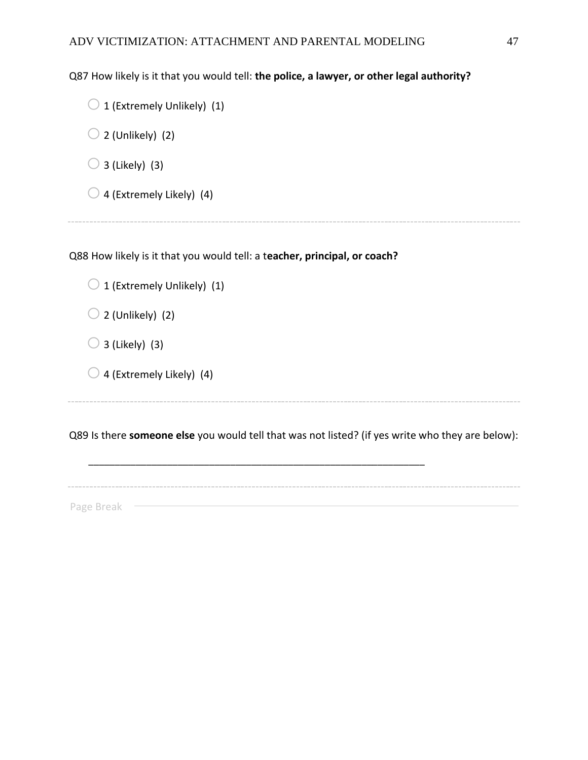Q87 How likely is it that you would tell: **the police, a lawyer, or other legal authority?**

 $\bigcirc$  1 (Extremely Unlikely) (1)

 $\bigcirc$  2 (Unlikely) (2)

 $\bigcirc$  3 (Likely) (3)

 $\bigcirc$  4 (Extremely Likely) (4)

Q88 How likely is it that you would tell: a t**eacher, principal, or coach?**

|  | $\bigcirc$ 1 (Extremely Unlikely) (1) |  |
|--|---------------------------------------|--|

 $\bigcirc$  2 (Unlikely) (2)

 $\bigcirc$  3 (Likely) (3)

 $\bigcirc$  4 (Extremely Likely) (4)

Q89 Is there **someone else** you would tell that was not listed? (if yes write who they are below):

\_\_\_\_\_\_\_\_\_\_\_\_\_\_\_\_\_\_\_\_\_\_\_\_\_\_\_\_\_\_\_\_\_\_\_\_\_\_\_\_\_\_\_\_\_\_\_\_\_\_\_\_\_\_\_\_\_\_\_\_\_\_\_\_

Page Break -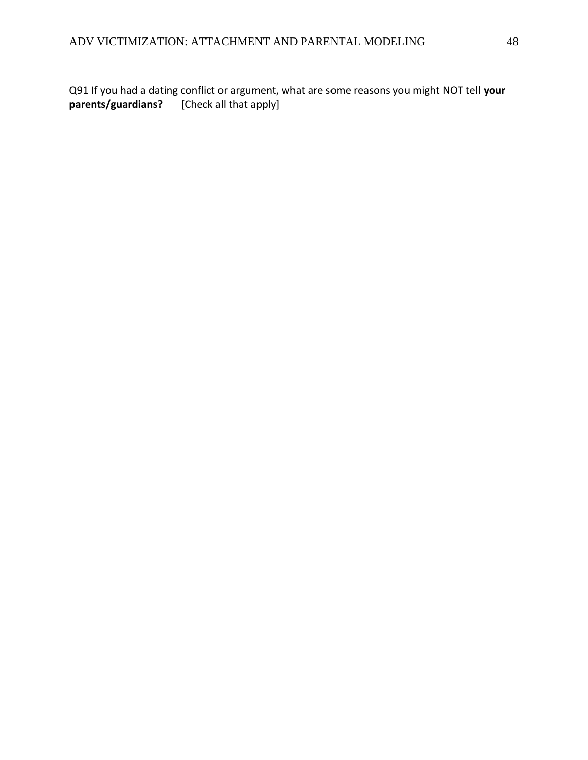Q91 If you had a dating conflict or argument, what are some reasons you might NOT tell **your parents/guardians?** [Check all that apply]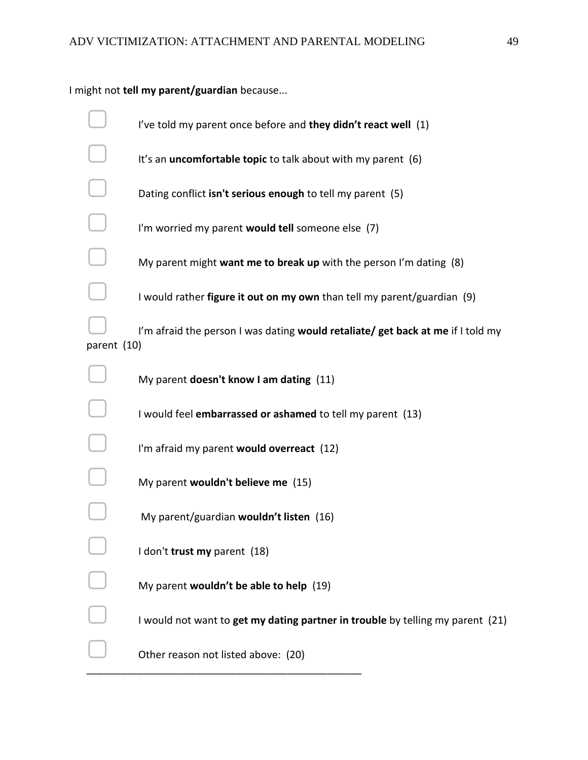I might not **tell my parent/guardian** because...

|             | I've told my parent once before and they didn't react well (1)                  |
|-------------|---------------------------------------------------------------------------------|
|             | It's an <b>uncomfortable topic</b> to talk about with my parent (6)             |
|             | Dating conflict isn't serious enough to tell my parent (5)                      |
|             | I'm worried my parent would tell someone else (7)                               |
|             | My parent might want me to break up with the person I'm dating (8)              |
|             | I would rather figure it out on my own than tell my parent/guardian (9)         |
| parent (10) | I'm afraid the person I was dating would retaliate/ get back at me if I told my |
|             | My parent doesn't know I am dating (11)                                         |
|             | I would feel embarrassed or ashamed to tell my parent (13)                      |
|             | I'm afraid my parent would overreact (12)                                       |
|             | My parent wouldn't believe me (15)                                              |
|             | My parent/guardian wouldn't listen (16)                                         |
|             | I don't trust my parent (18)                                                    |
|             | My parent wouldn't be able to help (19)                                         |
|             | I would not want to get my dating partner in trouble by telling my parent (21)  |
|             | Other reason not listed above: (20)                                             |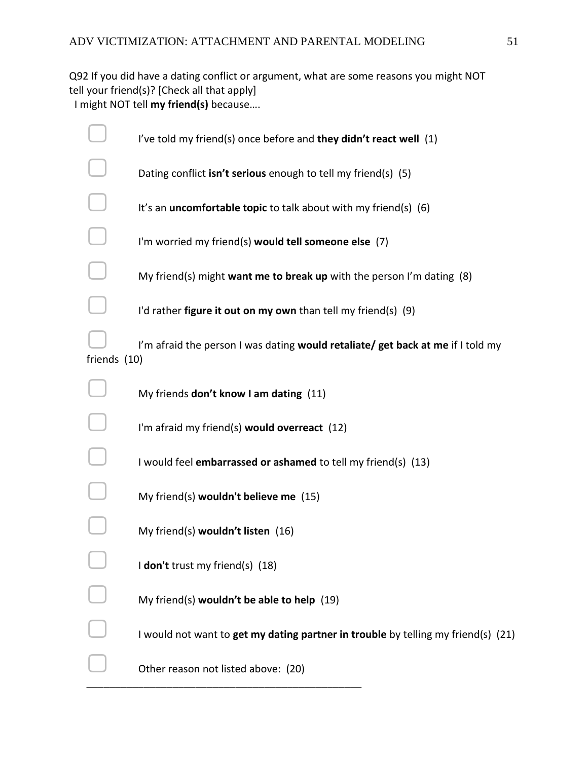Q92 If you did have a dating conflict or argument, what are some reasons you might NOT tell your friend(s)? [Check all that apply] I might NOT tell **my friend(s)** because….

|              | I've told my friend(s) once before and they didn't react well $(1)$                    |
|--------------|----------------------------------------------------------------------------------------|
|              | Dating conflict isn't serious enough to tell my friend(s) (5)                          |
|              | It's an uncomfortable topic to talk about with my friend(s) (6)                        |
|              | I'm worried my friend(s) would tell someone else (7)                                   |
|              | My friend(s) might want me to break up with the person I'm dating $(8)$                |
|              | I'd rather figure it out on my own than tell my friend(s) $(9)$                        |
| friends (10) | I'm afraid the person I was dating <b>would retaliate/ get back at me</b> if I told my |
|              | My friends don't know I am dating (11)                                                 |
|              | I'm afraid my friend(s) would overreact $(12)$                                         |
|              | I would feel <b>embarrassed or ashamed</b> to tell my friend(s) (13)                   |
|              | My friend(s) wouldn't believe me (15)                                                  |
|              | My friend(s) wouldn't listen (16)                                                      |
|              | I don't trust my friend(s) (18)                                                        |
|              | My friend(s) wouldn't be able to help (19)                                             |
|              | I would not want to get my dating partner in trouble by telling my friend(s) (21)      |
|              | Other reason not listed above: (20)                                                    |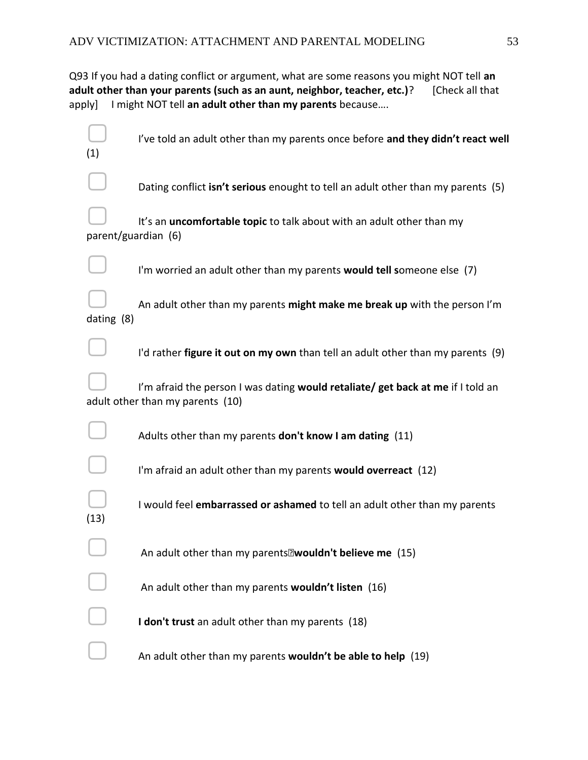Q93 If you had a dating conflict or argument, what are some reasons you might NOT tell **an**  adult other than your parents (such as an aunt, neighbor, teacher, etc.)? [Check all that apply] I might NOT tell **an adult other than my parents** because….

| (1)        | I've told an adult other than my parents once before and they didn't react well                                     |
|------------|---------------------------------------------------------------------------------------------------------------------|
|            | Dating conflict isn't serious enought to tell an adult other than my parents (5)                                    |
|            | It's an uncomfortable topic to talk about with an adult other than my<br>parent/guardian (6)                        |
|            | I'm worried an adult other than my parents would tell someone else (7)                                              |
| dating (8) | An adult other than my parents might make me break up with the person I'm                                           |
|            | I'd rather figure it out on my own than tell an adult other than my parents (9)                                     |
|            | I'm afraid the person I was dating would retaliate/ get back at me if I told an<br>adult other than my parents (10) |
|            | Adults other than my parents don't know I am dating (11)                                                            |
|            | I'm afraid an adult other than my parents would overreact (12)                                                      |
| (13)       | I would feel embarrassed or ashamed to tell an adult other than my parents                                          |
|            | An adult other than my parents • wouldn't believe me $(15)$                                                         |
|            | An adult other than my parents wouldn't listen (16)                                                                 |
|            | I don't trust an adult other than my parents (18)                                                                   |
|            | An adult other than my parents wouldn't be able to help (19)                                                        |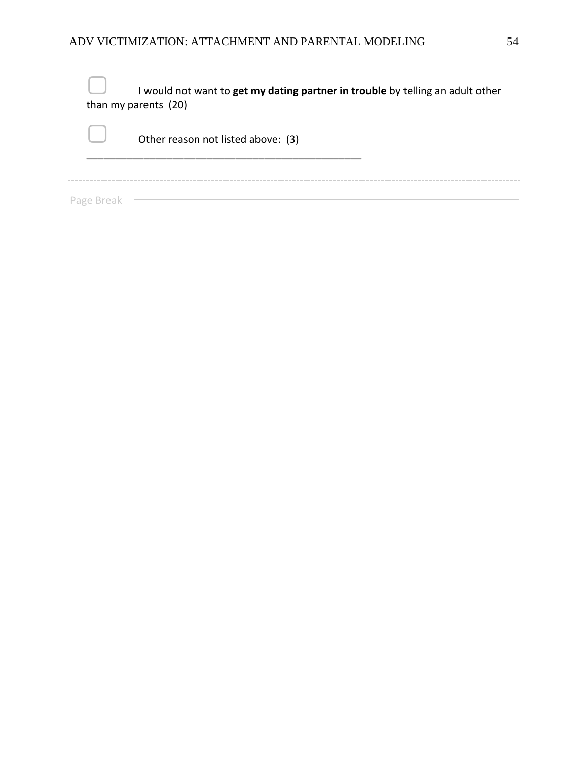▢ I would not want to **get my dating partner in trouble** by telling an adult other than my parents (20)

|            | Other reason not listed above: (3) |
|------------|------------------------------------|
|            |                                    |
| Page Break |                                    |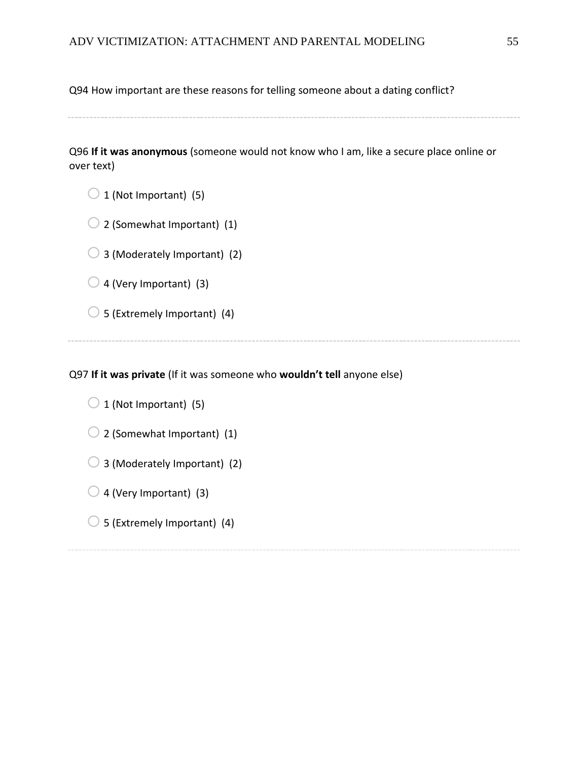Q94 How important are these reasons for telling someone about a dating conflict?

Q96 **If it was anonymous** (someone would not know who I am, like a secure place online or over text)

 $\bigcirc$  1 (Not Important) (5)

- $\bigcirc$  2 (Somewhat Important) (1)
- $\bigcirc$  3 (Moderately Important) (2)
- $\bigcirc$  4 (Very Important) (3)
- $\bigcirc$  5 (Extremely Important) (4)

Q97 **If it was private** (If it was someone who **wouldn't tell** anyone else)

- $\bigcirc$  1 (Not Important) (5)
- $\bigcirc$  2 (Somewhat Important) (1)
- $\bigcirc$  3 (Moderately Important) (2)
- $\bigcirc$  4 (Very Important) (3)
- $\bigcirc$  5 (Extremely Important) (4)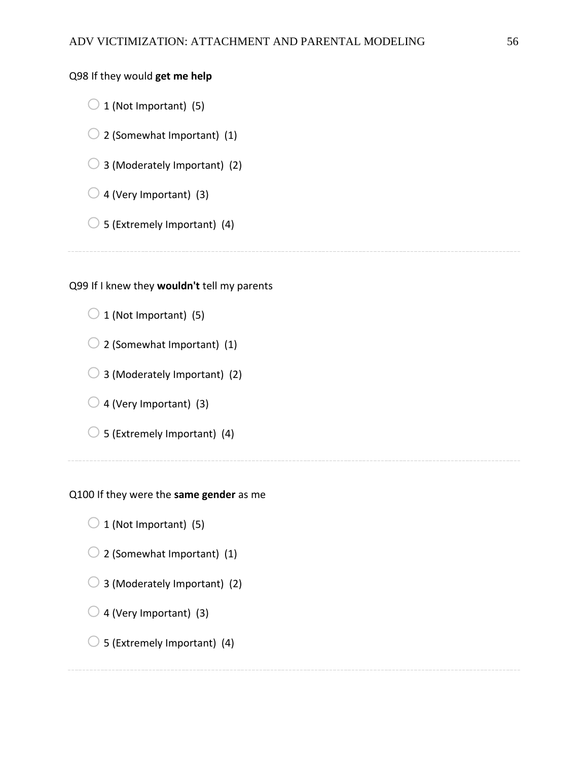# Q98 If they would **get me help**

 $\bigcirc$  1 (Not Important) (5)

 $\bigcirc$  2 (Somewhat Important) (1)

 $\bigcirc$  3 (Moderately Important) (2)

 $\bigcirc$  4 (Very Important) (3)

 $\bigcirc$  5 (Extremely Important) (4)

### Q99 If I knew they **wouldn't** tell my parents

 $\bigcirc$  1 (Not Important) (5)

 $\bigcirc$  2 (Somewhat Important) (1)

 $\bigcirc$  3 (Moderately Important) (2)

 $\bigcirc$  4 (Very Important) (3)

 $\bigcirc$  5 (Extremely Important) (4)

#### Q100 If they were the **same gender** as me

- $\bigcirc$  1 (Not Important) (5)
- $\bigcirc$  2 (Somewhat Important) (1)
- $\bigcirc$  3 (Moderately Important) (2)
- $\bigcirc$  4 (Very Important) (3)
- $\bigcirc$  5 (Extremely Important) (4)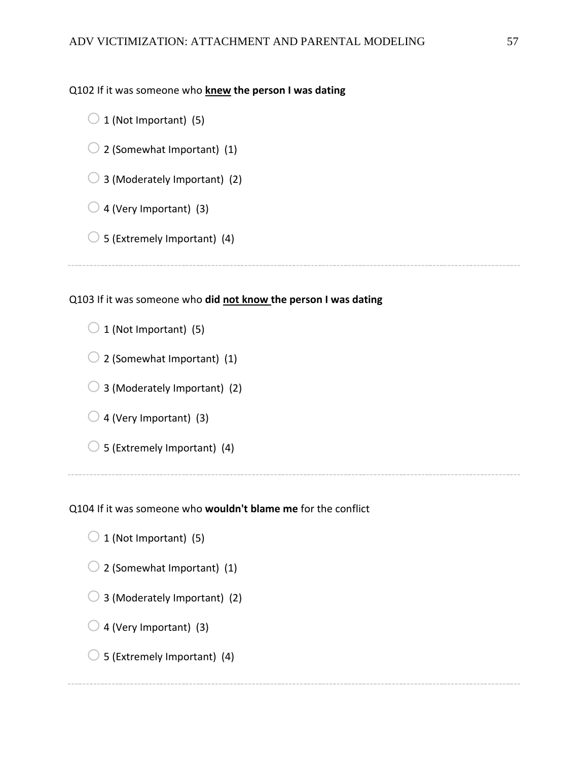### Q102 If it was someone who **knew the person I was dating**

 $\bigcirc$  1 (Not Important) (5)

 $\bigcirc$  2 (Somewhat Important) (1)

 $\bigcirc$  3 (Moderately Important) (2)

 $\bigcirc$  4 (Very Important) (3)

 $\bigcirc$  5 (Extremely Important) (4)

#### Q103 If it was someone who **did not know the person I was dating**

 $\bigcirc$  1 (Not Important) (5)

- $\bigcirc$  2 (Somewhat Important) (1)
- $\bigcirc$  3 (Moderately Important) (2)
- $\bigcirc$  4 (Very Important) (3)
- $\bigcirc$  5 (Extremely Important) (4)

Q104 If it was someone who **wouldn't blame me** for the conflict

| $\bigcirc$ 1 (Not Important) (5) |  |
|----------------------------------|--|

 $\bigcirc$  2 (Somewhat Important) (1)

- $\bigcirc$  3 (Moderately Important) (2)
- $\bigcirc$  4 (Very Important) (3)
- $\bigcirc$  5 (Extremely Important) (4)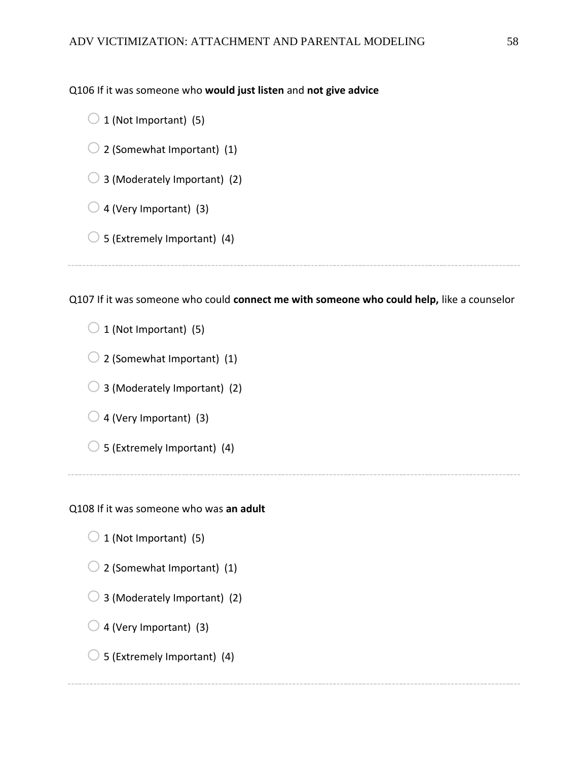### Q106 If it was someone who **would just listen** and **not give advice**

 $\bigcirc$  1 (Not Important) (5)

 $\bigcirc$  2 (Somewhat Important) (1)

 $\bigcirc$  3 (Moderately Important) (2)

 $\bigcirc$  4 (Very Important) (3)

 $\bigcirc$  5 (Extremely Important) (4)

Q107 If it was someone who could **connect me with someone who could help,** like a counselor

 $\bigcirc$  1 (Not Important) (5)

- $\bigcirc$  2 (Somewhat Important) (1)
- $\bigcirc$  3 (Moderately Important) (2)
- $\bigcirc$  4 (Very Important) (3)
- $\bigcirc$  5 (Extremely Important) (4)

Q108 If it was someone who was **an adult**

 $\bigcirc$  1 (Not Important) (5)

 $\bigcirc$  2 (Somewhat Important) (1)

- $\bigcirc$  3 (Moderately Important) (2)
- $\bigcirc$  4 (Very Important) (3)
- $\bigcirc$  5 (Extremely Important) (4)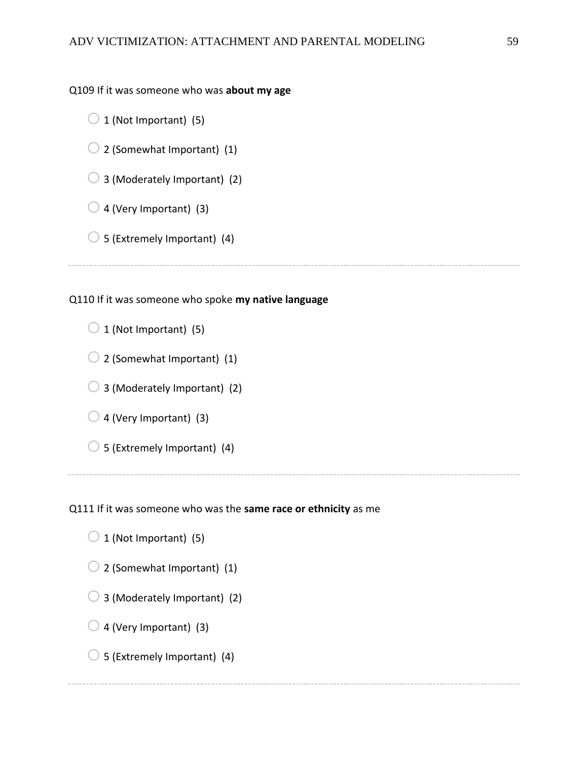### Q109 If it was someone who was **about my age**

 $\bigcirc$  1 (Not Important) (5)

- $\bigcirc$  2 (Somewhat Important) (1)
- $\bigcirc$  3 (Moderately Important) (2)
- $\bigcirc$  4 (Very Important) (3)
- $\bigcirc$  5 (Extremely Important) (4)

#### Q110 If it was someone who spoke **my native language**

- $\bigcirc$  1 (Not Important) (5)
- $\bigcirc$  2 (Somewhat Important) (1)
- $\bigcirc$  3 (Moderately Important) (2)
- $\bigcirc$  4 (Very Important) (3)
- $\bigcirc$  5 (Extremely Important) (4)

Q111 If it was someone who was the **same race or ethnicity** as me

| $\bigcup$ 1 (Not Important) (5)         |
|-----------------------------------------|
| $\bigcirc$ 2 (Somewhat Important) (1)   |
| $\bigcirc$ 3 (Moderately Important) (2) |
| $\bigcirc$ 4 (Very Important) (3)       |
| $\bigcirc$ 5 (Extremely Important) (4)  |
|                                         |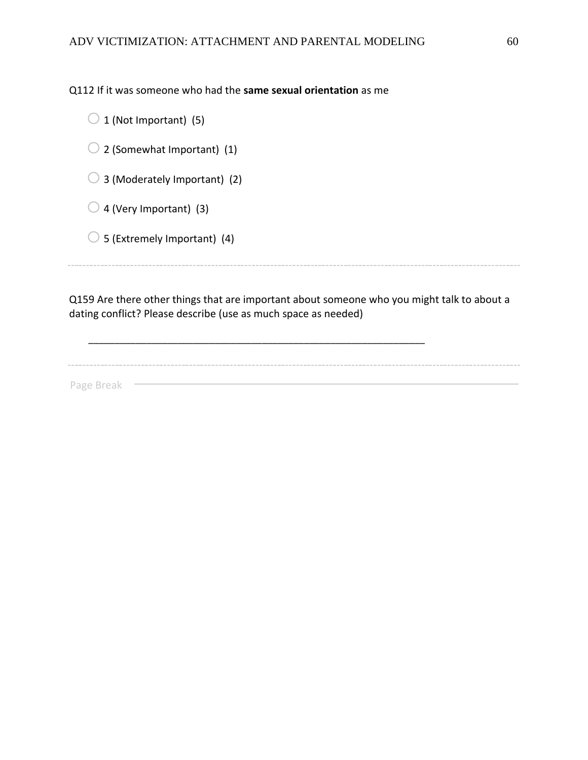Q112 If it was someone who had the **same sexual orientation** as me

 $\bigcirc$  1 (Not Important) (5)

 $\bigcirc$  2 (Somewhat Important) (1)

 $\bigcirc$  3 (Moderately Important) (2)

 $\bigcirc$  4 (Very Important) (3)

 $\bigcirc$  5 (Extremely Important) (4)

Q159 Are there other things that are important about someone who you might talk to about a dating conflict? Please describe (use as much space as needed)

\_\_\_\_\_\_\_\_\_\_\_\_\_\_\_\_\_\_\_\_\_\_\_\_\_\_\_\_\_\_\_\_\_\_\_\_\_\_\_\_\_\_\_\_\_\_\_\_\_\_\_\_\_\_\_\_\_\_\_\_\_\_\_\_

Page Break –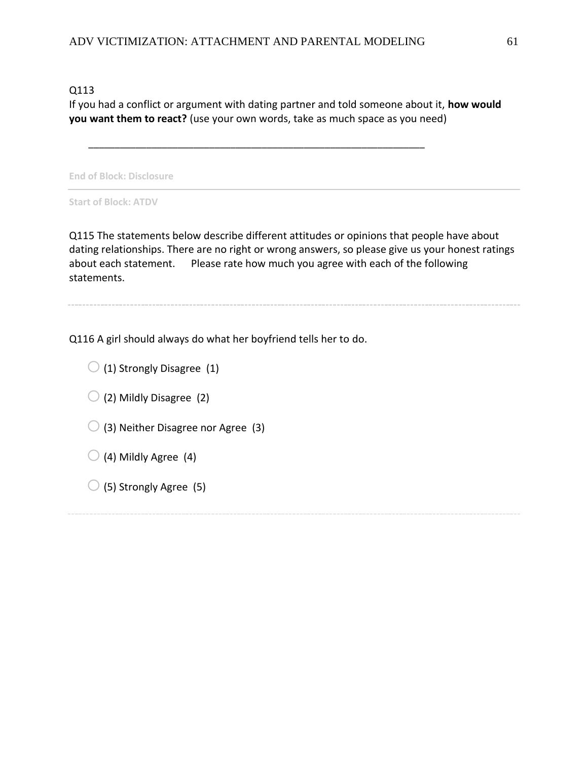\_\_\_\_\_\_\_\_\_\_\_\_\_\_\_\_\_\_\_\_\_\_\_\_\_\_\_\_\_\_\_\_\_\_\_\_\_\_\_\_\_\_\_\_\_\_\_\_\_\_\_\_\_\_\_\_\_\_\_\_\_\_\_\_

#### Q113

If you had a conflict or argument with dating partner and told someone about it, **how would you want them to react?** (use your own words, take as much space as you need)

**End of Block: Disclosure**

**Start of Block: ATDV**

Q115 The statements below describe different attitudes or opinions that people have about dating relationships. There are no right or wrong answers, so please give us your honest ratings about each statement. Please rate how much you agree with each of the following statements.

Q116 A girl should always do what her boyfriend tells her to do.

 $\bigcirc$  (1) Strongly Disagree (1)

 $\bigcirc$  (2) Mildly Disagree (2)

 $\bigcirc$  (3) Neither Disagree nor Agree (3)

 $\bigcirc$  (4) Mildly Agree (4)

 $\bigcirc$  (5) Strongly Agree (5)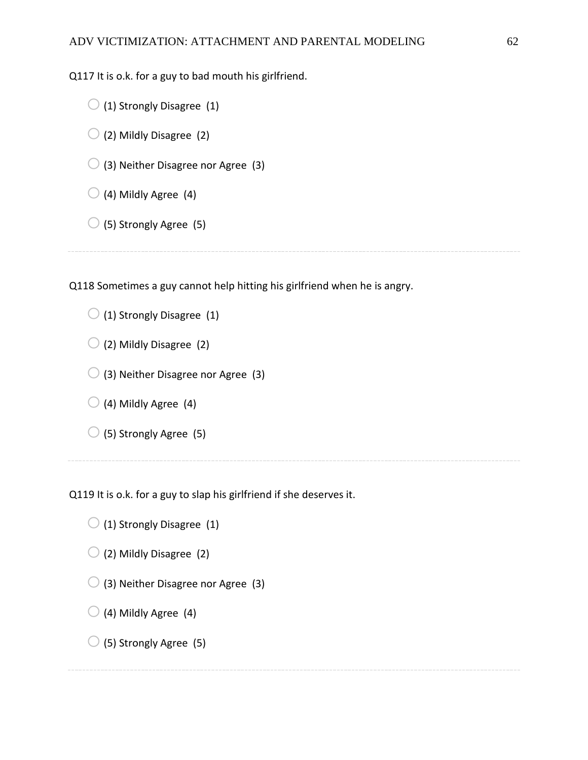Q117 It is o.k. for a guy to bad mouth his girlfriend.

 $\bigcirc$  (1) Strongly Disagree (1)

 $\bigcirc$  (2) Mildly Disagree (2)

 $\bigcirc$  (3) Neither Disagree nor Agree (3)

 $\bigcirc$  (4) Mildly Agree (4)

 $\bigcirc$  (5) Strongly Agree (5)

Q118 Sometimes a guy cannot help hitting his girlfriend when he is angry.

 $\bigcirc$  (1) Strongly Disagree (1)  $\bigcirc$  (2) Mildly Disagree (2)

- $\bigcirc$  (3) Neither Disagree nor Agree (3)
- $\bigcirc$  (4) Mildly Agree (4)
- $\bigcirc$  (5) Strongly Agree (5)

Q119 It is o.k. for a guy to slap his girlfriend if she deserves it.

| $\bigcirc$ (1) Strongly Disagree (1) |  |
|--------------------------------------|--|

- $\bigcirc$  (2) Mildly Disagree (2)
- $\bigcirc$  (3) Neither Disagree nor Agree (3)
- $\bigcirc$  (4) Mildly Agree (4)
- $\bigcirc$  (5) Strongly Agree (5)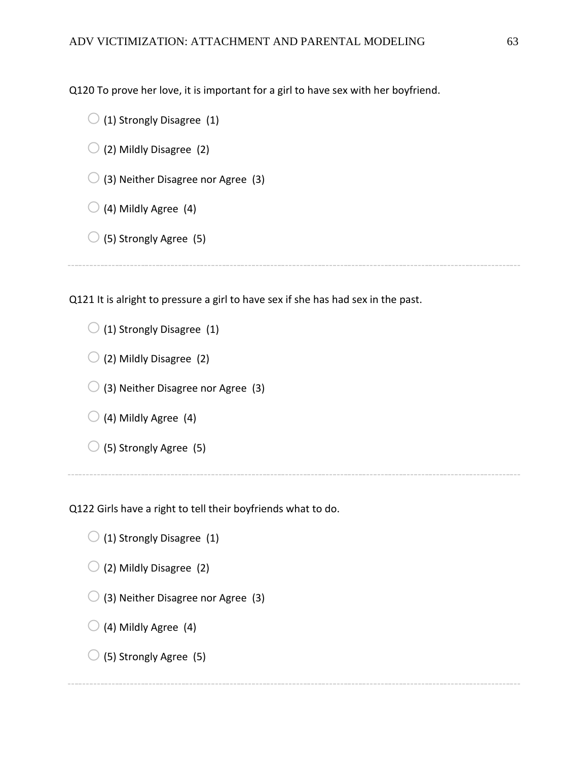Q120 To prove her love, it is important for a girl to have sex with her boyfriend.

 $\bigcirc$  (1) Strongly Disagree (1)

- $\bigcirc$  (2) Mildly Disagree (2)
- $\bigcirc$  (3) Neither Disagree nor Agree (3)
- $\bigcirc$  (4) Mildly Agree (4)
- $\bigcirc$  (5) Strongly Agree (5)

Q121 It is alright to pressure a girl to have sex if she has had sex in the past.

 $\bigcirc$  (1) Strongly Disagree (1)

- $\bigcirc$  (2) Mildly Disagree (2)
- $\bigcirc$  (3) Neither Disagree nor Agree (3)
- $\bigcirc$  (4) Mildly Agree (4)
- $\bigcirc$  (5) Strongly Agree (5)

Q122 Girls have a right to tell their boyfriends what to do.

| $\bigcirc$ (1) Strongly Disagree (1) |  |
|--------------------------------------|--|
| (2) Mildly Disagree (2)              |  |
| (3) Neither Disagree nor Agree (3)   |  |
| (4) Mildly Agree (4)                 |  |
| (5) Strongly Agree (5)               |  |
|                                      |  |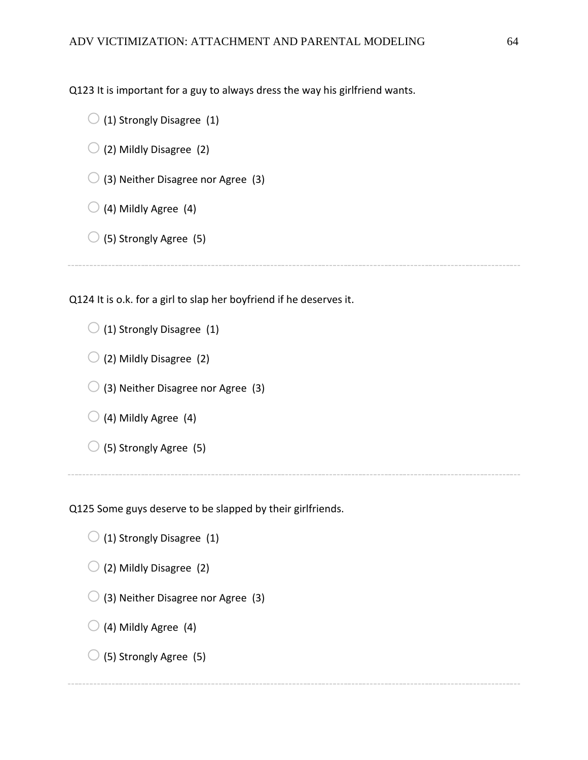Q123 It is important for a guy to always dress the way his girlfriend wants.

 $\bigcirc$  (1) Strongly Disagree (1)

- $\bigcirc$  (2) Mildly Disagree (2)
- $\bigcirc$  (3) Neither Disagree nor Agree (3)
- $\bigcirc$  (4) Mildly Agree (4)
- $\bigcirc$  (5) Strongly Agree (5)

Q124 It is o.k. for a girl to slap her boyfriend if he deserves it.

- $\bigcirc$  (1) Strongly Disagree (1)
- $\bigcirc$  (2) Mildly Disagree (2)
- $\bigcirc$  (3) Neither Disagree nor Agree (3)
- $\bigcirc$  (4) Mildly Agree (4)
- $\bigcirc$  (5) Strongly Agree (5)

Q125 Some guys deserve to be slapped by their girlfriends.

| $\bigcirc$ (1) Strongly Disagree (1)          |
|-----------------------------------------------|
| $\bigcirc$ (2) Mildly Disagree (2)            |
| $\bigcirc$ (3) Neither Disagree nor Agree (3) |
| $\bigcirc$ (4) Mildly Agree (4)               |
| $\bigcirc$ (5) Strongly Agree (5)             |
|                                               |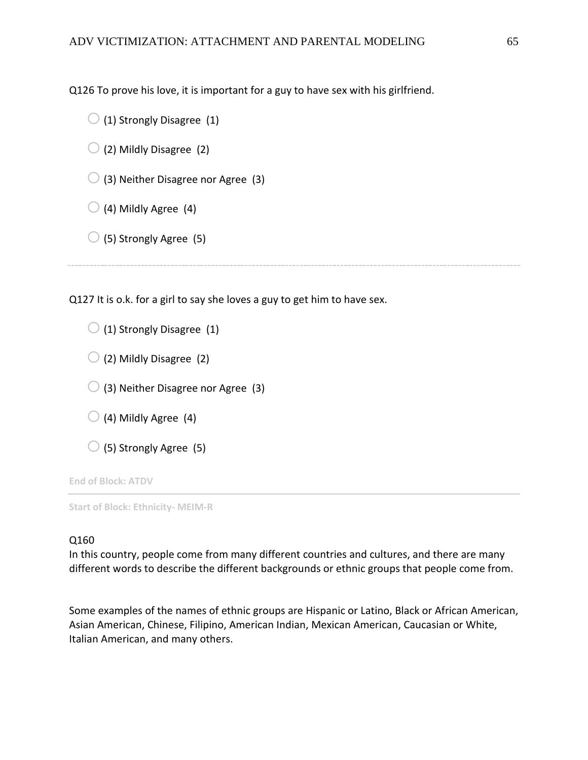Q126 To prove his love, it is important for a guy to have sex with his girlfriend.

 $\bigcirc$  (1) Strongly Disagree (1)

 $\bigcirc$  (2) Mildly Disagree (2)

 $\bigcirc$  (3) Neither Disagree nor Agree (3)

- $\bigcirc$  (4) Mildly Agree (4)
- $\bigcirc$  (5) Strongly Agree (5)

Q127 It is o.k. for a girl to say she loves a guy to get him to have sex.

 $\bigcirc$  (1) Strongly Disagree (1)  $\bigcirc$  (2) Mildly Disagree (2)  $\bigcirc$  (3) Neither Disagree nor Agree (3)  $\bigcirc$  (4) Mildly Agree (4)  $\bigcirc$  (5) Strongly Agree (5)

**End of Block: ATDV**

**Start of Block: Ethnicity- MEIM-R**

#### Q160

In this country, people come from many different countries and cultures, and there are many different words to describe the different backgrounds or ethnic groups that people come from.

Some examples of the names of ethnic groups are Hispanic or Latino, Black or African American, Asian American, Chinese, Filipino, American Indian, Mexican American, Caucasian or White, Italian American, and many others.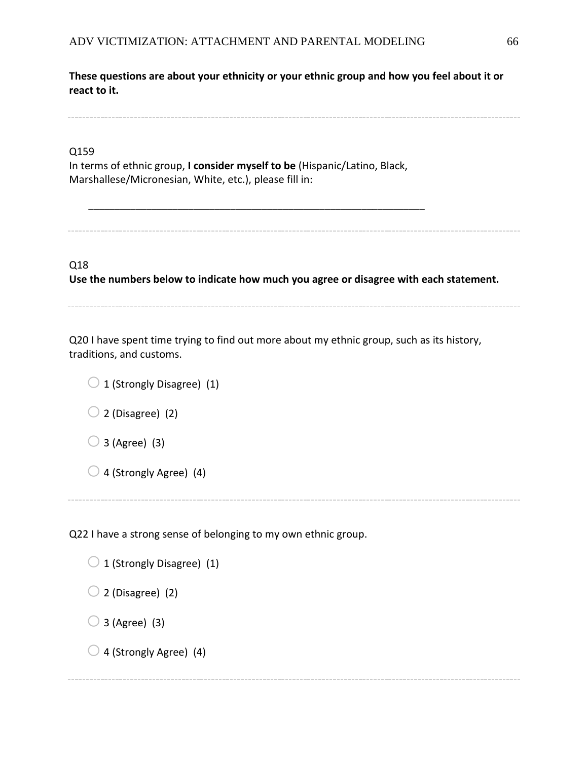**These questions are about your ethnicity or your ethnic group and how you feel about it or react to it.**

Q159 In terms of ethnic group, **I consider myself to be** (Hispanic/Latino, Black, Marshallese/Micronesian, White, etc.), please fill in:

\_\_\_\_\_\_\_\_\_\_\_\_\_\_\_\_\_\_\_\_\_\_\_\_\_\_\_\_\_\_\_\_\_\_\_\_\_\_\_\_\_\_\_\_\_\_\_\_\_\_\_\_\_\_\_\_\_\_\_\_\_\_\_\_

Q20 I have spent time trying to find out more about my ethnic group, such as its history, traditions, and customs.

**Use the numbers below to indicate how much you agree or disagree with each statement.**

 $\bigcirc$  1 (Strongly Disagree) (1)  $\bigcirc$  2 (Disagree) (2)  $\bigcirc$  3 (Agree) (3)  $\bigcirc$  4 (Strongly Agree) (4)

Q22 I have a strong sense of belonging to my own ethnic group.

 $\bigcirc$  1 (Strongly Disagree) (1)  $\bigcirc$  2 (Disagree) (2)

 $\bigcirc$  3 (Agree) (3)

Q18

 $\bigcirc$  4 (Strongly Agree) (4)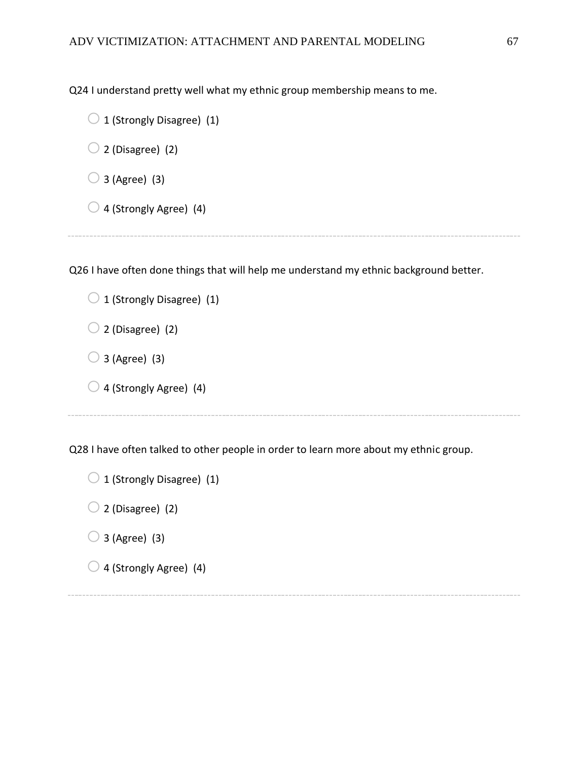Q24 I understand pretty well what my ethnic group membership means to me.

 $\bigcirc$  1 (Strongly Disagree) (1)

 $\bigcirc$  2 (Disagree) (2)

 $\bigcirc$  3 (Agree) (3)

 $\bigcirc$  4 (Strongly Agree) (4)

Q26 I have often done things that will help me understand my ethnic background better.

| $\bigcup$ 1 (Strongly Disagree) (1) |
|-------------------------------------|
| $\bigcirc$ 2 (Disagree) (2)         |
| $\bigcirc$ 3 (Agree) (3)            |
| $\bigcirc$ 4 (Strongly Agree) (4)   |
|                                     |

Q28 I have often talked to other people in order to learn more about my ethnic group.

| $\bigcup$ 1 (Strongly Disagree) (1) |  |
|-------------------------------------|--|
| $\cup$ 2 (Disagree) (2)             |  |
| $\bigcirc$ 3 (Agree) (3)            |  |
| $\bigcup$ 4 (Strongly Agree) (4)    |  |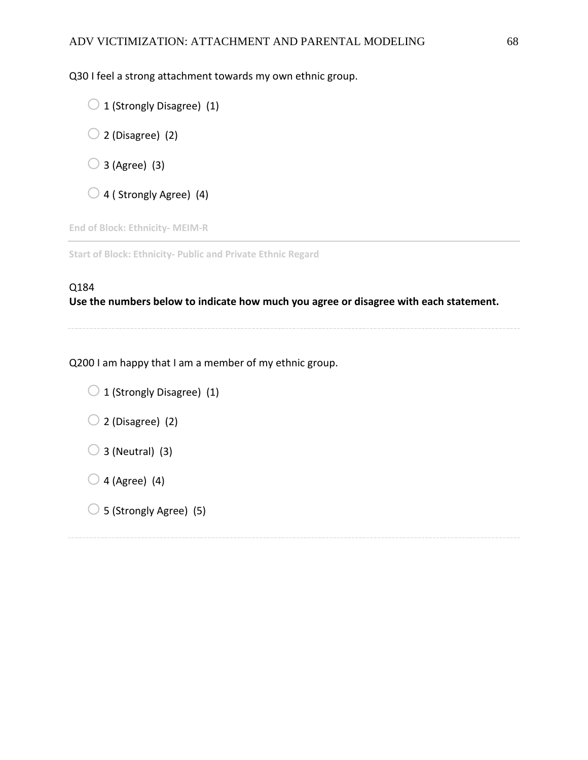Q30 I feel a strong attachment towards my own ethnic group.

 $\bigcirc$  1 (Strongly Disagree) (1)

 $\bigcirc$  2 (Disagree) (2)

 $\bigcirc$  3 (Agree) (3)

 $\bigcirc$  4 ( Strongly Agree) (4)

**End of Block: Ethnicity- MEIM-R**

**Start of Block: Ethnicity- Public and Private Ethnic Regard**

# Q184 **Use the numbers below to indicate how much you agree or disagree with each statement.**

Q200 I am happy that I am a member of my ethnic group.

| 1 (Strongly Disagree) (1)<br>$\cup$ |
|-------------------------------------|
| 2 (Disagree) (2)<br>(   )           |
| 3 (Neutral) (3)<br>$\cup$           |
| 4 (Agree) (4)                       |
| 5 (Strongly Agree) (5)              |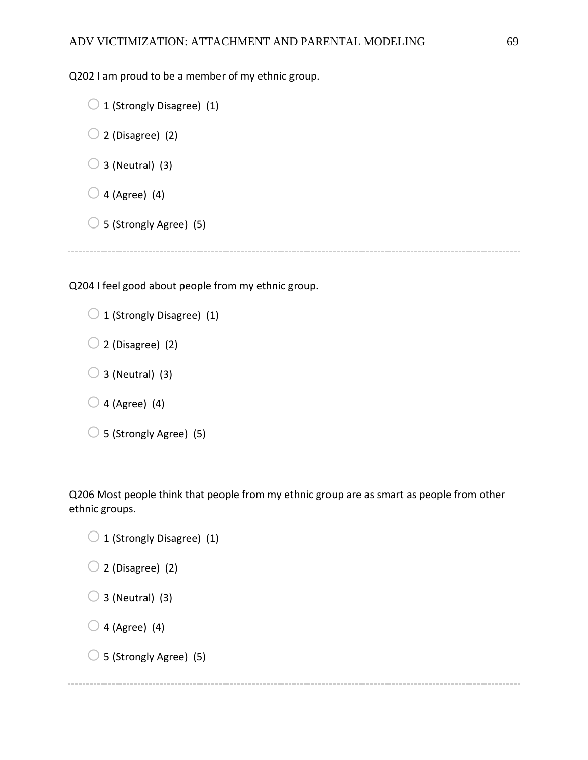Q202 I am proud to be a member of my ethnic group.

 $\bigcirc$  1 (Strongly Disagree) (1)

 $\bigcirc$  2 (Disagree) (2)

 $\bigcirc$  3 (Neutral) (3)

 $\bigcirc$  4 (Agree) (4)

 $\bigcirc$  5 (Strongly Agree) (5)

Q204 I feel good about people from my ethnic group.

 $\bigcirc$  1 (Strongly Disagree) (1)  $\bigcirc$  2 (Disagree) (2)  $\bigcirc$  3 (Neutral) (3)  $\bigcirc$  4 (Agree) (4)  $\circ$  5 (Strongly Agree) (5)

Q206 Most people think that people from my ethnic group are as smart as people from other ethnic groups.

| $\bigcirc$ 1 (Strongly Disagree) (1) |
|--------------------------------------|
| $\bigcirc$ 2 (Disagree) (2)          |
| $\bigcirc$ 3 (Neutral) (3)           |
| $\bigcup$ 4 (Agree) (4)              |
| $\bigcirc$ 5 (Strongly Agree) (5)    |
|                                      |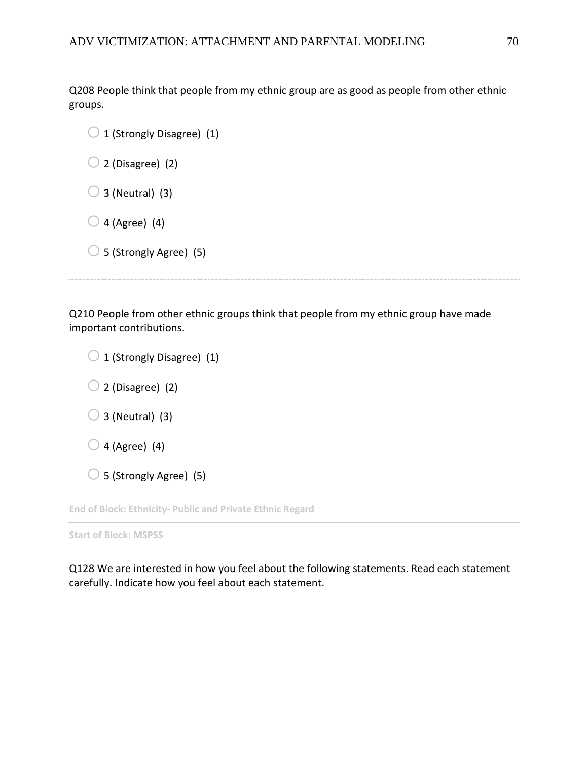Q208 People think that people from my ethnic group are as good as people from other ethnic groups.

| 1 (Strongly Disagree) (1)<br>Ő    |
|-----------------------------------|
| 2 (Disagree) (2)<br>∪             |
| $\bigcirc$ 3 (Neutral) (3)        |
| 4 (Agree) (4)                     |
| $\bigcirc$ 5 (Strongly Agree) (5) |
|                                   |

Q210 People from other ethnic groups think that people from my ethnic group have made important contributions.

 $\bigcirc$  1 (Strongly Disagree) (1)  $\bigcirc$  2 (Disagree) (2)  $\bigcirc$  3 (Neutral) (3)  $\bigcirc$  4 (Agree) (4)  $\circ$  5 (Strongly Agree) (5)

**End of Block: Ethnicity- Public and Private Ethnic Regard**

**Start of Block: MSPSS**

Q128 We are interested in how you feel about the following statements. Read each statement carefully. Indicate how you feel about each statement.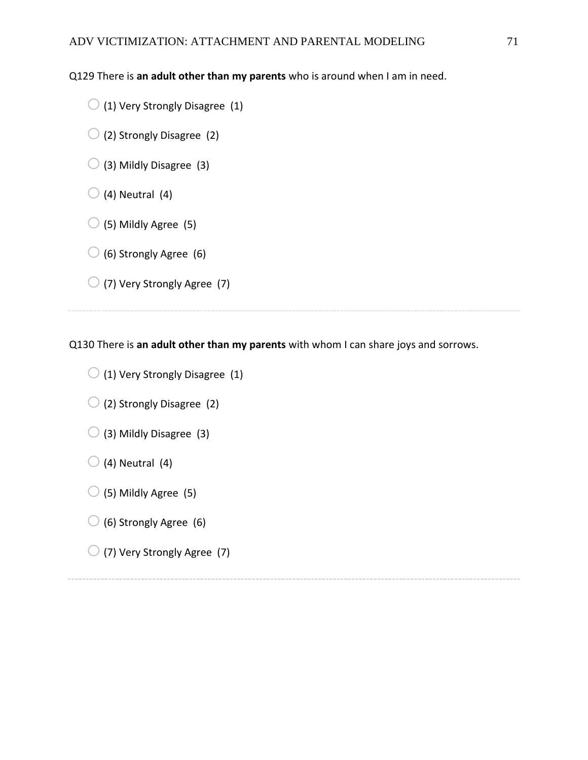# Q129 There is **an adult other than my parents** who is around when I am in need.

- $\bigcirc$  (1) Very Strongly Disagree (1)
- $\bigcirc$  (2) Strongly Disagree (2)
- $\bigcirc$  (3) Mildly Disagree (3)
- $\bigcirc$  (4) Neutral (4)
- $\bigcirc$  (5) Mildly Agree (5)
- $\bigcirc$  (6) Strongly Agree (6)
- $\bigcirc$  (7) Very Strongly Agree (7)

Q130 There is **an adult other than my parents** with whom I can share joys and sorrows.

- $\bigcirc$  (1) Very Strongly Disagree (1)
- $\bigcirc$  (2) Strongly Disagree (2)
- $\bigcirc$  (3) Mildly Disagree (3)
- $\bigcirc$  (4) Neutral (4)
- $\bigcirc$  (5) Mildly Agree (5)
- $\bigcirc$  (6) Strongly Agree (6)
- $\bigcirc$  (7) Very Strongly Agree (7)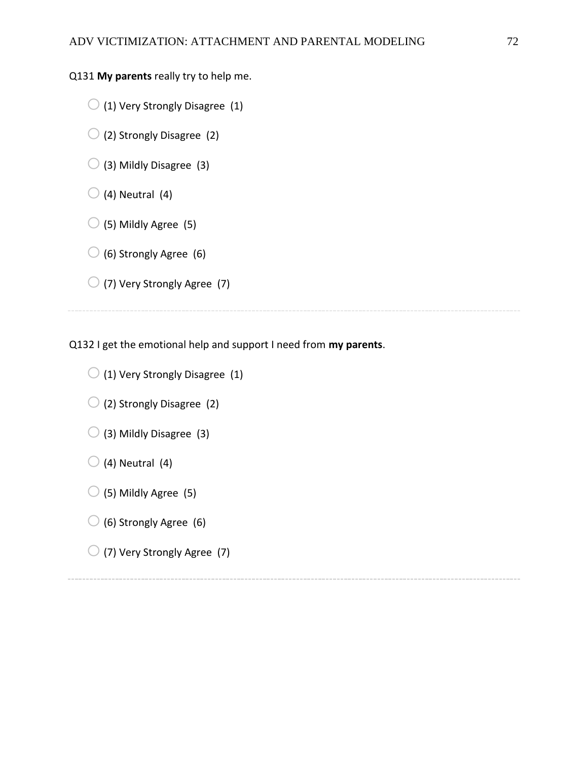## Q131 **My parents** really try to help me.

- $\bigcirc$  (1) Very Strongly Disagree (1)
- $\bigcirc$  (2) Strongly Disagree (2)
- $\bigcirc$  (3) Mildly Disagree (3)
- $\bigcirc$  (4) Neutral (4)
- $\bigcirc$  (5) Mildly Agree (5)
- $\bigcirc$  (6) Strongly Agree (6)
- $\bigcirc$  (7) Very Strongly Agree (7)

Q132 I get the emotional help and support I need from **my parents**.

- $\bigcirc$  (1) Very Strongly Disagree (1)
- $\bigcirc$  (2) Strongly Disagree (2)
- $\bigcirc$  (3) Mildly Disagree (3)
- $\bigcirc$  (4) Neutral (4)
- $\bigcirc$  (5) Mildly Agree (5)
- $\bigcirc$  (6) Strongly Agree (6)
- $\bigcirc$  (7) Very Strongly Agree (7)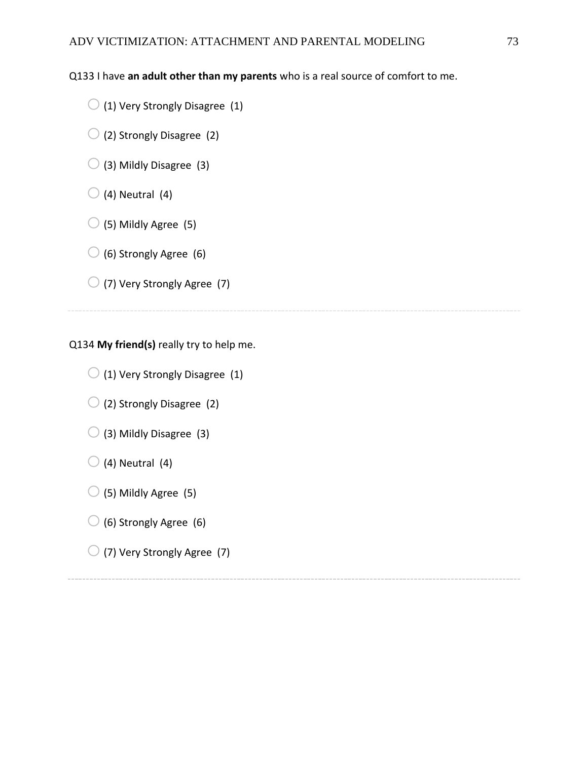## Q133 I have **an adult other than my parents** who is a real source of comfort to me.

- $\bigcirc$  (1) Very Strongly Disagree (1)
- $\bigcirc$  (2) Strongly Disagree (2)
- $\bigcirc$  (3) Mildly Disagree (3)
- $\bigcirc$  (4) Neutral (4)
- $\bigcirc$  (5) Mildly Agree (5)
- $\bigcirc$  (6) Strongly Agree (6)
- $\bigcirc$  (7) Very Strongly Agree (7)

## Q134 **My friend(s)** really try to help me.

- $\bigcirc$  (1) Very Strongly Disagree (1)
- $\bigcirc$  (2) Strongly Disagree (2)
- $\bigcirc$  (3) Mildly Disagree (3)
- $\bigcirc$  (4) Neutral (4)
- $\bigcirc$  (5) Mildly Agree (5)
- $\bigcirc$  (6) Strongly Agree (6)
- $\bigcirc$  (7) Very Strongly Agree (7)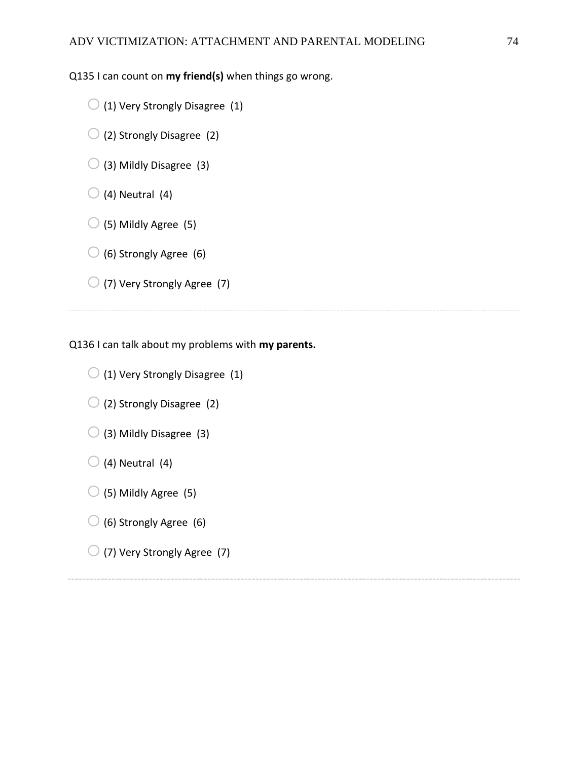Q135 I can count on **my friend(s)** when things go wrong.

- $\bigcirc$  (1) Very Strongly Disagree (1)
- $\bigcirc$  (2) Strongly Disagree (2)
- $\bigcirc$  (3) Mildly Disagree (3)
- $\bigcirc$  (4) Neutral (4)
- $\bigcirc$  (5) Mildly Agree (5)
- $\bigcirc$  (6) Strongly Agree (6)
- $\bigcirc$  (7) Very Strongly Agree (7)

Q136 I can talk about my problems with **my parents.**

- $\bigcirc$  (1) Very Strongly Disagree (1)
- $\bigcirc$  (2) Strongly Disagree (2)
- $\bigcirc$  (3) Mildly Disagree (3)
- $\bigcirc$  (4) Neutral (4)
- $\bigcirc$  (5) Mildly Agree (5)
- $\bigcirc$  (6) Strongly Agree (6)
- $\bigcirc$  (7) Very Strongly Agree (7)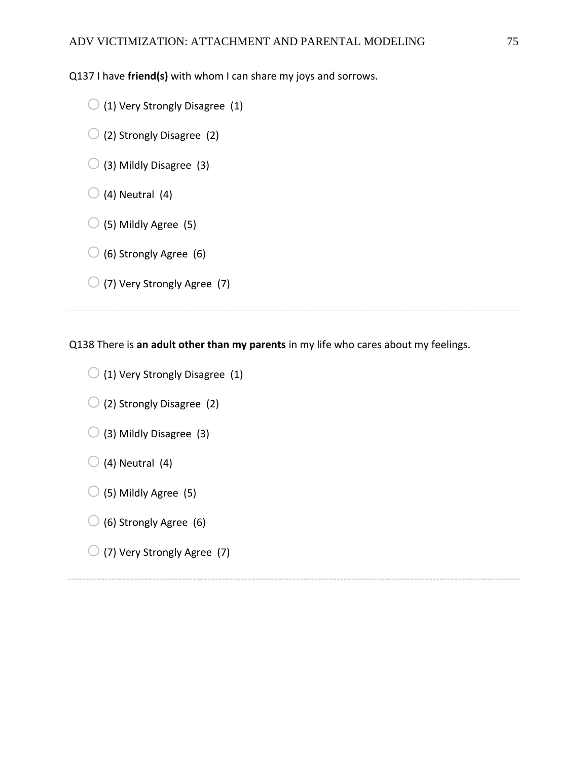Q137 I have **friend(s)** with whom I can share my joys and sorrows.

- $\bigcirc$  (1) Very Strongly Disagree (1)
- $\bigcirc$  (2) Strongly Disagree (2)
- $\bigcirc$  (3) Mildly Disagree (3)
- $\bigcirc$  (4) Neutral (4)
- $\bigcirc$  (5) Mildly Agree (5)
- $\bigcirc$  (6) Strongly Agree (6)
- $\bigcirc$  (7) Very Strongly Agree (7)

Q138 There is **an adult other than my parents** in my life who cares about my feelings.

- $\bigcirc$  (1) Very Strongly Disagree (1)
- $\bigcirc$  (2) Strongly Disagree (2)
- $\bigcirc$  (3) Mildly Disagree (3)
- $\bigcirc$  (4) Neutral (4)
- $\bigcirc$  (5) Mildly Agree (5)
- $\bigcirc$  (6) Strongly Agree (6)
- $\bigcirc$  (7) Very Strongly Agree (7)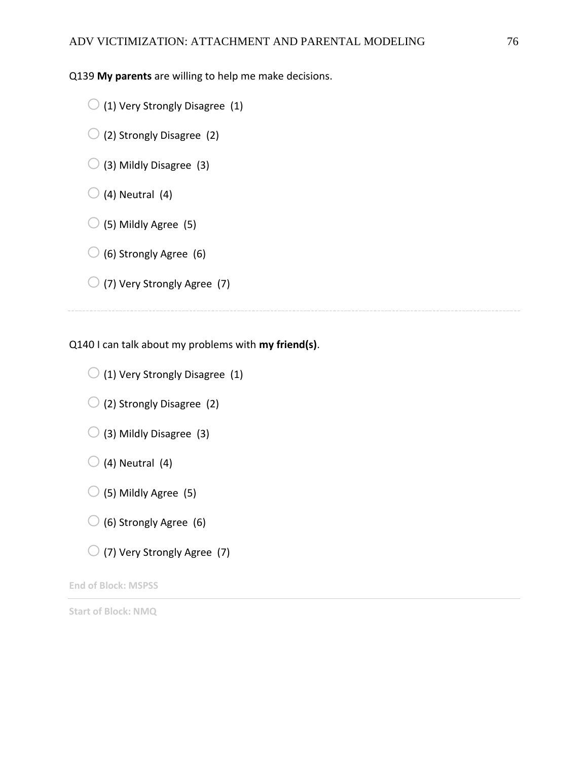Q139 **My parents** are willing to help me make decisions.

- $\bigcirc$  (1) Very Strongly Disagree (1)
- $\bigcirc$  (2) Strongly Disagree (2)
- $\bigcirc$  (3) Mildly Disagree (3)
- $\bigcirc$  (4) Neutral (4)
- $\bigcirc$  (5) Mildly Agree (5)
- $\bigcirc$  (6) Strongly Agree (6)
- $\bigcirc$  (7) Very Strongly Agree (7)

Q140 I can talk about my problems with **my friend(s)**.

- $\bigcirc$  (1) Very Strongly Disagree (1)
- $\bigcirc$  (2) Strongly Disagree (2)
- $\bigcirc$  (3) Mildly Disagree (3)
- $\bigcirc$  (4) Neutral (4)
- $\bigcirc$  (5) Mildly Agree (5)
- $\bigcirc$  (6) Strongly Agree (6)
- $\bigcirc$  (7) Very Strongly Agree (7)

**End of Block: MSPSS**

**Start of Block: NMQ**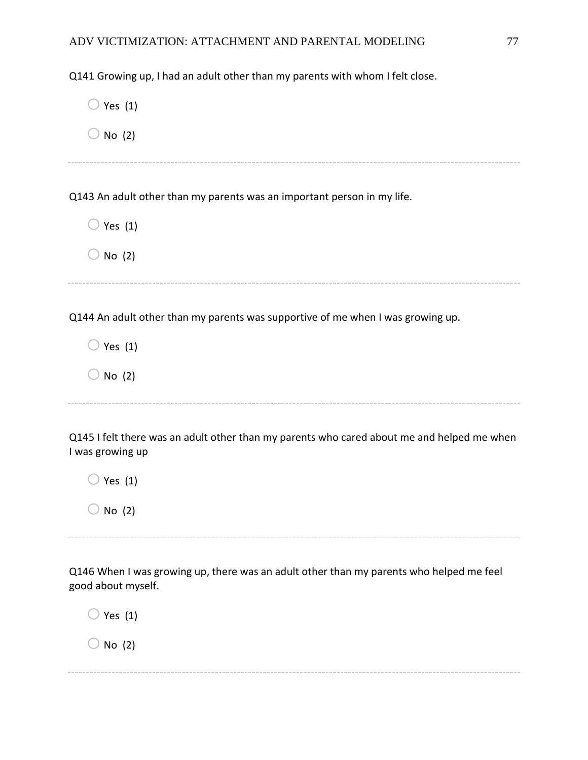Q141 Growing up, I had an adult other than my parents with whom I felt close.

 $\bigcirc$  Yes (1)

 $\bigcirc$  No (2)

Q143 An adult other than my parents was an important person in my life.

 $\bigcirc$  Yes (1)

 $\bigcirc$  No (2)

Q144 An adult other than my parents was supportive of me when I was growing up.

 $\bigcirc$  Yes (1)  $\bigcirc$  No (2)

Q145 I felt there was an adult other than my parents who cared about me and helped me when I was growing up

 $\bigcirc$  Yes (1)  $\bigcirc$  No (2)

Q146 When I was growing up, there was an adult other than my parents who helped me feel good about myself.

 $\bigcirc$  Yes (1)  $\bigcirc$  No (2)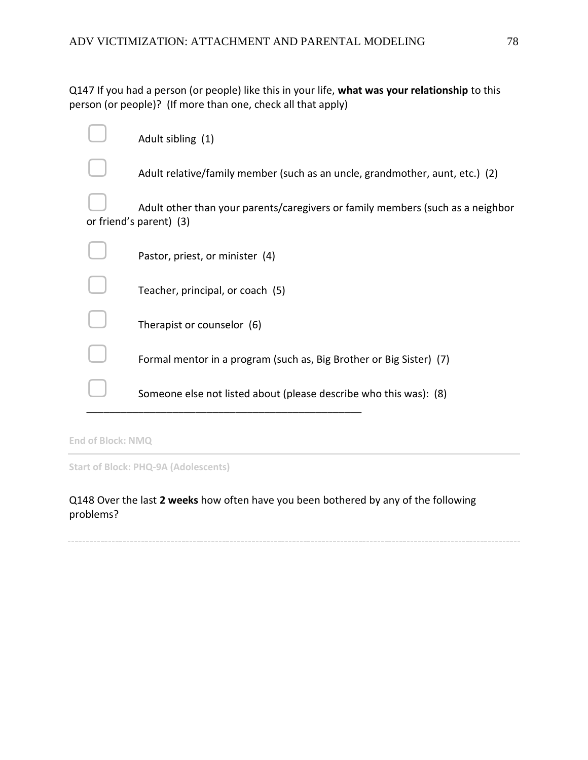Q147 If you had a person (or people) like this in your life, **what was your relationship** to this person (or people)? (If more than one, check all that apply)

| Adult sibling (1)                                                                                         |
|-----------------------------------------------------------------------------------------------------------|
| Adult relative/family member (such as an uncle, grandmother, aunt, etc.) (2)                              |
| Adult other than your parents/caregivers or family members (such as a neighbor<br>or friend's parent) (3) |
| Pastor, priest, or minister (4)                                                                           |
| Teacher, principal, or coach (5)                                                                          |
| Therapist or counselor (6)                                                                                |
| Formal mentor in a program (such as, Big Brother or Big Sister) (7)                                       |
| Someone else not listed about (please describe who this was): (8)                                         |

**End of Block: NMQ**

**Start of Block: PHQ-9A (Adolescents)**

Q148 Over the last **2 weeks** how often have you been bothered by any of the following problems?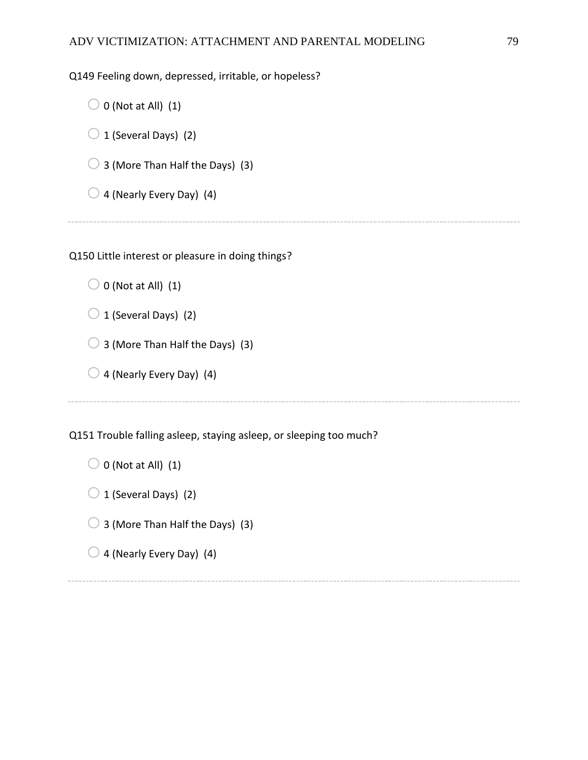Q149 Feeling down, depressed, irritable, or hopeless?

 $\bigcirc$  0 (Not at All) (1)  $\bigcirc$  1 (Several Days) (2)

 $\bigcirc$  3 (More Than Half the Days) (3)

 $\bigcirc$  4 (Nearly Every Day) (4)

Q150 Little interest or pleasure in doing things?

 $\bigcirc$  0 (Not at All) (1)

 $\bigcirc$  1 (Several Days) (2)

 $\bigcirc$  3 (More Than Half the Days) (3)

 $\bigcirc$  4 (Nearly Every Day) (4)

Q151 Trouble falling asleep, staying asleep, or sleeping too much?

 $\bigcirc$  0 (Not at All) (1)  $\bigcirc$  1 (Several Days) (2)  $\bigcirc$  3 (More Than Half the Days) (3)  $\bigcirc$  4 (Nearly Every Day) (4)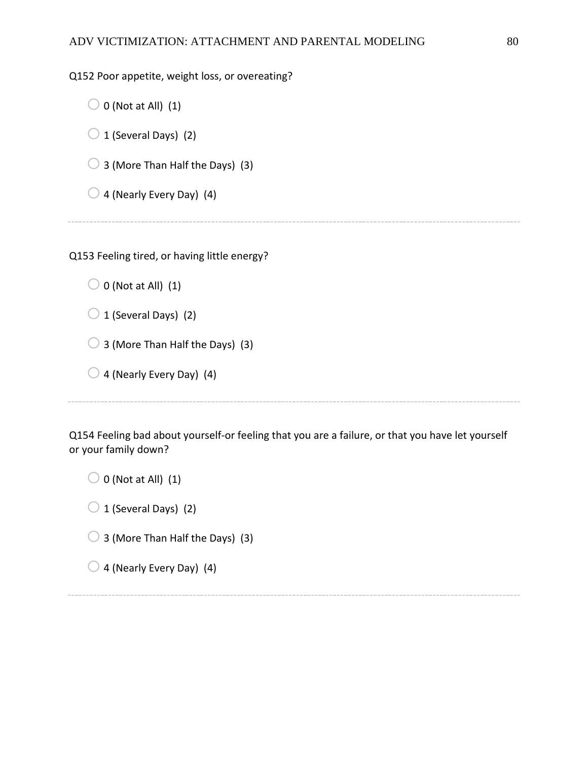Q152 Poor appetite, weight loss, or overeating?

 $\bigcirc$  0 (Not at All) (1)

 $\bigcirc$  1 (Several Days) (2)

 $\bigcirc$  3 (More Than Half the Days) (3)

 $\bigcirc$  4 (Nearly Every Day) (4)

Q153 Feeling tired, or having little energy?

 $\bigcirc$  0 (Not at All) (1)

 $\bigcirc$  1 (Several Days) (2)

 $\bigcirc$  3 (More Than Half the Days) (3)

 $\bigcirc$  4 (Nearly Every Day) (4)

Q154 Feeling bad about yourself-or feeling that you are a failure, or that you have let yourself or your family down?

 $\bigcirc$  0 (Not at All) (1)

 $\bigcirc$  1 (Several Days) (2)

 $\bigcirc$  3 (More Than Half the Days) (3)

 $\bigcirc$  4 (Nearly Every Day) (4)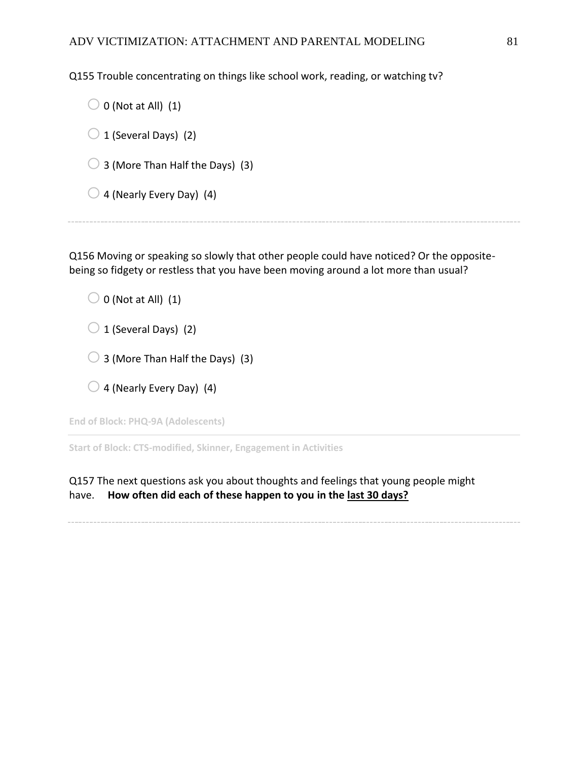Q155 Trouble concentrating on things like school work, reading, or watching tv?

 $\bigcirc$  0 (Not at All) (1)  $\bigcirc$  1 (Several Days) (2)  $\bigcirc$  3 (More Than Half the Days) (3)  $\bigcirc$  4 (Nearly Every Day) (4)

Q156 Moving or speaking so slowly that other people could have noticed? Or the oppositebeing so fidgety or restless that you have been moving around a lot more than usual?

 $\bigcirc$  0 (Not at All) (1)

 $\bigcirc$  1 (Several Days) (2)

 $\bigcirc$  3 (More Than Half the Days) (3)

 $\bigcirc$  4 (Nearly Every Day) (4)

**End of Block: PHQ-9A (Adolescents)**

**Start of Block: CTS-modified, Skinner, Engagement in Activities**

Q157 The next questions ask you about thoughts and feelings that young people might have. **How often did each of these happen to you in the last 30 days?**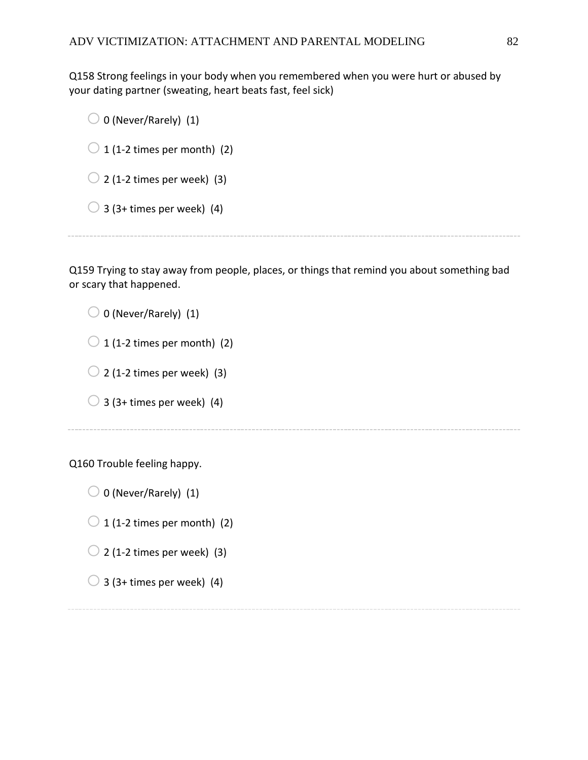Q158 Strong feelings in your body when you remembered when you were hurt or abused by your dating partner (sweating, heart beats fast, feel sick)

 $\bigcirc$  0 (Never/Rarely) (1)  $\bigcirc$  1 (1-2 times per month) (2)  $\bigcirc$  2 (1-2 times per week) (3)  $\bigcirc$  3 (3+ times per week) (4)

Q159 Trying to stay away from people, places, or things that remind you about something bad or scary that happened.

 $\bigcirc$  0 (Never/Rarely) (1)  $\bigcirc$  1 (1-2 times per month) (2)  $\bigcirc$  2 (1-2 times per week) (3)  $\bigcirc$  3 (3+ times per week) (4) Q160 Trouble feeling happy.

 $\bigcirc$  0 (Never/Rarely) (1)

 $\bigcirc$  1 (1-2 times per month) (2)

 $\bigcirc$  2 (1-2 times per week) (3)

 $\bigcirc$  3 (3+ times per week) (4)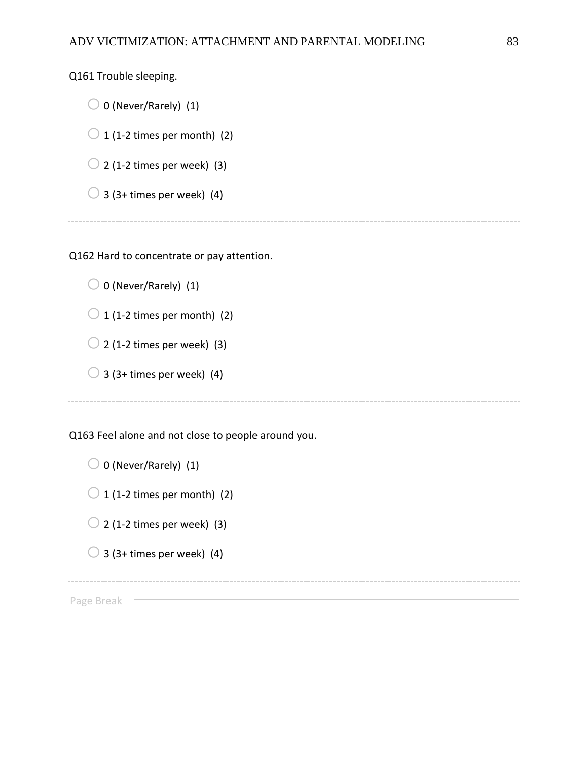Q161 Trouble sleeping.

 $\bigcirc$  0 (Never/Rarely) (1)

 $\bigcirc$  1 (1-2 times per month) (2)

 $\bigcirc$  2 (1-2 times per week) (3)

 $\bigcirc$  3 (3+ times per week) (4)

Q162 Hard to concentrate or pay attention.

 $\bigcirc$  0 (Never/Rarely) (1)

 $\bigcirc$  1 (1-2 times per month) (2)

 $\bigcirc$  2 (1-2 times per week) (3)

 $\bigcirc$  3 (3+ times per week) (4)

Q163 Feel alone and not close to people around you.

 $\bigcirc$  0 (Never/Rarely) (1)  $\bigcirc$  1 (1-2 times per month) (2)  $\bigcirc$  2 (1-2 times per week) (3)  $\bigcirc$  3 (3+ times per week) (4)

Page Break –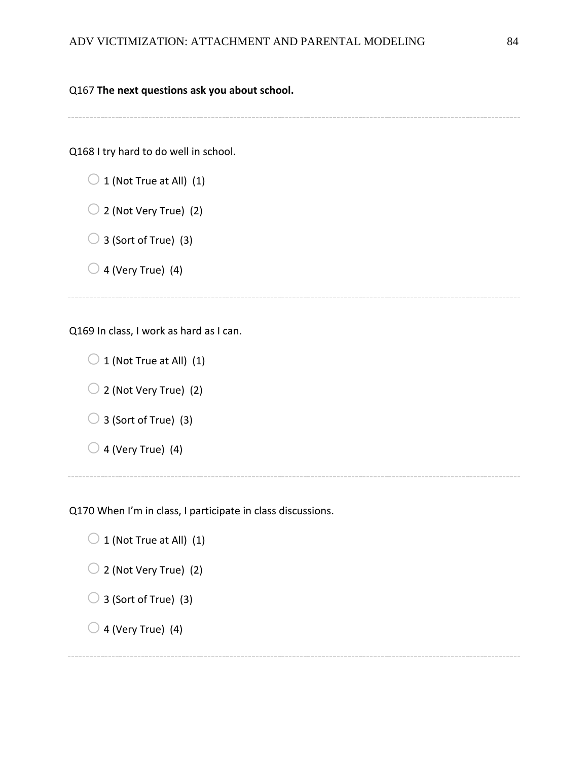Q167 **The next questions ask you about school.**

Q168 I try hard to do well in school.

 $\bigcirc$  1 (Not True at All) (1)

 $\bigcirc$  2 (Not Very True) (2)

 $\bigcirc$  3 (Sort of True) (3)

 $\bigcirc$  4 (Very True) (4)

Q169 In class, I work as hard as I can.

 $\bigcirc$  1 (Not True at All) (1)

 $\bigcirc$  2 (Not Very True) (2)

 $\bigcirc$  3 (Sort of True) (3)

 $\bigcirc$  4 (Very True) (4)

Q170 When I'm in class, I participate in class discussions.

 $\bigcirc$  1 (Not True at All) (1)

 $\bigcirc$  2 (Not Very True) (2)

 $\bigcirc$  3 (Sort of True) (3)

 $\bigcirc$  4 (Very True) (4)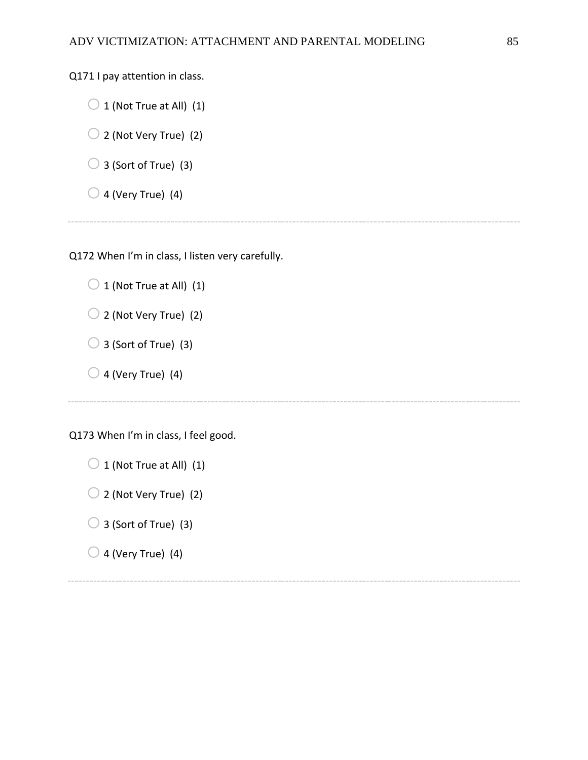Q171 I pay attention in class.

 $\bigcirc$  1 (Not True at All) (1)

 $\bigcirc$  2 (Not Very True) (2)

 $\bigcirc$  3 (Sort of True) (3)

 $\bigcirc$  4 (Very True) (4)

Q172 When I'm in class, I listen very carefully.

 $\bigcirc$  1 (Not True at All) (1)

 $\bigcirc$  2 (Not Very True) (2)

 $\bigcirc$  3 (Sort of True) (3)

 $\bigcirc$  4 (Very True) (4)

Q173 When I'm in class, I feel good.

 $\bigcirc$  1 (Not True at All) (1)  $\bigcirc$  2 (Not Very True) (2)  $\bigcirc$  3 (Sort of True) (3)  $\bigcirc$  4 (Very True) (4)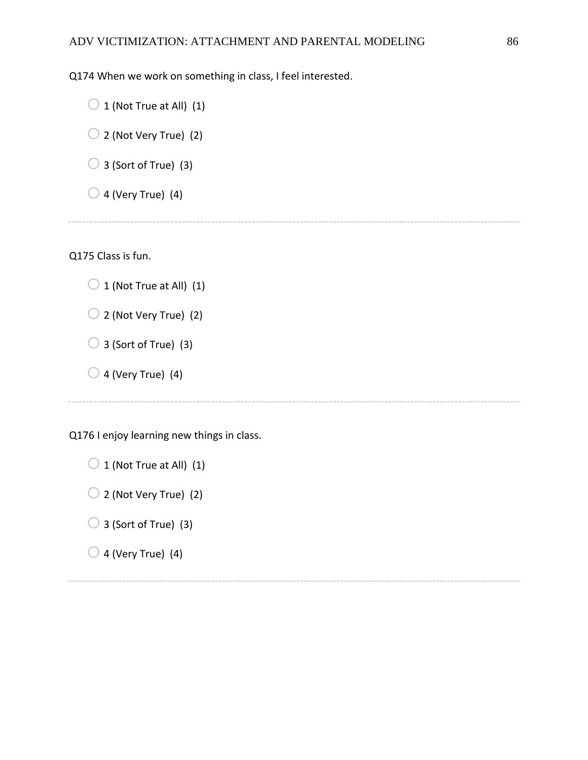Q174 When we work on something in class, I feel interested.

 $\bigcirc$  1 (Not True at All) (1)

 $\bigcirc$  2 (Not Very True) (2)

 $\bigcirc$  3 (Sort of True) (3)

 $\bigcirc$  4 (Very True) (4)

Q175 Class is fun.

 $\bigcirc$  1 (Not True at All) (1)

 $\bigcirc$  2 (Not Very True) (2)

 $\bigcirc$  3 (Sort of True) (3)

 $\bigcirc$  4 (Very True) (4)

 $\bigcirc$  1 (Not True at All) (1)

Q176 I enjoy learning new things in class.

 $\bigcirc$  2 (Not Very True) (2)

 $\bigcirc$  3 (Sort of True) (3)

 $\bigcirc$  4 (Very True) (4)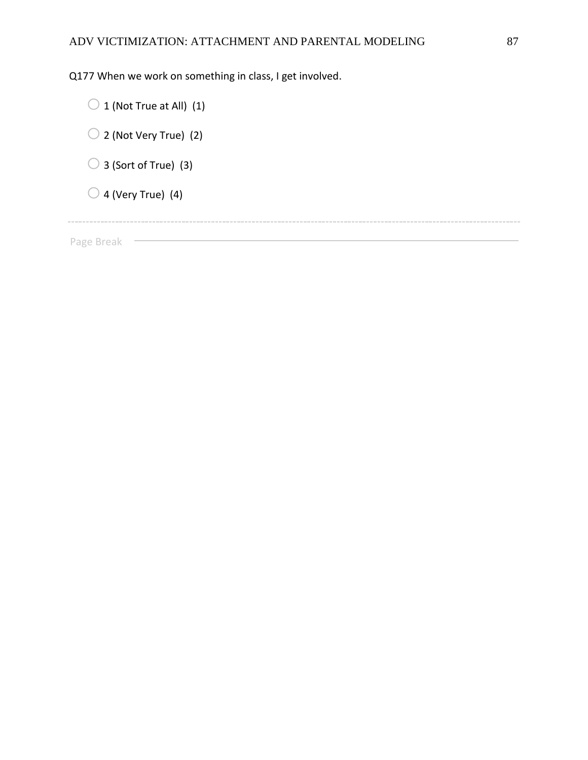Q177 When we work on something in class, I get involved.

 $\bigcirc$  1 (Not True at All) (1)  $\bigcirc$  2 (Not Very True) (2)  $\bigcirc$  3 (Sort of True) (3)  $\bigcirc$  4 (Very True) (4)

Page Break –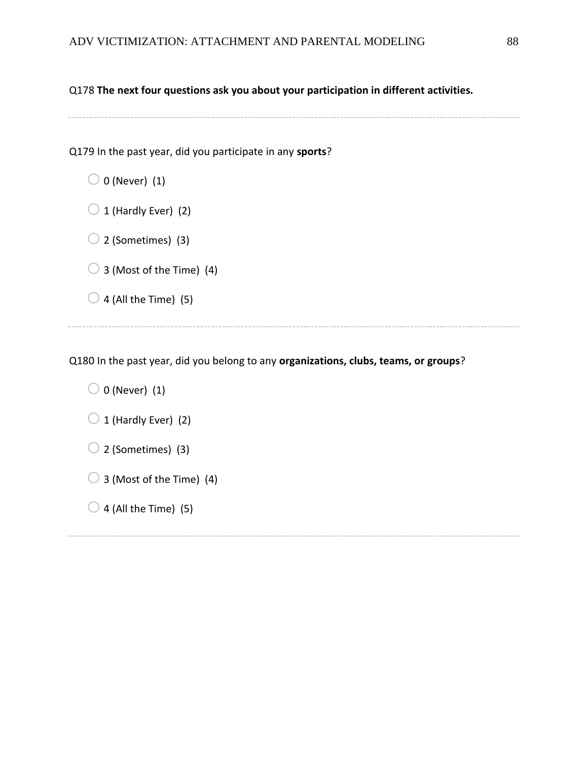Q178 **The next four questions ask you about your participation in different activities.**

Q179 In the past year, did you participate in any **sports**?

 $\bigcirc$  0 (Never) (1)  $\bigcirc$  1 (Hardly Ever) (2)  $\bigcirc$  2 (Sometimes) (3)  $\bigcirc$  3 (Most of the Time) (4)  $\bigcirc$  4 (All the Time) (5)

Q180 In the past year, did you belong to any **organizations, clubs, teams, or groups**?

 $\bigcirc$  0 (Never) (1)

| $\bigcirc$ 1 (Hardly Ever) (2) |  |
|--------------------------------|--|

- $\bigcirc$  2 (Sometimes) (3)
- $\bigcirc$  3 (Most of the Time) (4)
- $\bigcirc$  4 (All the Time) (5)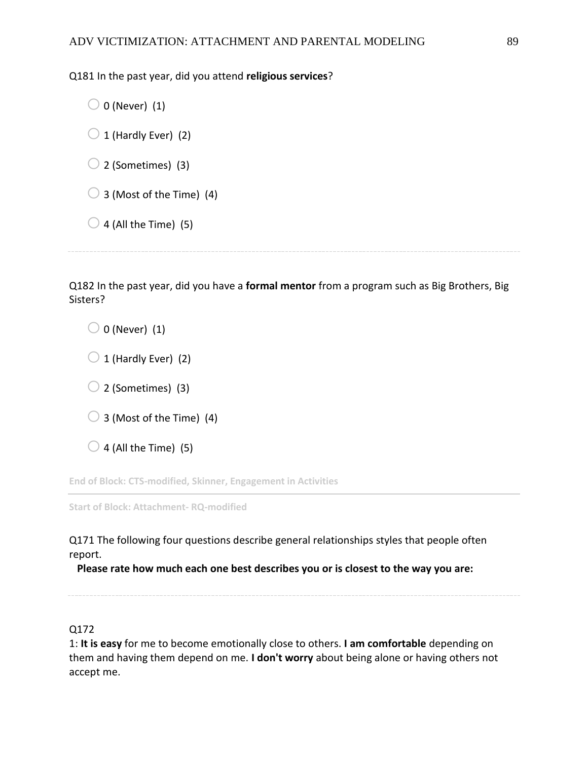Q181 In the past year, did you attend **religious services**?

 $\bigcirc$  0 (Never) (1)  $\bigcirc$  1 (Hardly Ever) (2)  $\bigcirc$  2 (Sometimes) (3)  $\bigcirc$  3 (Most of the Time) (4)  $\bigcirc$  4 (All the Time) (5)

Q182 In the past year, did you have a **formal mentor** from a program such as Big Brothers, Big Sisters?

 $\bigcirc$  0 (Never) (1)  $\bigcirc$  1 (Hardly Ever) (2)  $\bigcirc$  2 (Sometimes) (3)  $\bigcirc$  3 (Most of the Time) (4)  $\bigcirc$  4 (All the Time) (5)

**End of Block: CTS-modified, Skinner, Engagement in Activities**

**Start of Block: Attachment- RQ-modified**

Q171 The following four questions describe general relationships styles that people often report.

**Please rate how much each one best describes you or is closest to the way you are:**

## Q172

1: **It is easy** for me to become emotionally close to others. **I am comfortable** depending on them and having them depend on me. **I don't worry** about being alone or having others not accept me.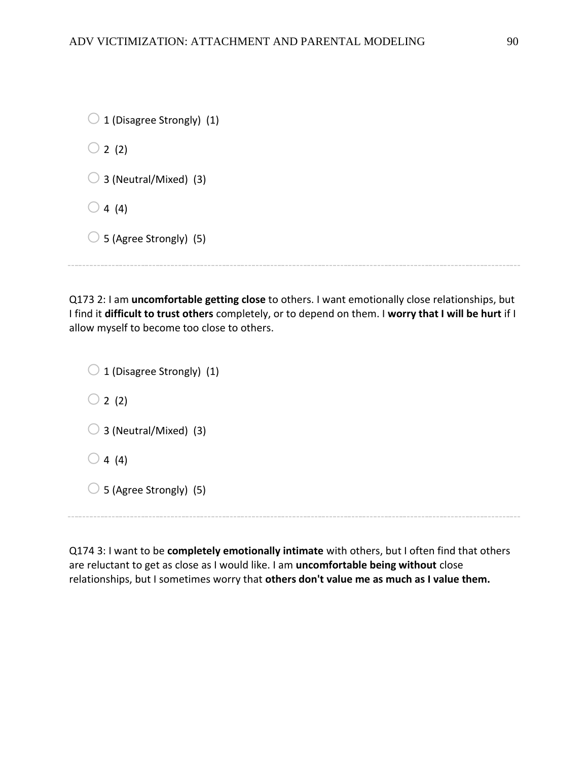| 1 (Disagree Strongly) (1)         |
|-----------------------------------|
| 2(2)<br>$\left( \quad \right)$    |
| 3 (Neutral/Mixed) (3)<br>U        |
| 4(4)                              |
| $\bigcirc$ 5 (Agree Strongly) (5) |
|                                   |

Q173 2: I am **uncomfortable getting close** to others. I want emotionally close relationships, but I find it **difficult to trust others** completely, or to depend on them. I **worry that I will be hurt** if I allow myself to become too close to others.

 $\bigcirc$  1 (Disagree Strongly) (1)  $\bigcirc$  2 (2)  $\bigcirc$  3 (Neutral/Mixed) (3)  $\bigcirc$  4 (4)  $\bigcirc$  5 (Agree Strongly) (5)

Q174 3: I want to be **completely emotionally intimate** with others, but I often find that others are reluctant to get as close as I would like. I am **uncomfortable being without** close relationships, but I sometimes worry that **others don't value me as much as I value them.**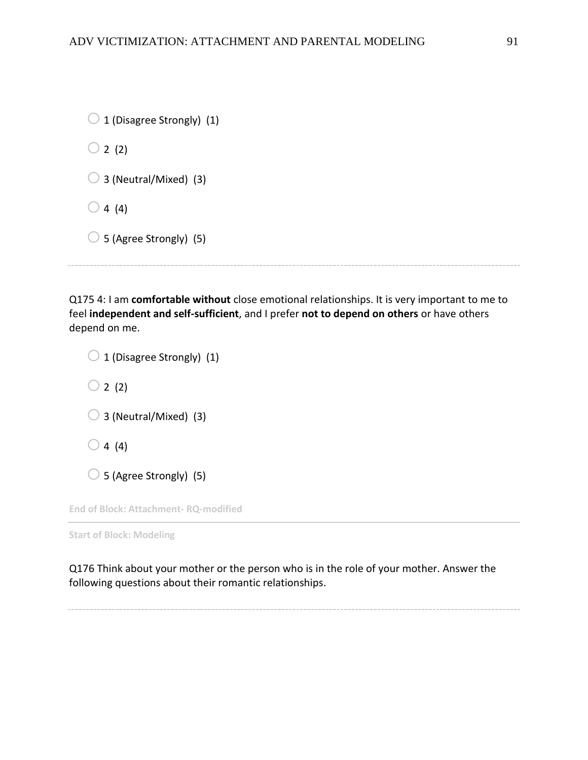| 1 (Disagree Strongly) (1)  |
|----------------------------|
| 2(2)<br>$(\ )$             |
| 3 (Neutral/Mixed) (3)<br>U |
| 4(4)                       |
| 5 (Agree Strongly) (5)     |
|                            |

Q175 4: I am **comfortable without** close emotional relationships. It is very important to me to feel **independent and self-sufficient**, and I prefer **not to depend on others** or have others depend on me.

 $\bigcirc$  1 (Disagree Strongly) (1)  $\bigcirc$  2 (2)  $\bigcirc$  3 (Neutral/Mixed) (3)  $\bigcirc$  4 (4)  $\bigcirc$  5 (Agree Strongly) (5) **End of Block: Attachment- RQ-modified**

**Start of Block: Modeling**

Q176 Think about your mother or the person who is in the role of your mother. Answer the following questions about their romantic relationships.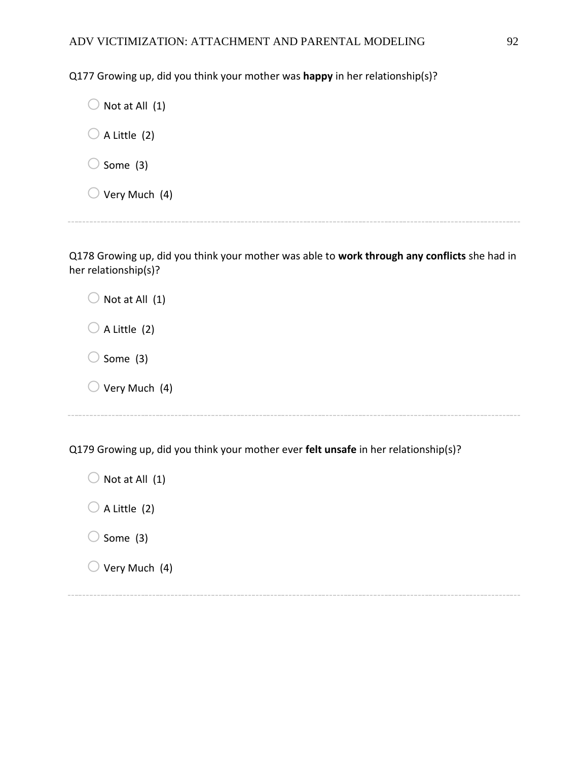Q177 Growing up, did you think your mother was **happy** in her relationship(s)?

 $\bigcirc$  Not at All (1)  $\bigcirc$  A Little (2)  $\bigcirc$  Some (3)  $\bigcirc$  Very Much (4)

Q178 Growing up, did you think your mother was able to **work through any conflicts** she had in her relationship(s)?

 $\bigcirc$  Not at All (1)

 $\bigcirc$  A Little (2)

 $\bigcirc$  Some (3)

 $\bigcirc$  Very Much (4)

Q179 Growing up, did you think your mother ever **felt unsafe** in her relationship(s)?

 $\bigcirc$  Not at All (1)

 $\bigcirc$  A Little (2)

 $\bigcirc$  Some (3)

 $\bigcirc$  Very Much (4)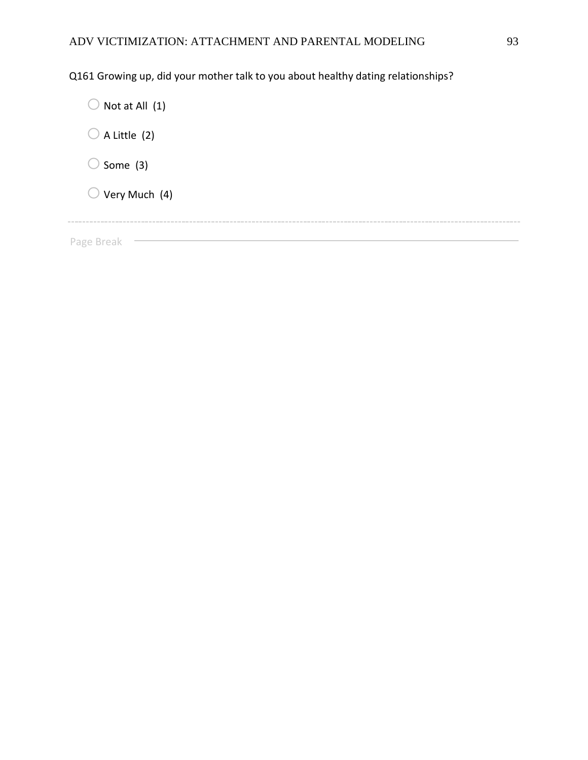Q161 Growing up, did your mother talk to you about healthy dating relationships?

 $\bigcirc$  Not at All (1)  $\bigcirc$  A Little (2)  $\bigcirc$  Some (3)  $\bigcirc$  Very Much (4)

Page Break –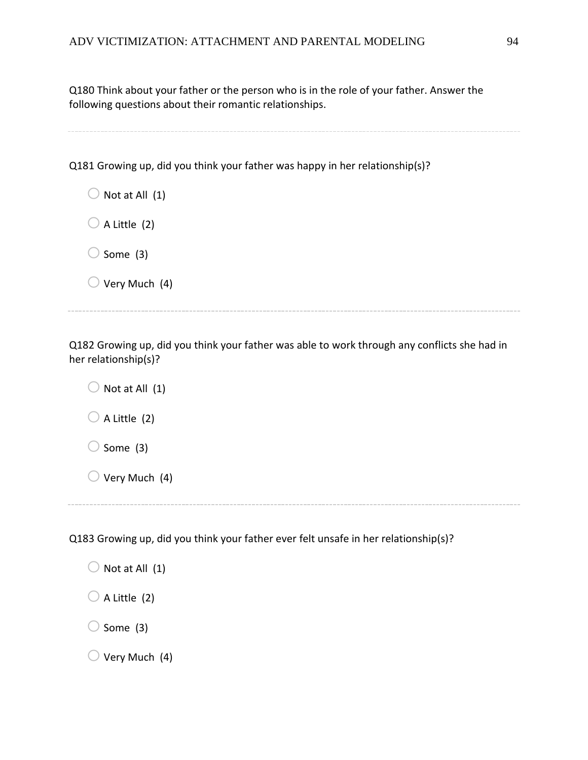Q180 Think about your father or the person who is in the role of your father. Answer the following questions about their romantic relationships.

Q181 Growing up, did you think your father was happy in her relationship(s)?

 $\bigcirc$  Not at All (1)  $\bigcirc$  A Little (2)  $\bigcirc$  Some (3)

 $\bigcirc$  Very Much (4)

Q182 Growing up, did you think your father was able to work through any conflicts she had in her relationship(s)?

 $\bigcirc$  Not at All (1)

 $\bigcirc$  A Little (2)

 $\bigcirc$  Some (3)

 $\bigcirc$  Very Much (4)

Q183 Growing up, did you think your father ever felt unsafe in her relationship(s)?

 $\bigcirc$  Not at All (1)  $\bigcirc$  A Little (2)  $\bigcirc$  Some (3)

 $\bigcirc$  Very Much (4)